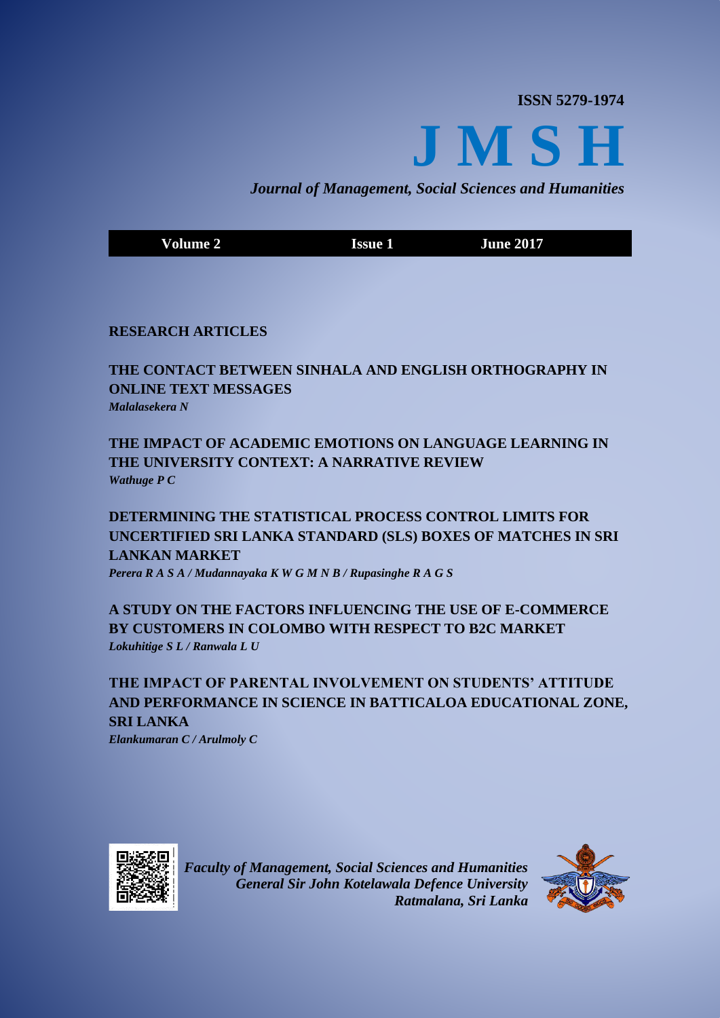**ISSN 5279-1974**



*Journal of Management, Social Sciences and Humanities*

**Volume 2 Issue 1 Issue 1 June** 2017

# **RESEARCH ARTICLES**

# **THE CONTACT BETWEEN SINHALA AND ENGLISH ORTHOGRAPHY IN ONLINE TEXT MESSAGES** *Malalasekera N*

# **THE IMPACT OF ACADEMIC EMOTIONS ON LANGUAGE LEARNING IN THE UNIVERSITY CONTEXT: A NARRATIVE REVIEW** *Wathuge P C*

**DETERMINING THE STATISTICAL PROCESS CONTROL LIMITS FOR UNCERTIFIED SRI LANKA STANDARD (SLS) BOXES OF MATCHES IN SRI LANKAN MARKET** *Perera R A S A / Mudannayaka K W G M N B / Rupasinghe R A G S*

**A STUDY ON THE FACTORS INFLUENCING THE USE OF E-COMMERCE BY CUSTOMERS IN COLOMBO WITH RESPECT TO B2C MARKET** *Lokuhitige S L / Ranwala L U*

**THE IMPACT OF PARENTAL INVOLVEMENT ON STUDENTS' ATTITUDE AND PERFORMANCE IN SCIENCE IN BATTICALOA EDUCATIONAL ZONE, SRI LANKA** *Elankumaran C / Arulmoly C*



*Faculty of Management, Social Sciences and Humanities General Sir John Kotelawala Defence University Ratmalana, Sri Lanka*

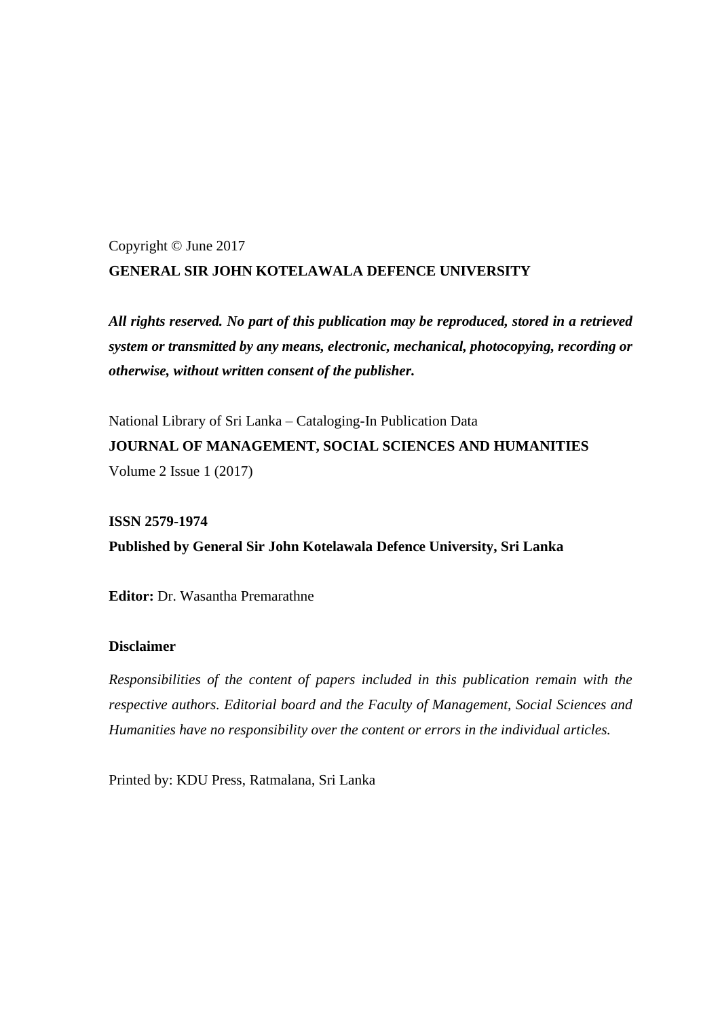# Copyright © June 2017 **GENERAL SIR JOHN KOTELAWALA DEFENCE UNIVERSITY**

*All rights reserved. No part of this publication may be reproduced, stored in a retrieved system or transmitted by any means, electronic, mechanical, photocopying, recording or otherwise, without written consent of the publisher.* 

National Library of Sri Lanka – Cataloging-In Publication Data **JOURNAL OF MANAGEMENT, SOCIAL SCIENCES AND HUMANITIES** Volume 2 Issue 1 (2017)

**ISSN 2579-1974 Published by General Sir John Kotelawala Defence University, Sri Lanka**

**Editor:** Dr. Wasantha Premarathne

### **Disclaimer**

*Responsibilities of the content of papers included in this publication remain with the respective authors. Editorial board and the Faculty of Management, Social Sciences and Humanities have no responsibility over the content or errors in the individual articles.* 

Printed by: KDU Press, Ratmalana, Sri Lanka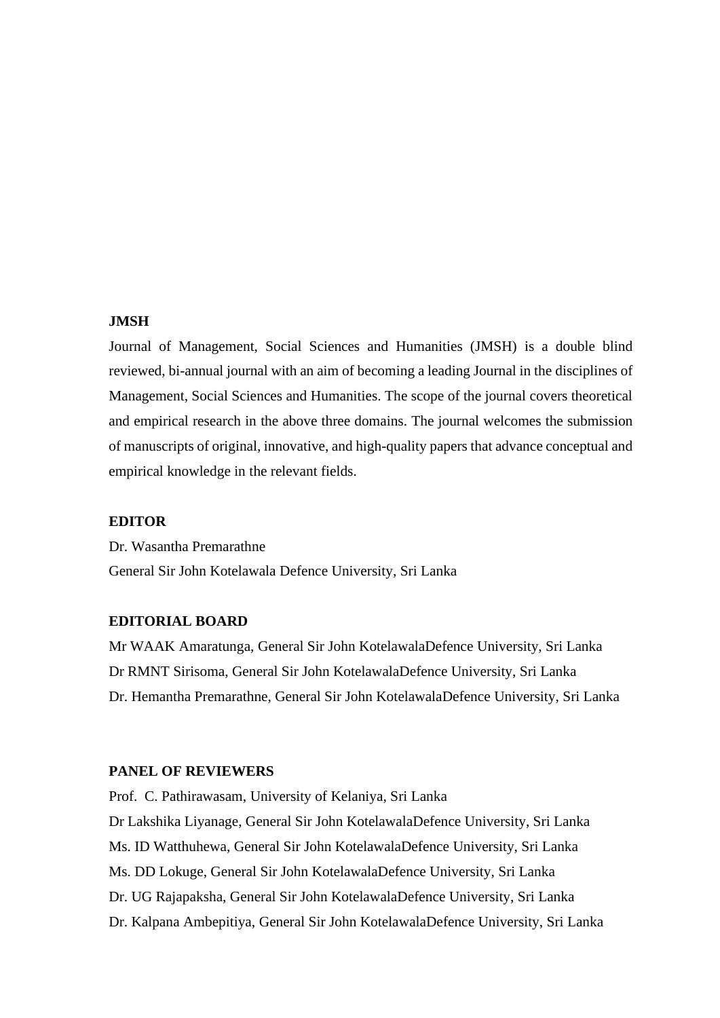### **JMSH**

Journal of Management, Social Sciences and Humanities (JMSH) is a double blind reviewed, bi-annual journal with an aim of becoming a leading Journal in the disciplines of Management, Social Sciences and Humanities. The scope of the journal covers theoretical and empirical research in the above three domains. The journal welcomes the submission of manuscripts of original, innovative, and high-quality papers that advance conceptual and empirical knowledge in the relevant fields.

#### **EDITOR**

Dr. Wasantha Premarathne General Sir John Kotelawala Defence University, Sri Lanka

### **EDITORIAL BOARD**

Mr WAAK Amaratunga, General Sir John KotelawalaDefence University, Sri Lanka Dr RMNT Sirisoma, General Sir John KotelawalaDefence University, Sri Lanka Dr. Hemantha Premarathne, General Sir John KotelawalaDefence University, Sri Lanka

### **PANEL OF REVIEWERS**

Prof. C. Pathirawasam, University of Kelaniya, Sri Lanka Dr Lakshika Liyanage, General Sir John KotelawalaDefence University, Sri Lanka Ms. ID Watthuhewa, General Sir John KotelawalaDefence University, Sri Lanka Ms. DD Lokuge, General Sir John KotelawalaDefence University, Sri Lanka Dr. UG Rajapaksha, General Sir John KotelawalaDefence University, Sri Lanka Dr. Kalpana Ambepitiya, General Sir John KotelawalaDefence University, Sri Lanka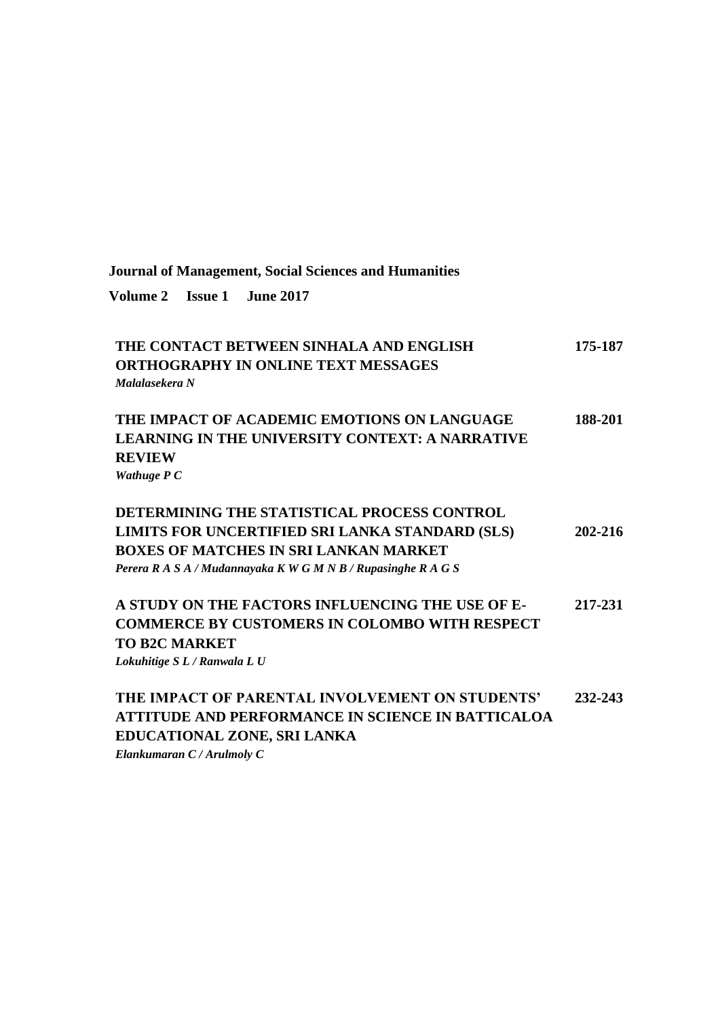| Volume 2 Issue 1 June 2017                                                                                                                                                                                      |         |
|-----------------------------------------------------------------------------------------------------------------------------------------------------------------------------------------------------------------|---------|
| THE CONTACT BETWEEN SINHALA AND ENGLISH<br><b>ORTHOGRAPHY IN ONLINE TEXT MESSAGES</b><br>Malalasekera N                                                                                                         | 175-187 |
| THE IMPACT OF ACADEMIC EMOTIONS ON LANGUAGE<br><b>LEARNING IN THE UNIVERSITY CONTEXT: A NARRATIVE</b><br><b>REVIEW</b><br>Wathuge P C                                                                           | 188-201 |
| DETERMINING THE STATISTICAL PROCESS CONTROL<br>LIMITS FOR UNCERTIFIED SRI LANKA STANDARD (SLS)<br><b>BOXES OF MATCHES IN SRI LANKAN MARKET</b><br>Perera R A S A / Mudannayaka K W G M N B / Rupasinghe R A G S | 202-216 |
| A STUDY ON THE FACTORS INFLUENCING THE USE OF E-<br><b>COMMERCE BY CUSTOMERS IN COLOMBO WITH RESPECT</b><br><b>TO B2C MARKET</b><br>Lokuhitige SL / Ranwala L U                                                 | 217-231 |
| THE IMPACT OF PARENTAL INVOLVEMENT ON STUDENTS'<br><b>ATTITUDE AND PERFORMANCE IN SCIENCE IN BATTICALOA</b><br>EDUCATIONAL ZONE, SRI LANKA<br>Elankumaran C / Arulmoly C                                        | 232-243 |

**Journal of Management, Social Sciences and Humanities**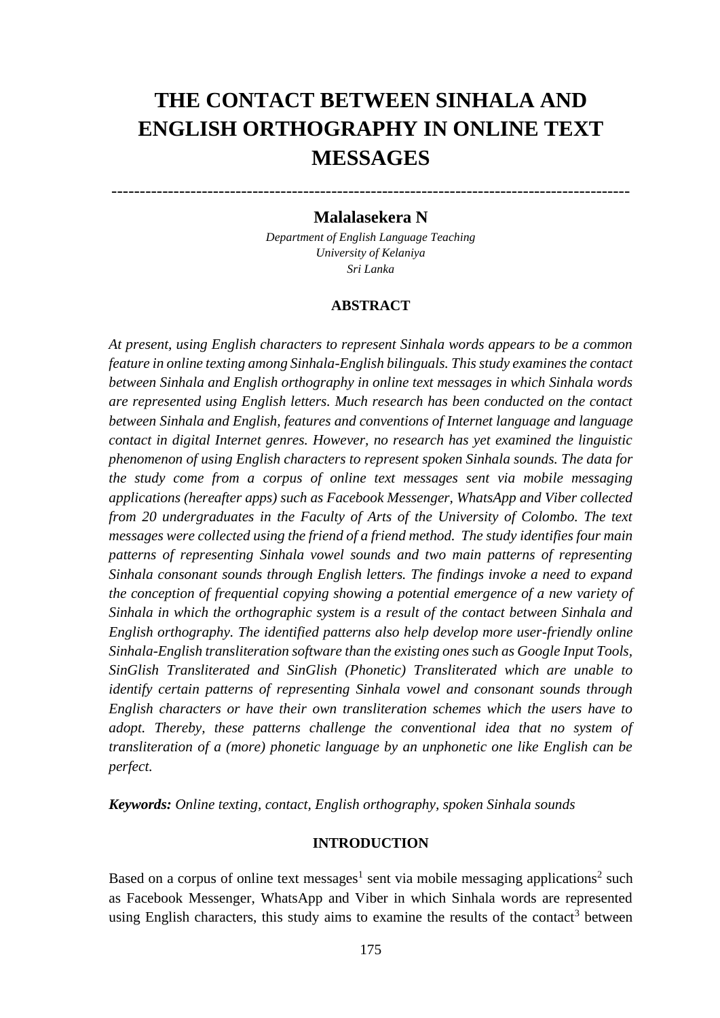# **THE CONTACT BETWEEN SINHALA AND ENGLISH ORTHOGRAPHY IN ONLINE TEXT MESSAGES**

## **Malalasekera N**

--------------------------------------------------------------------------------------------

*Department of English Language Teaching University of Kelaniya Sri Lanka*

### **ABSTRACT**

*At present, using English characters to represent Sinhala words appears to be a common feature in online texting among Sinhala-English bilinguals. This study examines the contact between Sinhala and English orthography in online text messages in which Sinhala words are represented using English letters. Much research has been conducted on the contact between Sinhala and English, features and conventions of Internet language and language contact in digital Internet genres. However, no research has yet examined the linguistic phenomenon of using English characters to represent spoken Sinhala sounds. The data for the study come from a corpus of online text messages sent via mobile messaging applications (hereafter apps) such as Facebook Messenger, WhatsApp and Viber collected from 20 undergraduates in the Faculty of Arts of the University of Colombo. The text messages were collected using the friend of a friend method. The study identifies four main patterns of representing Sinhala vowel sounds and two main patterns of representing Sinhala consonant sounds through English letters. The findings invoke a need to expand the conception of frequential copying showing a potential emergence of a new variety of Sinhala in which the orthographic system is a result of the contact between Sinhala and English orthography. The identified patterns also help develop more user-friendly online Sinhala-English transliteration software than the existing ones such as Google Input Tools, SinGlish Transliterated and SinGlish (Phonetic) Transliterated which are unable to identify certain patterns of representing Sinhala vowel and consonant sounds through English characters or have their own transliteration schemes which the users have to adopt. Thereby, these patterns challenge the conventional idea that no system of transliteration of a (more) phonetic language by an unphonetic one like English can be perfect.* 

*Keywords: Online texting, contact, English orthography, spoken Sinhala sounds*

### **INTRODUCTION**

Based on a corpus of online text messages<sup>1</sup> sent via mobile messaging applications<sup>2</sup> such as Facebook Messenger, WhatsApp and Viber in which Sinhala words are represented using English characters, this study aims to examine the results of the contact<sup>3</sup> between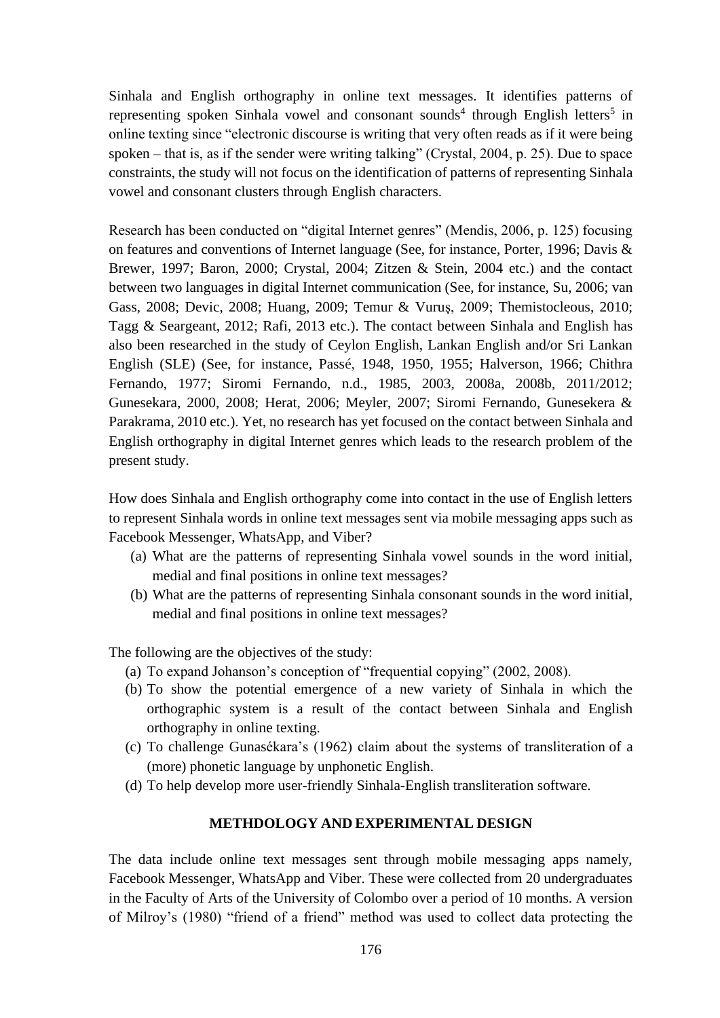Sinhala and English orthography in online text messages. It identifies patterns of representing spoken Sinhala vowel and consonant sounds<sup>4</sup> through English letters<sup>5</sup> in online texting since "electronic discourse is writing that very often reads as if it were being spoken – that is, as if the sender were writing talking" (Crystal, 2004, p. 25). Due to space constraints, the study will not focus on the identification of patterns of representing Sinhala vowel and consonant clusters through English characters.

Research has been conducted on "digital Internet genres" (Mendis, 2006, p. 125) focusing on features and conventions of Internet language (See, for instance, Porter, 1996; Davis & Brewer, 1997; Baron, 2000; Crystal, 2004; Zitzen & Stein, 2004 etc.) and the contact between two languages in digital Internet communication (See, for instance, Su, 2006; van Gass, 2008; Devic, 2008; Huang, 2009; Temur & Vuruş, 2009; Themistocleous, 2010; Tagg & Seargeant, 2012; Rafi, 2013 etc.). The contact between Sinhala and English has also been researched in the study of Ceylon English, Lankan English and/or Sri Lankan English (SLE) (See, for instance, Passé, 1948, 1950, 1955; Halverson, 1966; Chithra Fernando, 1977; Siromi Fernando, n.d., 1985, 2003, 2008a, 2008b, 2011/2012; Gunesekara, 2000, 2008; Herat, 2006; Meyler, 2007; Siromi Fernando, Gunesekera & Parakrama, 2010 etc.). Yet, no research has yet focused on the contact between Sinhala and English orthography in digital Internet genres which leads to the research problem of the present study.

How does Sinhala and English orthography come into contact in the use of English letters to represent Sinhala words in online text messages sent via mobile messaging apps such as Facebook Messenger, WhatsApp, and Viber?

- (a) What are the patterns of representing Sinhala vowel sounds in the word initial, medial and final positions in online text messages?
- (b) What are the patterns of representing Sinhala consonant sounds in the word initial, medial and final positions in online text messages?

The following are the objectives of the study:

- (a) To expand Johanson's conception of "frequential copying" (2002, 2008).
- (b) To show the potential emergence of a new variety of Sinhala in which the orthographic system is a result of the contact between Sinhala and English orthography in online texting.
- (c) To challenge Gunasékara's (1962) claim about the systems of transliteration of a (more) phonetic language by unphonetic English.
- (d) To help develop more user-friendly Sinhala-English transliteration software.

### **METHDOLOGY AND EXPERIMENTAL DESIGN**

The data include online text messages sent through mobile messaging apps namely, Facebook Messenger, WhatsApp and Viber. These were collected from 20 undergraduates in the Faculty of Arts of the University of Colombo over a period of 10 months. A version of Milroy's (1980) "friend of a friend" method was used to collect data protecting the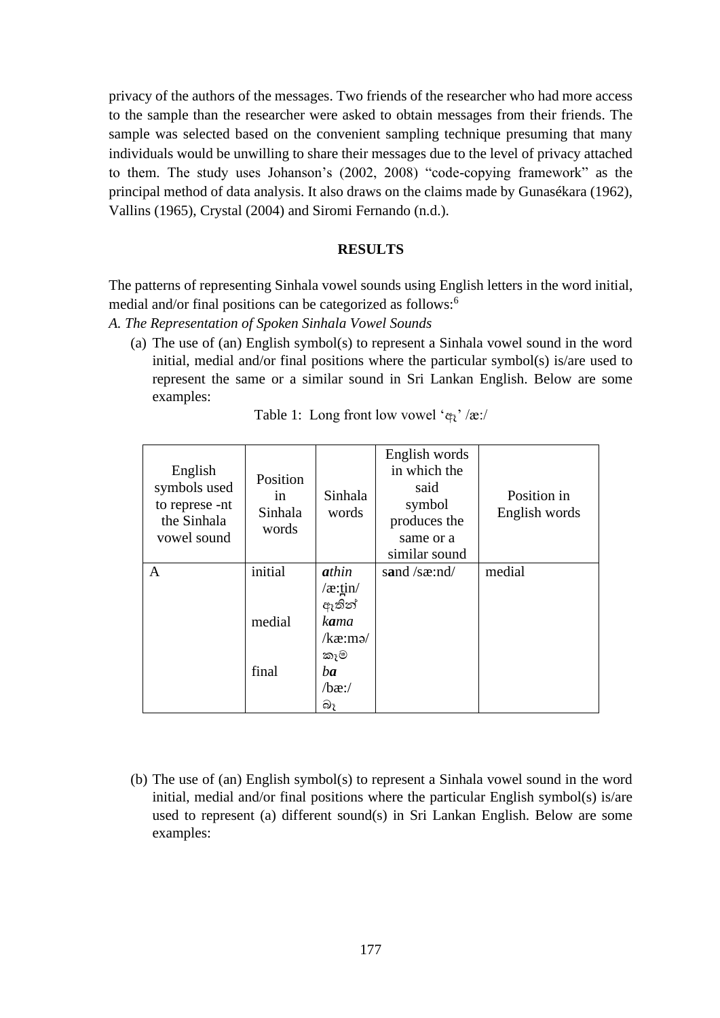privacy of the authors of the messages. Two friends of the researcher who had more access to the sample than the researcher were asked to obtain messages from their friends. The sample was selected based on the convenient sampling technique presuming that many individuals would be unwilling to share their messages due to the level of privacy attached to them. The study uses Johanson's (2002, 2008) "code-copying framework" as the principal method of data analysis. It also draws on the claims made by Gunasékara (1962), Vallins (1965), Crystal (2004) and Siromi Fernando (n.d.).

# **RESULTS**

The patterns of representing Sinhala vowel sounds using English letters in the word initial, medial and/or final positions can be categorized as follows:<sup>6</sup>

- *A. The Representation of Spoken Sinhala Vowel Sounds*
	- (a) The use of (an) English symbol(s) to represent a Sinhala vowel sound in the word initial, medial and/or final positions where the particular symbol(s) is/are used to represent the same or a similar sound in Sri Lankan English. Below are some examples:

| English<br>symbols used<br>to represe -nt<br>the Sinhala<br>vowel sound | Position<br>in<br>Sinhala<br>words | Sinhala<br>words | English words<br>in which the<br>said<br>symbol<br>produces the<br>same or a<br>similar sound | Position in<br>English words |
|-------------------------------------------------------------------------|------------------------------------|------------------|-----------------------------------------------------------------------------------------------|------------------------------|
| A                                                                       | initial                            | athin            | sand $/sæ:nd/$                                                                                | medial                       |
|                                                                         |                                    | $\alpha$ :tin/   |                                                                                               |                              |
|                                                                         |                                    | ඇතින්            |                                                                                               |                              |
|                                                                         | medial                             | kama             |                                                                                               |                              |
|                                                                         |                                    | kæ: mə/          |                                                                                               |                              |
|                                                                         |                                    | කෑම              |                                                                                               |                              |
|                                                                         | final                              | ba               |                                                                                               |                              |
|                                                                         |                                    | $/bæ$ :/         |                                                                                               |                              |
|                                                                         |                                    | බෑ               |                                                                                               |                              |

| Table 1: Long front low vowel ' $\varphi_i$ ' /æ:/ |  |  |  |  |  |
|----------------------------------------------------|--|--|--|--|--|
|----------------------------------------------------|--|--|--|--|--|

(b) The use of (an) English symbol(s) to represent a Sinhala vowel sound in the word initial, medial and/or final positions where the particular English symbol(s) is/are used to represent (a) different sound(s) in Sri Lankan English. Below are some examples: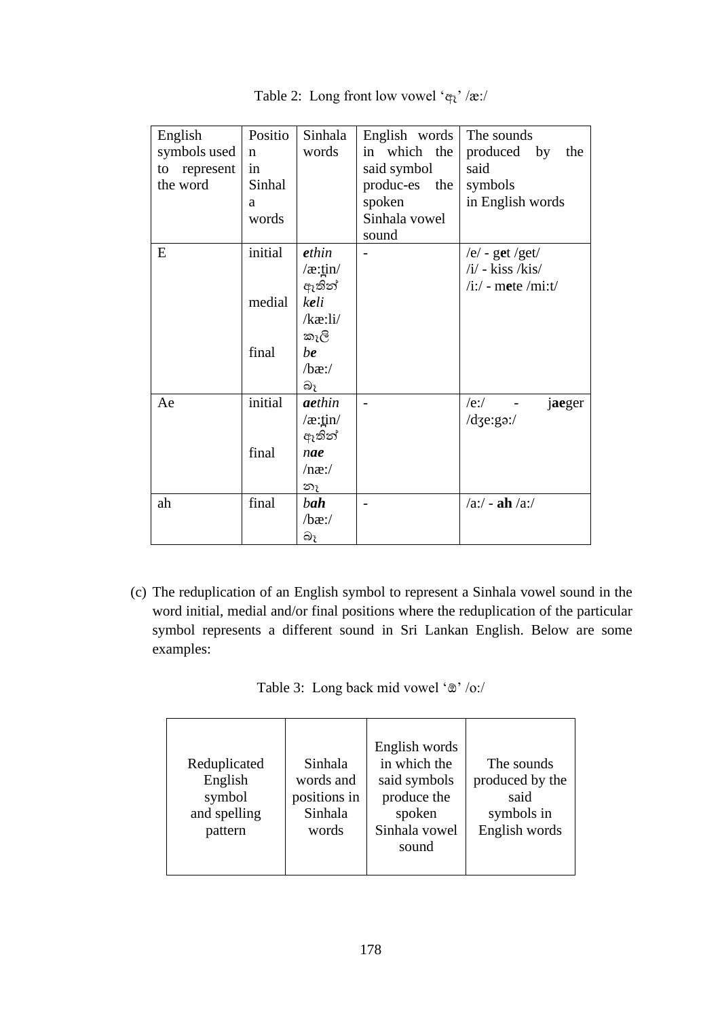| English      | Positio     | Sinhala                                      | English words | The sounds            |
|--------------|-------------|----------------------------------------------|---------------|-----------------------|
| symbols used | $\mathbf n$ | words                                        | in which the  | produced by<br>the    |
| to represent | in          |                                              | said symbol   | said                  |
| the word     | Sinhal      |                                              | produc-es the | symbols               |
|              | a           |                                              | spoken        | in English words      |
|              | words       |                                              | Sinhala vowel |                       |
|              |             |                                              | sound         |                       |
| E            | initial     | ethin                                        |               | /e/ - get /get/       |
|              |             | $\sqrt{x}$ : $\frac{\pi}{2}$                 |               | $/i'$ - kiss /kis/    |
|              |             | ඇතින්                                        |               | $/i$ :/ - mete /mi:t/ |
|              | medial      | keli                                         |               |                       |
|              |             | $/$ kæ:li $/$                                |               |                       |
|              |             | කෑලි                                         |               |                       |
|              | final       | be                                           |               |                       |
|              |             | $/bæ$ :/                                     |               |                       |
|              |             | බෑ                                           |               |                       |
| Ae           | initial     | aethin                                       |               | $/e$ :/<br>jaeger     |
|              |             | $\sqrt{\mathbf{x}}$ :tin $\sqrt{\mathbf{x}}$ |               | $/d$ ze:gə:/          |
|              |             | ඇතින්                                        |               |                       |
|              | final       | nae                                          |               |                       |
|              |             | $/$ næ: $/$                                  |               |                       |
|              |             | නෑ                                           |               |                       |
| ah           | final       | bah                                          |               | $/a$ :/ - ah $/a$ :/  |
|              |             | $/bæ$ :/                                     |               |                       |
|              |             | බෑ                                           |               |                       |

Table 2: Long front low vowel 'ඈ' /æ:/

(c) The reduplication of an English symbol to represent a Sinhala vowel sound in the word initial, medial and/or final positions where the reduplication of the particular symbol represents a different sound in Sri Lankan English. Below are some examples:

|  |  | Table 3: Long back mid vowel '®' /o:/ |  |  |  |
|--|--|---------------------------------------|--|--|--|
|--|--|---------------------------------------|--|--|--|

| Reduplicated<br>English<br>symbol<br>and spelling<br>pattern | Sinhala<br>words and<br>positions in<br>Sinhala<br>words | English words<br>in which the<br>said symbols<br>produce the<br>spoken<br>Sinhala vowel<br>sound | The sounds<br>produced by the<br>said<br>symbols in<br>English words |
|--------------------------------------------------------------|----------------------------------------------------------|--------------------------------------------------------------------------------------------------|----------------------------------------------------------------------|
|--------------------------------------------------------------|----------------------------------------------------------|--------------------------------------------------------------------------------------------------|----------------------------------------------------------------------|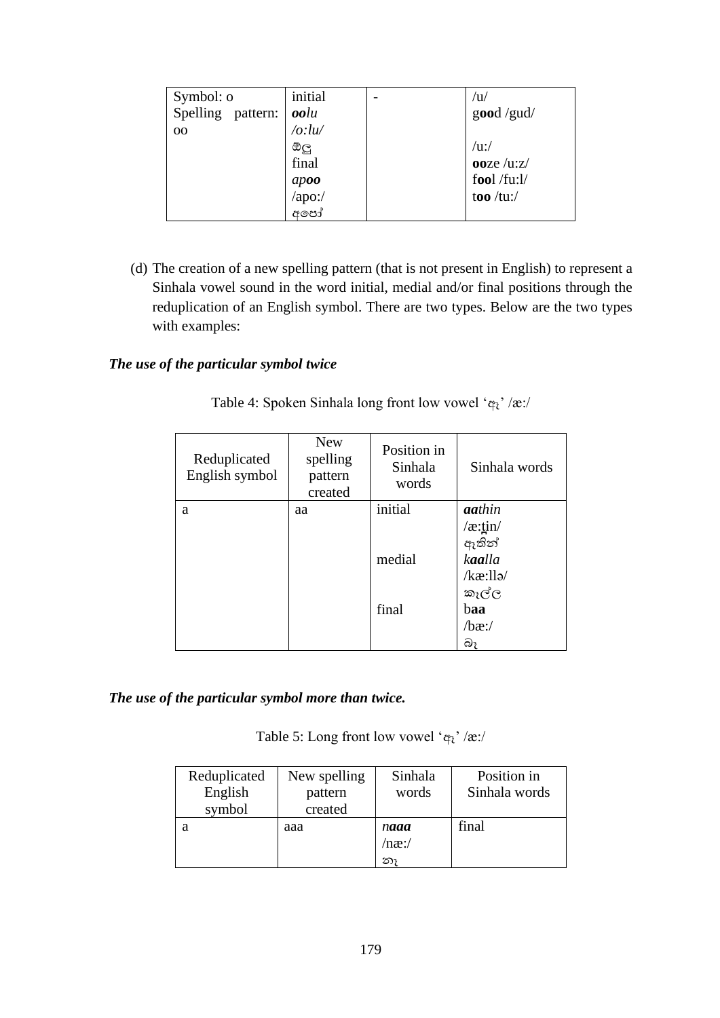| Symbol: o         | initial                 | /u/                 |
|-------------------|-------------------------|---------------------|
| Spelling pattern: | oolu                    | $\text{good}$ /gud/ |
| 00                | $\frac{1}{a}$ :lu/      |                     |
|                   | ඔලු                     | $/$ u:/             |
|                   | final                   | ooze $/uz/$         |
|                   |                         | fool /fu:l/         |
|                   | $apoo$<br>/apo:/<br>අපෝ | too /tu:/           |
|                   |                         |                     |

(d) The creation of a new spelling pattern (that is not present in English) to represent a Sinhala vowel sound in the word initial, medial and/or final positions through the reduplication of an English symbol. There are two types. Below are the two types with examples:

### *The use of the particular symbol twice*

| Reduplicated<br>English symbol | <b>New</b><br>spelling<br>pattern<br>created | Position in<br>Sinhala<br>words | Sinhala words |
|--------------------------------|----------------------------------------------|---------------------------------|---------------|
| a                              | aa                                           | initial                         | aathin        |
|                                |                                              |                                 | /æ:tin/       |
|                                |                                              |                                 | ඇතින්         |
|                                |                                              | medial                          | kaalla        |
|                                |                                              |                                 | /kæ:llə/      |
|                                |                                              |                                 | කැල්ල         |
|                                |                                              | final                           | baa           |
|                                |                                              |                                 | $/bæ$ :/      |
|                                |                                              |                                 | බෑ            |

Table 4: Spoken Sinhala long front low vowel 'ඈ' /æ:/

*The use of the particular symbol more than twice.* 

Table 5: Long front low vowel ' ${\bf q}_i$ ' /æ:/

| Reduplicated | New spelling | Sinhala     | Position in   |
|--------------|--------------|-------------|---------------|
| English      | pattern      | words       | Sinhala words |
| symbol       | created      |             |               |
| а            | aaa          | naaa        | final         |
|              |              | $/$ næ: $/$ |               |
|              |              | නා          |               |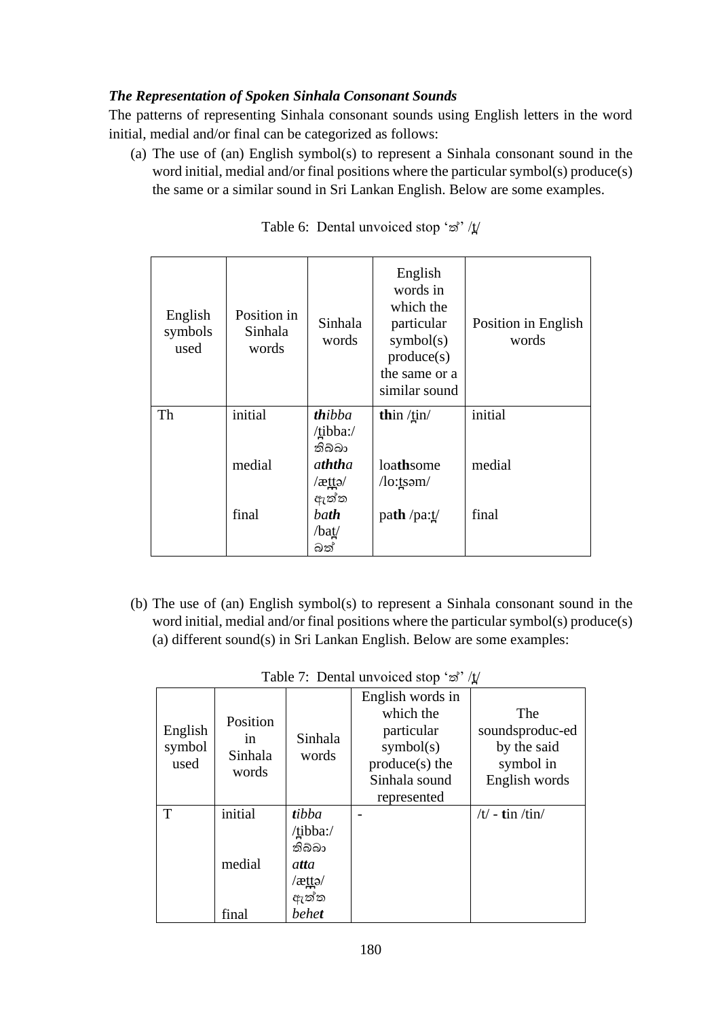# *The Representation of Spoken Sinhala Consonant Sounds*

The patterns of representing Sinhala consonant sounds using English letters in the word initial, medial and/or final can be categorized as follows:

(a) The use of (an) English symbol(s) to represent a Sinhala consonant sound in the word initial, medial and/or final positions where the particular symbol(s) produce(s) the same or a similar sound in Sri Lankan English. Below are some examples.

| English<br>symbols<br>used | Position in<br>Sinhala<br>words | Sinhala<br>words        | English<br>words in<br>which the<br>particular<br>symbol(s)<br>produce(s)<br>the same or a<br>similar sound | Position in English<br>words |
|----------------------------|---------------------------------|-------------------------|-------------------------------------------------------------------------------------------------------------|------------------------------|
| Th                         | initial                         | <b>th</b> ibba          | thin $\binom{t}{1}$                                                                                         | initial                      |
|                            |                                 | /tibba:/                |                                                                                                             |                              |
|                            | medial                          | තිබ්බා<br><i>aththa</i> | loathsome                                                                                                   | medial                       |
|                            |                                 | $\ell$ attə $\ell$      | $/$ lo: $t$ səm $/$                                                                                         |                              |
|                            |                                 | ඇත්ත                    |                                                                                                             |                              |
|                            | final                           | bath                    | path /pa: $t/$                                                                                              | final                        |
|                            |                                 | /bat/                   |                                                                                                             |                              |
|                            |                                 | බත්                     |                                                                                                             |                              |

Table 6: Dental unvoiced stop 'ත්' /t̪/

(b) The use of (an) English symbol(s) to represent a Sinhala consonant sound in the word initial, medial and/or final positions where the particular symbol(s) produce(s) (a) different sound(s) in Sri Lankan English. Below are some examples:

| English<br>symbol<br>used | Position<br>1n<br>Sinhala<br>words | Sinhala<br>words                                               | English words in<br>which the<br>particular<br>symbol(s)<br>$produce(s)$ the<br>Sinhala sound<br>represented | The<br>soundsproduc-ed<br>by the said<br>symbol in<br>English words |
|---------------------------|------------------------------------|----------------------------------------------------------------|--------------------------------------------------------------------------------------------------------------|---------------------------------------------------------------------|
| T                         | initial<br>medial<br>final         | tibba<br>/tibba:/<br>තිබ්බා<br>atta<br>/ættə/<br>ඇත්ත<br>behet |                                                                                                              | /t/ - tin /tin/                                                     |

|  |  | Table 7: Dental unvoiced stop ' $\mathcal{B}'$ ' /t̪/ |  |  |  |
|--|--|-------------------------------------------------------|--|--|--|
|--|--|-------------------------------------------------------|--|--|--|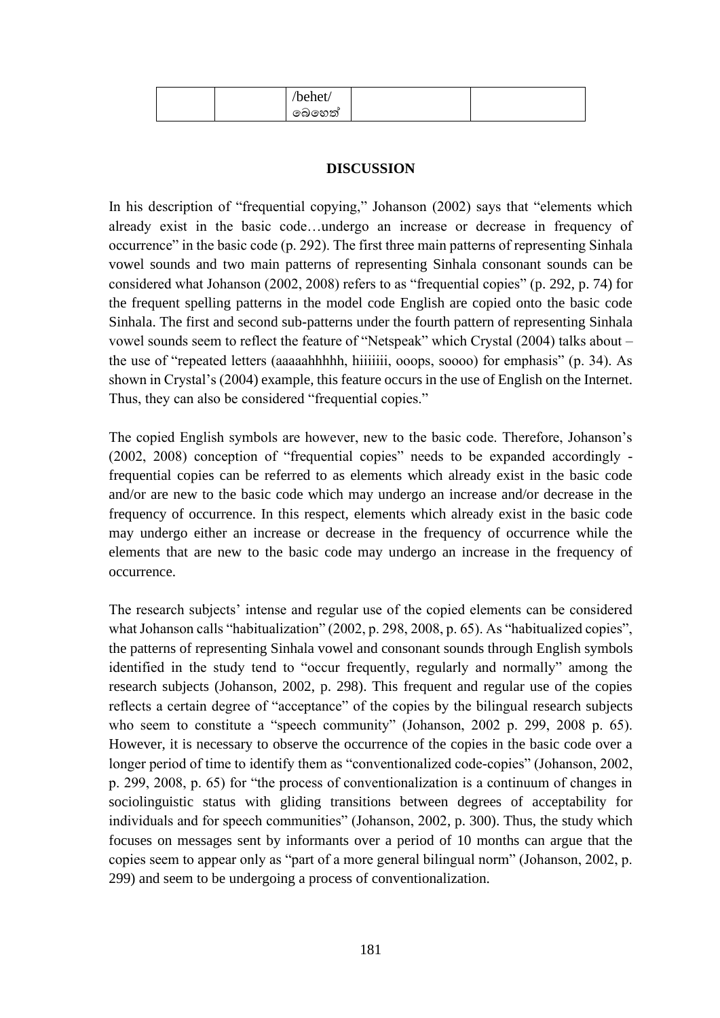| $\mathbf{r}$<br>'behet |  |
|------------------------|--|
| බෙහෙත්                 |  |

# **DISCUSSION**

In his description of "frequential copying," Johanson (2002) says that "elements which already exist in the basic code…undergo an increase or decrease in frequency of occurrence" in the basic code (p. 292). The first three main patterns of representing Sinhala vowel sounds and two main patterns of representing Sinhala consonant sounds can be considered what Johanson (2002, 2008) refers to as "frequential copies" (p. 292, p. 74) for the frequent spelling patterns in the model code English are copied onto the basic code Sinhala. The first and second sub-patterns under the fourth pattern of representing Sinhala vowel sounds seem to reflect the feature of "Netspeak" which Crystal (2004) talks about – the use of "repeated letters (aaaaahhhhh, hiiiiiii, ooops, soooo) for emphasis" (p. 34). As shown in Crystal's (2004) example, this feature occurs in the use of English on the Internet. Thus, they can also be considered "frequential copies."

The copied English symbols are however, new to the basic code. Therefore, Johanson's (2002, 2008) conception of "frequential copies" needs to be expanded accordingly frequential copies can be referred to as elements which already exist in the basic code and/or are new to the basic code which may undergo an increase and/or decrease in the frequency of occurrence. In this respect, elements which already exist in the basic code may undergo either an increase or decrease in the frequency of occurrence while the elements that are new to the basic code may undergo an increase in the frequency of occurrence.

The research subjects' intense and regular use of the copied elements can be considered what Johanson calls "habitualization" (2002, p. 298, 2008, p. 65). As "habitualized copies", the patterns of representing Sinhala vowel and consonant sounds through English symbols identified in the study tend to "occur frequently, regularly and normally" among the research subjects (Johanson, 2002, p. 298). This frequent and regular use of the copies reflects a certain degree of "acceptance" of the copies by the bilingual research subjects who seem to constitute a "speech community" (Johanson, 2002 p. 299, 2008 p. 65). However, it is necessary to observe the occurrence of the copies in the basic code over a longer period of time to identify them as "conventionalized code-copies" (Johanson, 2002, p. 299, 2008, p. 65) for "the process of conventionalization is a continuum of changes in sociolinguistic status with gliding transitions between degrees of acceptability for individuals and for speech communities" (Johanson, 2002, p. 300). Thus, the study which focuses on messages sent by informants over a period of 10 months can argue that the copies seem to appear only as "part of a more general bilingual norm" (Johanson, 2002, p. 299) and seem to be undergoing a process of conventionalization.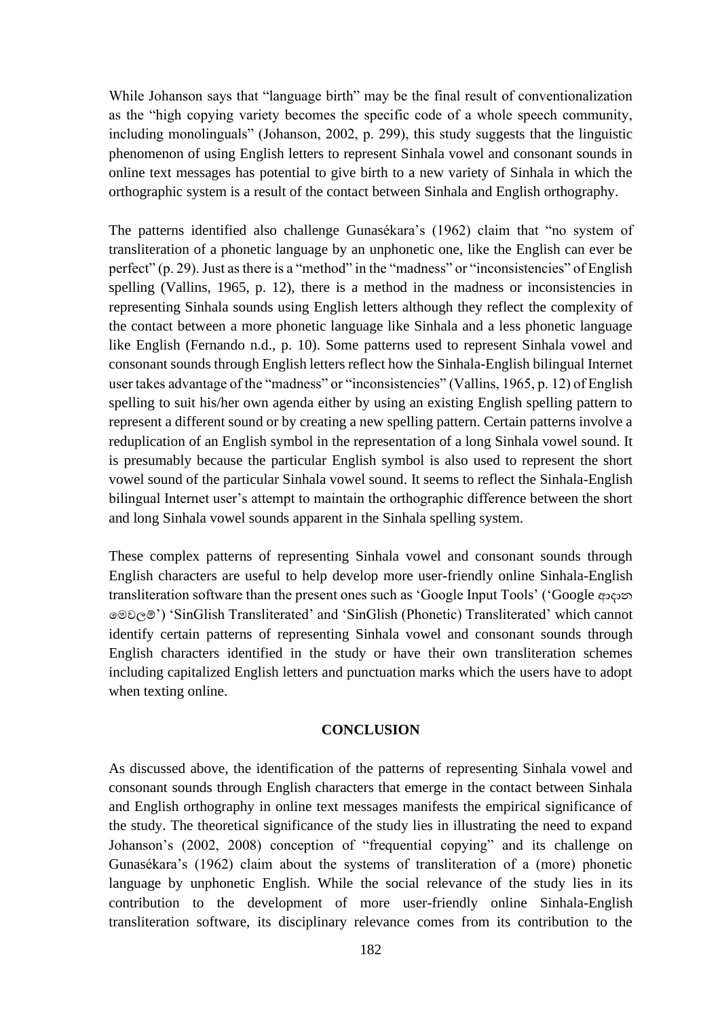While Johanson says that "language birth" may be the final result of conventionalization as the "high copying variety becomes the specific code of a whole speech community, including monolinguals" (Johanson, 2002, p. 299), this study suggests that the linguistic phenomenon of using English letters to represent Sinhala vowel and consonant sounds in online text messages has potential to give birth to a new variety of Sinhala in which the orthographic system is a result of the contact between Sinhala and English orthography.

The patterns identified also challenge Gunasékara's (1962) claim that "no system of transliteration of a phonetic language by an unphonetic one, like the English can ever be perfect" (p. 29). Just as there is a "method" in the "madness" or "inconsistencies" of English spelling (Vallins, 1965, p. 12), there is a method in the madness or inconsistencies in representing Sinhala sounds using English letters although they reflect the complexity of the contact between a more phonetic language like Sinhala and a less phonetic language like English (Fernando n.d., p. 10). Some patterns used to represent Sinhala vowel and consonant sounds through English letters reflect how the Sinhala-English bilingual Internet user takes advantage of the "madness" or "inconsistencies" (Vallins, 1965, p. 12) of English spelling to suit his/her own agenda either by using an existing English spelling pattern to represent a different sound or by creating a new spelling pattern. Certain patterns involve a reduplication of an English symbol in the representation of a long Sinhala vowel sound. It is presumably because the particular English symbol is also used to represent the short vowel sound of the particular Sinhala vowel sound. It seems to reflect the Sinhala-English bilingual Internet user's attempt to maintain the orthographic difference between the short and long Sinhala vowel sounds apparent in the Sinhala spelling system.

These complex patterns of representing Sinhala vowel and consonant sounds through English characters are useful to help develop more user-friendly online Sinhala-English transliteration software than the present ones such as 'Google Input Tools' ('Google ආදාන පමවලම්') 'SinGlish Transliterated' and 'SinGlish (Phonetic) Transliterated' which cannot identify certain patterns of representing Sinhala vowel and consonant sounds through English characters identified in the study or have their own transliteration schemes including capitalized English letters and punctuation marks which the users have to adopt when texting online.

### **CONCLUSION**

As discussed above, the identification of the patterns of representing Sinhala vowel and consonant sounds through English characters that emerge in the contact between Sinhala and English orthography in online text messages manifests the empirical significance of the study. The theoretical significance of the study lies in illustrating the need to expand Johanson's (2002, 2008) conception of "frequential copying" and its challenge on Gunasékara's (1962) claim about the systems of transliteration of a (more) phonetic language by unphonetic English. While the social relevance of the study lies in its contribution to the development of more user-friendly online Sinhala-English transliteration software, its disciplinary relevance comes from its contribution to the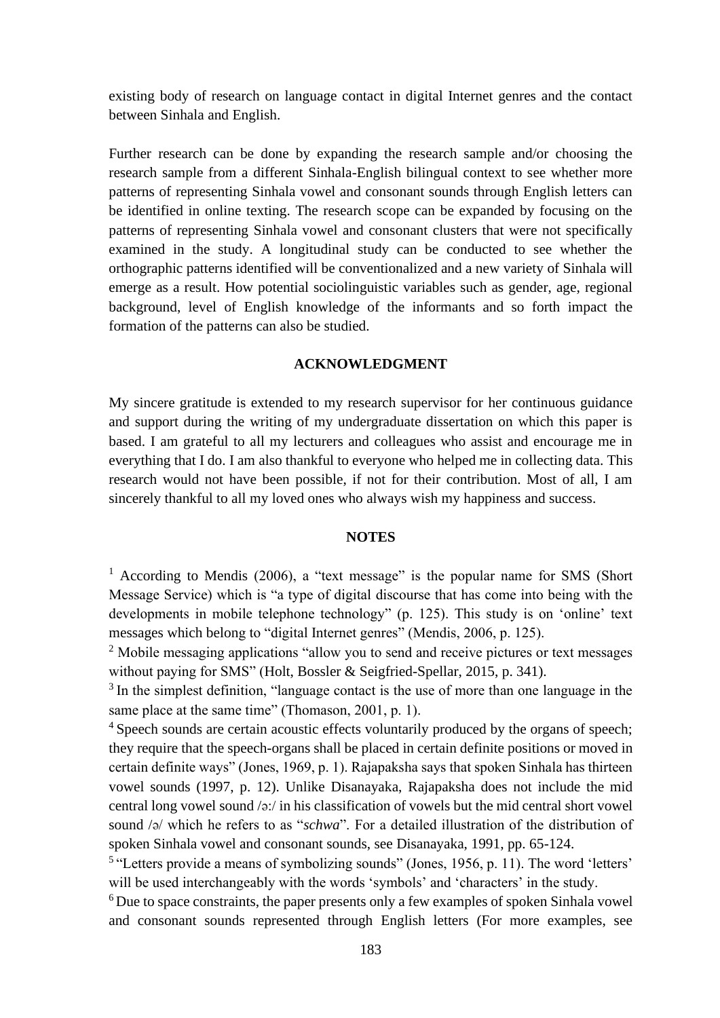existing body of research on language contact in digital Internet genres and the contact between Sinhala and English.

Further research can be done by expanding the research sample and/or choosing the research sample from a different Sinhala-English bilingual context to see whether more patterns of representing Sinhala vowel and consonant sounds through English letters can be identified in online texting. The research scope can be expanded by focusing on the patterns of representing Sinhala vowel and consonant clusters that were not specifically examined in the study. A longitudinal study can be conducted to see whether the orthographic patterns identified will be conventionalized and a new variety of Sinhala will emerge as a result. How potential sociolinguistic variables such as gender, age, regional background, level of English knowledge of the informants and so forth impact the formation of the patterns can also be studied.

### **ACKNOWLEDGMENT**

My sincere gratitude is extended to my research supervisor for her continuous guidance and support during the writing of my undergraduate dissertation on which this paper is based. I am grateful to all my lecturers and colleagues who assist and encourage me in everything that I do. I am also thankful to everyone who helped me in collecting data. This research would not have been possible, if not for their contribution. Most of all, I am sincerely thankful to all my loved ones who always wish my happiness and success.

### **NOTES**

<sup>1</sup> According to Mendis (2006), a "text message" is the popular name for SMS (Short Message Service) which is "a type of digital discourse that has come into being with the developments in mobile telephone technology" (p. 125). This study is on 'online' text messages which belong to "digital Internet genres" (Mendis, 2006, p. 125).

<sup>2</sup> Mobile messaging applications "allow you to send and receive pictures or text messages without paying for SMS" (Holt, Bossler & Seigfried-Spellar, 2015, p. 341).

<sup>3</sup> In the simplest definition, "language contact is the use of more than one language in the same place at the same time" (Thomason, 2001, p. 1).

<sup>4</sup> Speech sounds are certain acoustic effects voluntarily produced by the organs of speech; they require that the speech-organs shall be placed in certain definite positions or moved in certain definite ways" (Jones, 1969, p. 1). Rajapaksha says that spoken Sinhala has thirteen vowel sounds (1997, p. 12). Unlike Disanayaka, Rajapaksha does not include the mid central long vowel sound  $\sqrt{\frac{a}{c}}$  in his classification of vowels but the mid central short vowel sound /ə/ which he refers to as "*schwa*". For a detailed illustration of the distribution of spoken Sinhala vowel and consonant sounds, see Disanayaka, 1991, pp. 65-124.

<sup>6</sup>Due to space constraints, the paper presents only a few examples of spoken Sinhala vowel and consonant sounds represented through English letters (For more examples, see

<sup>&</sup>lt;sup>5</sup> "Letters provide a means of symbolizing sounds" (Jones, 1956, p. 11). The word 'letters' will be used interchangeably with the words 'symbols' and 'characters' in the study.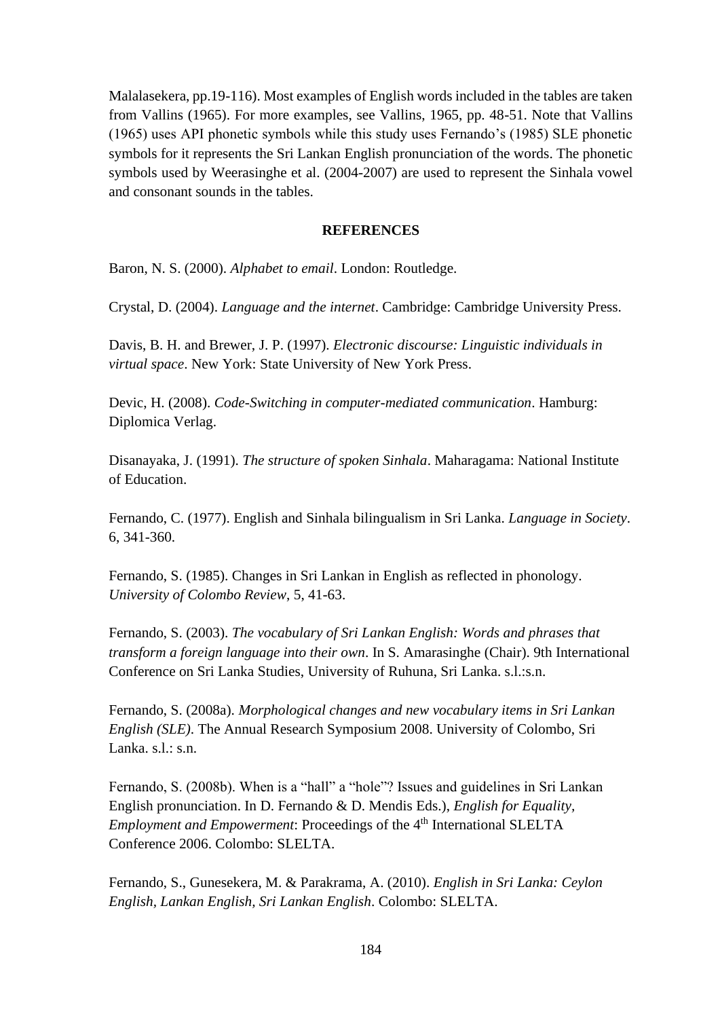Malalasekera, pp.19-116). Most examples of English words included in the tables are taken from Vallins (1965). For more examples, see Vallins, 1965, pp. 48-51. Note that Vallins (1965) uses API phonetic symbols while this study uses Fernando's (1985) SLE phonetic symbols for it represents the Sri Lankan English pronunciation of the words. The phonetic symbols used by Weerasinghe et al. (2004-2007) are used to represent the Sinhala vowel and consonant sounds in the tables.

### **REFERENCES**

Baron, N. S. (2000). *Alphabet to email*. London: Routledge.

Crystal, D. (2004). *Language and the internet*. Cambridge: Cambridge University Press.

Davis, B. H. and Brewer, J. P. (1997). *Electronic discourse: Linguistic individuals in virtual space*. New York: State University of New York Press.

Devic, H. (2008). *Code-Switching in computer-mediated communication*. Hamburg: Diplomica Verlag.

Disanayaka, J. (1991). *The structure of spoken Sinhala*. Maharagama: National Institute of Education.

Fernando, C. (1977). English and Sinhala bilingualism in Sri Lanka. *Language in Society*. 6, 341-360.

Fernando, S. (1985). Changes in Sri Lankan in English as reflected in phonology. *University of Colombo Review*, 5, 41-63.

Fernando, S. (2003). *The vocabulary of Sri Lankan English: Words and phrases that transform a foreign language into their own*. In S. Amarasinghe (Chair). 9th International Conference on Sri Lanka Studies, University of Ruhuna, Sri Lanka. s.l.:s.n.

Fernando, S. (2008a). *Morphological changes and new vocabulary items in Sri Lankan English (SLE)*. The Annual Research Symposium 2008. University of Colombo, Sri Lanka. s.l.: s.n.

Fernando, S. (2008b). When is a "hall" a "hole"? Issues and guidelines in Sri Lankan English pronunciation. In D. Fernando & D. Mendis Eds.), *English for Equality, Employment and Empowerment*: Proceedings of the 4<sup>th</sup> International SLELTA Conference 2006. Colombo: SLELTA.

Fernando, S., Gunesekera, M. & Parakrama, A. (2010). *English in Sri Lanka: Ceylon English, Lankan English, Sri Lankan English*. Colombo: SLELTA.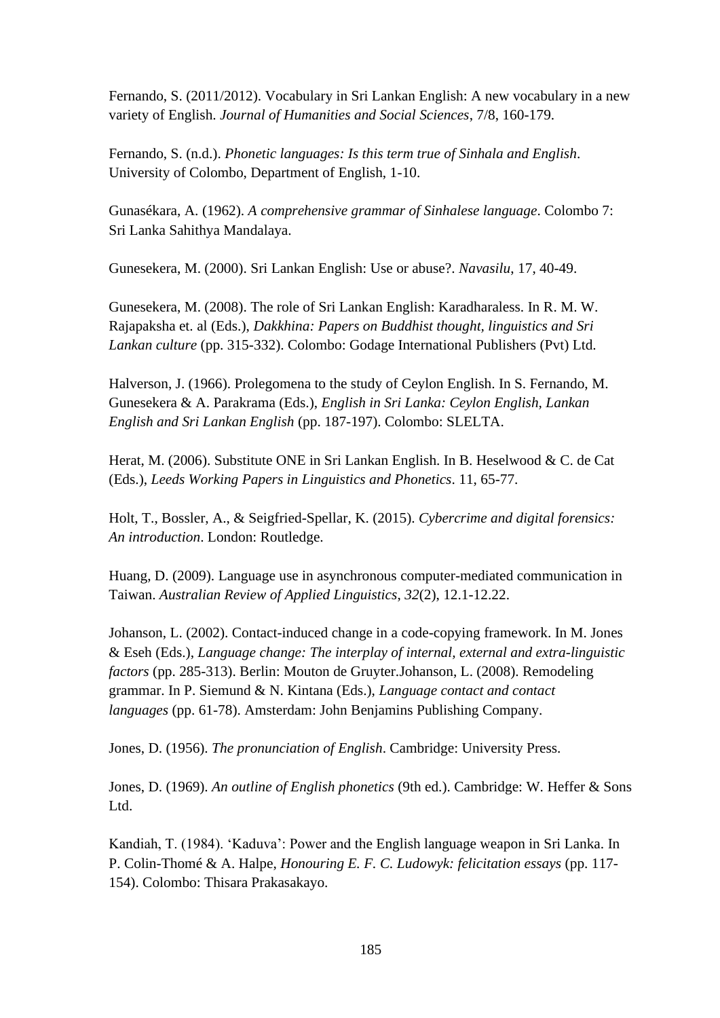Fernando, S. (2011/2012). Vocabulary in Sri Lankan English: A new vocabulary in a new variety of English. *Journal of Humanities and Social Sciences*, 7/8, 160-179.

Fernando, S. (n.d.). *Phonetic languages: Is this term true of Sinhala and English*. University of Colombo, Department of English, 1-10.

Gunasékara, A. (1962). *A comprehensive grammar of Sinhalese language*. Colombo 7: Sri Lanka Sahithya Mandalaya.

Gunesekera, M. (2000). Sri Lankan English: Use or abuse?. *Navasilu*, 17, 40-49.

Gunesekera, M. (2008). The role of Sri Lankan English: Karadharaless. In R. M. W. Rajapaksha et. al (Eds.), *Dakkhina: Papers on Buddhist thought, linguistics and Sri Lankan culture* (pp. 315-332). Colombo: Godage International Publishers (Pvt) Ltd.

Halverson, J. (1966). Prolegomena to the study of Ceylon English. In S. Fernando, M. Gunesekera & A. Parakrama (Eds.), *English in Sri Lanka: Ceylon English, Lankan English and Sri Lankan English* (pp. 187-197). Colombo: SLELTA.

Herat, M. (2006). Substitute ONE in Sri Lankan English. In B. Heselwood & C. de Cat (Eds.), *Leeds Working Papers in Linguistics and Phonetics*. 11, 65-77.

Holt, T., Bossler, A., & Seigfried-Spellar, K. (2015). *Cybercrime and digital forensics: An introduction*. London: Routledge.

Huang, D. (2009). Language use in asynchronous computer-mediated communication in Taiwan. *Australian Review of Applied Linguistics*, *32*(2), 12.1-12.22.

Johanson, L. (2002). Contact-induced change in a code-copying framework. In M. Jones & Eseh (Eds.), *Language change: The interplay of internal, external and extra-linguistic factors* (pp. 285-313). Berlin: Mouton de Gruyter.Johanson, L. (2008). Remodeling grammar. In P. Siemund & N. Kintana (Eds.), *Language contact and contact languages* (pp. 61-78). Amsterdam: John Benjamins Publishing Company.

Jones, D. (1956). *The pronunciation of English*. Cambridge: University Press.

Jones, D. (1969). *An outline of English phonetics* (9th ed.). Cambridge: W. Heffer & Sons Ltd.

Kandiah, T. (1984). 'Kaduva': Power and the English language weapon in Sri Lanka. In P. Colin-Thomé & A. Halpe, *Honouring E. F. C. Ludowyk: felicitation essays* (pp. 117- 154). Colombo: Thisara Prakasakayo.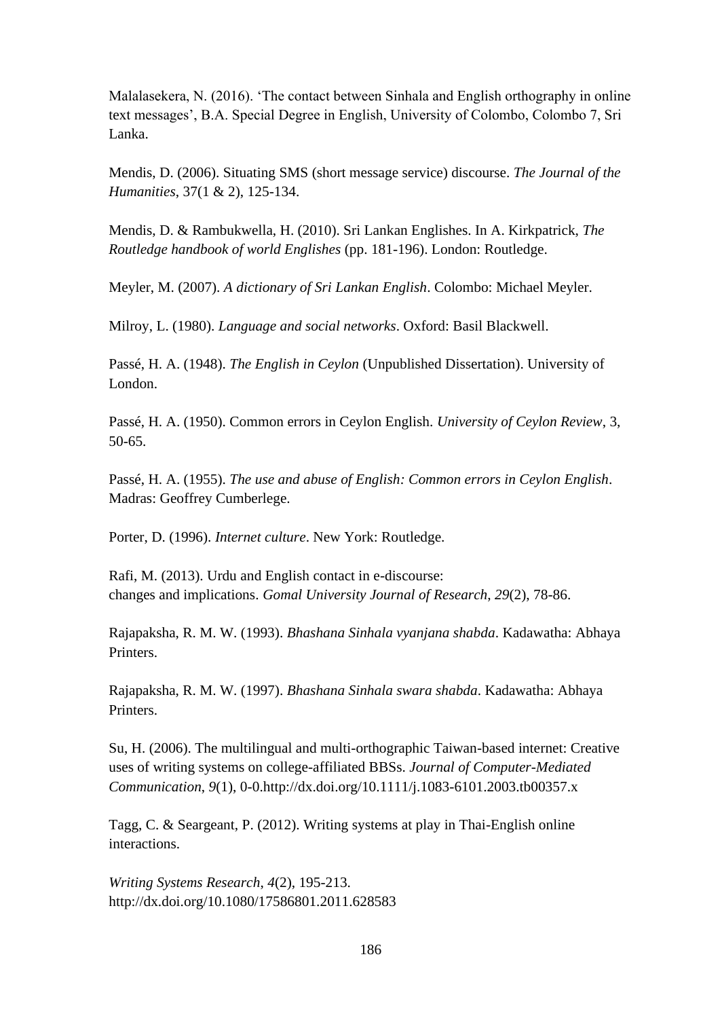Malalasekera, N. (2016). 'The contact between Sinhala and English orthography in online text messages', B.A. Special Degree in English, University of Colombo, Colombo 7, Sri Lanka.

Mendis, D. (2006). Situating SMS (short message service) discourse. *The Journal of the Humanities*, 37(1 & 2), 125-134.

Mendis, D. & Rambukwella, H. (2010). Sri Lankan Englishes. In A. Kirkpatrick, *The Routledge handbook of world Englishes* (pp. 181-196). London: Routledge.

Meyler, M. (2007). *A dictionary of Sri Lankan English*. Colombo: Michael Meyler.

Milroy, L. (1980). *Language and social networks*. Oxford: Basil Blackwell.

Passé, H. A. (1948). *The English in Ceylon* (Unpublished Dissertation). University of London.

Passé, H. A. (1950). Common errors in Ceylon English. *University of Ceylon Review*, 3, 50-65.

Passé, H. A. (1955). *The use and abuse of English: Common errors in Ceylon English*. Madras: Geoffrey Cumberlege.

Porter, D. (1996). *Internet culture*. New York: Routledge.

Rafi, M. (2013). Urdu and English contact in e-discourse: changes and implications. *Gomal University Journal of Research*, *29*(2), 78-86.

Rajapaksha, R. M. W. (1993). *Bhashana Sinhala vyanjana shabda*. Kadawatha: Abhaya Printers.

Rajapaksha, R. M. W. (1997). *Bhashana Sinhala swara shabda*. Kadawatha: Abhaya Printers.

Su, H. (2006). The multilingual and multi-orthographic Taiwan-based internet: Creative uses of writing systems on college-affiliated BBSs. *Journal of Computer-Mediated Communication*, *9*(1), 0-0.http://dx.doi.org/10.1111/j.1083-6101.2003.tb00357.x

Tagg, C. & Seargeant, P. (2012). Writing systems at play in Thai-English online interactions.

*Writing Systems Research*, *4*(2), 195-213. http://dx.doi.org/10.1080/17586801.2011.628583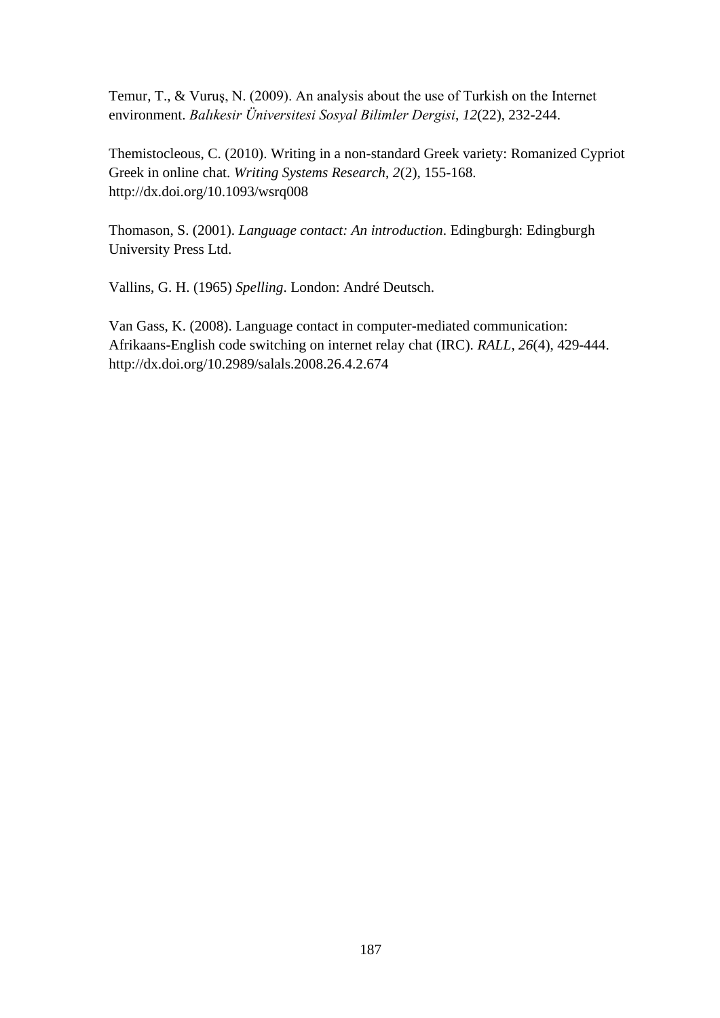Temur, T., & Vuruş, N. (2009). An analysis about the use of Turkish on the Internet environment. *Balıkesir Üniversitesi Sosyal Bilimler Dergisi*, *12*(22), 232-244.

Themistocleous, C. (2010). Writing in a non-standard Greek variety: Romanized Cypriot Greek in online chat. *Writing Systems Research*, *2*(2), 155-168. http://dx.doi.org/10.1093/wsrq008

Thomason, S. (2001). *Language contact: An introduction*. Edingburgh: Edingburgh University Press Ltd.

Vallins, G. H. (1965) *Spelling*. London: André Deutsch.

Van Gass, K. (2008). Language contact in computer-mediated communication: Afrikaans-English code switching on internet relay chat (IRC). *RALL*, *26*(4), 429-444. http://dx.doi.org/10.2989/salals.2008.26.4.2.674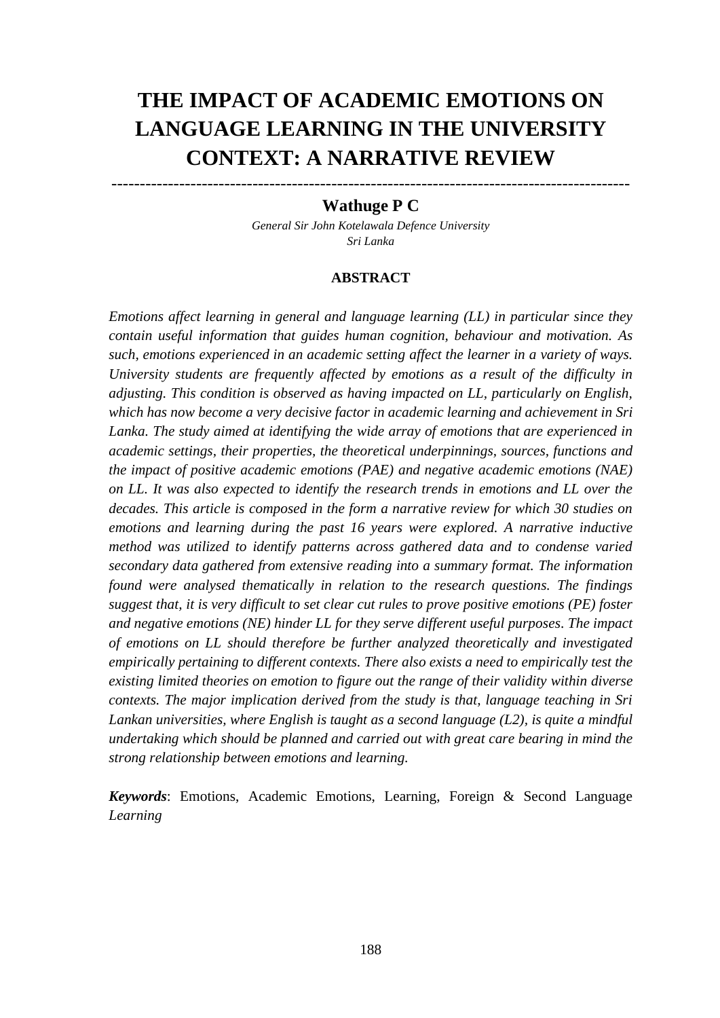# **THE IMPACT OF ACADEMIC EMOTIONS ON LANGUAGE LEARNING IN THE UNIVERSITY CONTEXT: A NARRATIVE REVIEW**

# -------------------------------------------------------------------------------------------- **Wathuge P C**

*General Sir John Kotelawala Defence University Sri Lanka* 

### **ABSTRACT**

*Emotions affect learning in general and language learning (LL) in particular since they contain useful information that guides human cognition, behaviour and motivation. As such, emotions experienced in an academic setting affect the learner in a variety of ways. University students are frequently affected by emotions as a result of the difficulty in adjusting. This condition is observed as having impacted on LL, particularly on English, which has now become a very decisive factor in academic learning and achievement in Sri Lanka. The study aimed at identifying the wide array of emotions that are experienced in academic settings, their properties, the theoretical underpinnings, sources, functions and the impact of positive academic emotions (PAE) and negative academic emotions (NAE) on LL. It was also expected to identify the research trends in emotions and LL over the decades. This article is composed in the form a narrative review for which 30 studies on emotions and learning during the past 16 years were explored. A narrative inductive method was utilized to identify patterns across gathered data and to condense varied secondary data gathered from extensive reading into a summary format. The information found were analysed thematically in relation to the research questions. The findings suggest that, it is very difficult to set clear cut rules to prove positive emotions (PE) foster and negative emotions (NE) hinder LL for they serve different useful purposes. The impact of emotions on LL should therefore be further analyzed theoretically and investigated empirically pertaining to different contexts. There also exists a need to empirically test the existing limited theories on emotion to figure out the range of their validity within diverse contexts. The major implication derived from the study is that, language teaching in Sri Lankan universities, where English is taught as a second language (L2), is quite a mindful undertaking which should be planned and carried out with great care bearing in mind the strong relationship between emotions and learning.* 

*Keywords*: Emotions, Academic Emotions, Learning, Foreign & Second Language *Learning*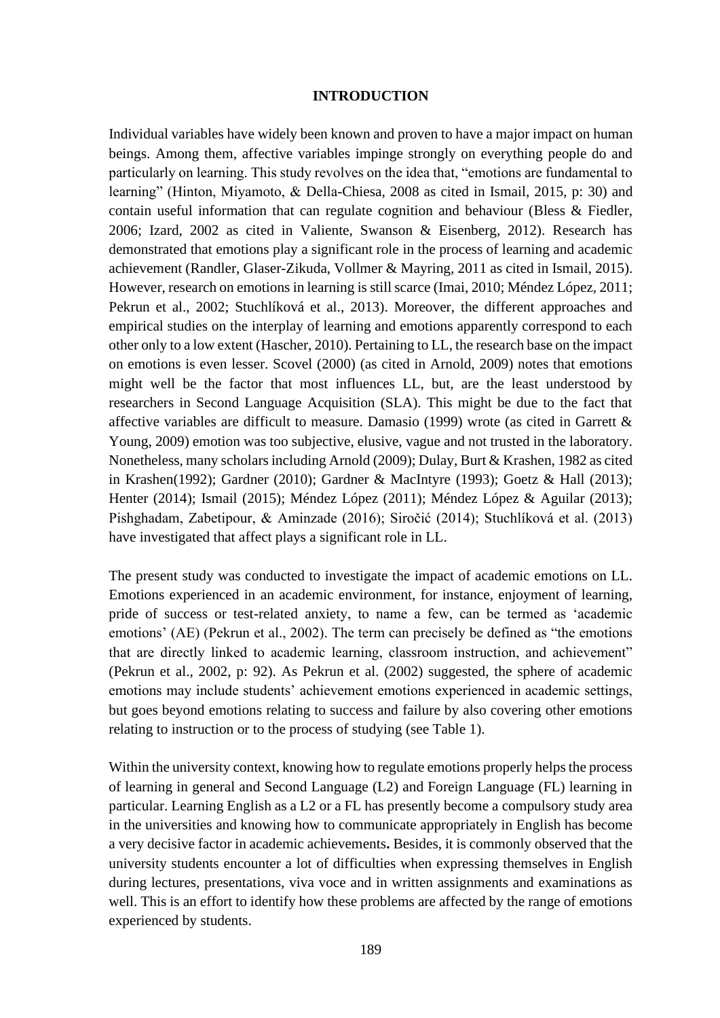### **INTRODUCTION**

Individual variables have widely been known and proven to have a major impact on human beings. Among them, affective variables impinge strongly on everything people do and particularly on learning. This study revolves on the idea that, "emotions are fundamental to learning" (Hinton, Miyamoto, & Della-Chiesa, 2008 as cited in Ismail, 2015, p: 30) and contain useful information that can regulate cognition and behaviour (Bless & Fiedler, 2006; Izard, 2002 as cited in Valiente, Swanson & Eisenberg, 2012). Research has demonstrated that emotions play a significant role in the process of learning and academic achievement (Randler, Glaser-Zikuda, Vollmer & Mayring, 2011 as cited in Ismail, 2015). However, research on emotions in learning is still scarce (Imai, 2010; Méndez López, 2011; Pekrun et al., 2002; Stuchlíková et al., 2013). Moreover, the different approaches and empirical studies on the interplay of learning and emotions apparently correspond to each other only to a low extent (Hascher, 2010). Pertaining to LL, the research base on the impact on emotions is even lesser. Scovel (2000) (as cited in Arnold, 2009) notes that emotions might well be the factor that most influences LL, but, are the least understood by researchers in Second Language Acquisition (SLA). This might be due to the fact that affective variables are difficult to measure. Damasio (1999) wrote (as cited in Garrett & Young, 2009) emotion was too subjective, elusive, vague and not trusted in the laboratory. Nonetheless, many scholars including Arnold (2009); Dulay, Burt & Krashen, 1982 as cited in Krashen(1992); Gardner (2010); Gardner & MacIntyre (1993); Goetz & Hall (2013); Henter (2014); Ismail (2015); Méndez López (2011); Méndez López & Aguilar (2013); Pishghadam, Zabetipour, & Aminzade (2016); Siročić (2014); Stuchlíková et al. (2013) have investigated that affect plays a significant role in LL.

The present study was conducted to investigate the impact of academic emotions on LL. Emotions experienced in an academic environment, for instance, enjoyment of learning, pride of success or test-related anxiety, to name a few, can be termed as 'academic emotions' (AE) (Pekrun et al., 2002). The term can precisely be defined as "the emotions that are directly linked to academic learning, classroom instruction, and achievement" (Pekrun et al., 2002, p: 92). As Pekrun et al. (2002) suggested, the sphere of academic emotions may include students' achievement emotions experienced in academic settings, but goes beyond emotions relating to success and failure by also covering other emotions relating to instruction or to the process of studying (see Table 1).

Within the university context, knowing how to regulate emotions properly helps the process of learning in general and Second Language (L2) and Foreign Language (FL) learning in particular. Learning English as a L2 or a FL has presently become a compulsory study area in the universities and knowing how to communicate appropriately in English has become a very decisive factor in academic achievements**.** Besides, it is commonly observed that the university students encounter a lot of difficulties when expressing themselves in English during lectures, presentations, viva voce and in written assignments and examinations as well. This is an effort to identify how these problems are affected by the range of emotions experienced by students.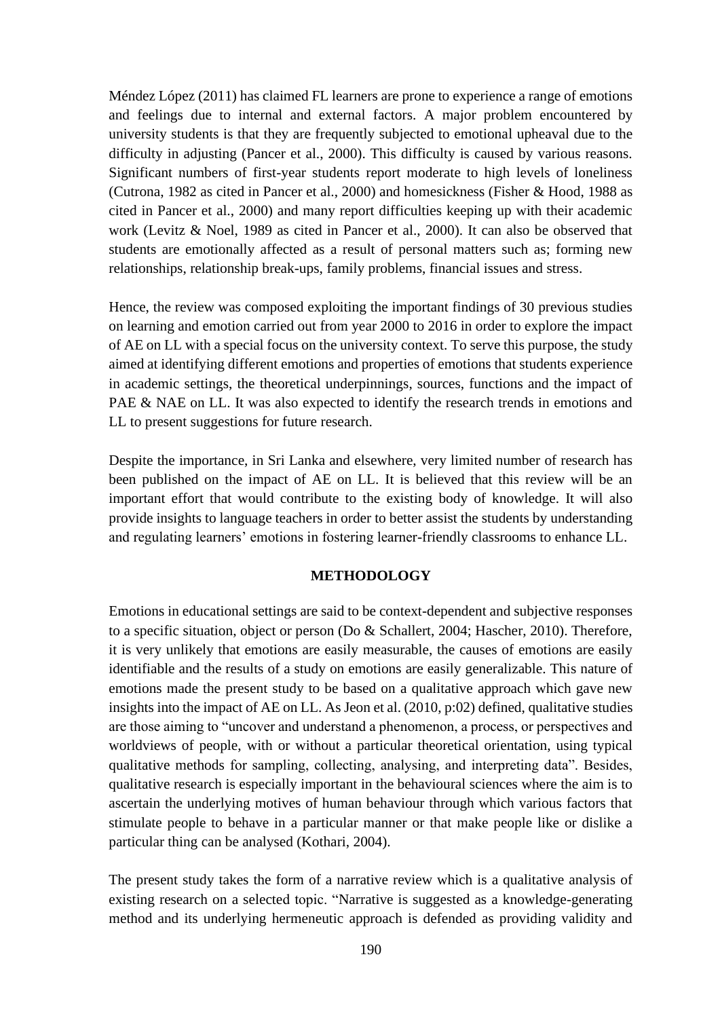Méndez López (2011) has claimed FL learners are prone to experience a range of emotions and feelings due to internal and external factors. A major problem encountered by university students is that they are frequently subjected to emotional upheaval due to the difficulty in adjusting (Pancer et al., 2000). This difficulty is caused by various reasons. Significant numbers of first-year students report moderate to high levels of loneliness (Cutrona, 1982 as cited in Pancer et al., 2000) and homesickness (Fisher & Hood, 1988 as cited in Pancer et al., 2000) and many report difficulties keeping up with their academic work (Levitz & Noel, 1989 as cited in Pancer et al., 2000). It can also be observed that students are emotionally affected as a result of personal matters such as; forming new relationships, relationship break-ups, family problems, financial issues and stress.

Hence, the review was composed exploiting the important findings of 30 previous studies on learning and emotion carried out from year 2000 to 2016 in order to explore the impact of AE on LL with a special focus on the university context. To serve this purpose, the study aimed at identifying different emotions and properties of emotions that students experience in academic settings, the theoretical underpinnings, sources, functions and the impact of PAE & NAE on LL. It was also expected to identify the research trends in emotions and LL to present suggestions for future research.

Despite the importance, in Sri Lanka and elsewhere, very limited number of research has been published on the impact of AE on LL. It is believed that this review will be an important effort that would contribute to the existing body of knowledge. It will also provide insights to language teachers in order to better assist the students by understanding and regulating learners' emotions in fostering learner-friendly classrooms to enhance LL.

### **METHODOLOGY**

Emotions in educational settings are said to be context-dependent and subjective responses to a specific situation, object or person (Do & Schallert, 2004; Hascher, 2010). Therefore, it is very unlikely that emotions are easily measurable, the causes of emotions are easily identifiable and the results of a study on emotions are easily generalizable. This nature of emotions made the present study to be based on a qualitative approach which gave new insights into the impact of AE on LL. As Jeon et al. (2010, p:02) defined, qualitative studies are those aiming to "uncover and understand a phenomenon, a process, or perspectives and worldviews of people, with or without a particular theoretical orientation, using typical qualitative methods for sampling, collecting, analysing, and interpreting data". Besides, qualitative research is especially important in the behavioural sciences where the aim is to ascertain the underlying motives of human behaviour through which various factors that stimulate people to behave in a particular manner or that make people like or dislike a particular thing can be analysed (Kothari, 2004).

The present study takes the form of a narrative review which is a qualitative analysis of existing research on a selected topic. "Narrative is suggested as a knowledge-generating method and its underlying hermeneutic approach is defended as providing validity and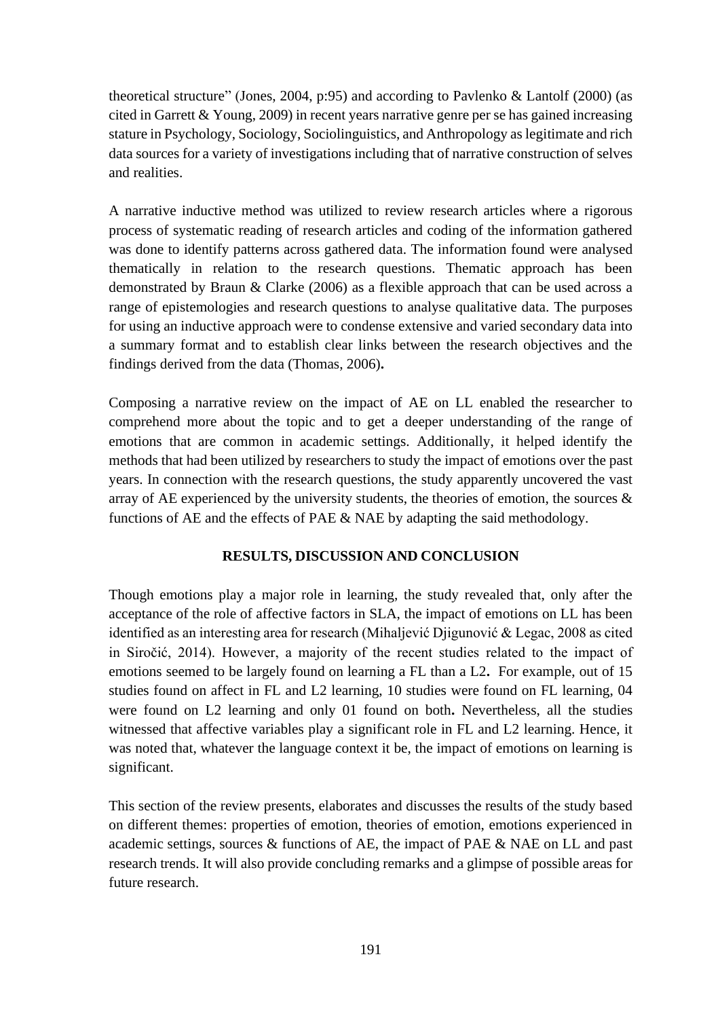theoretical structure" (Jones, 2004, p:95) and according to Pavlenko & Lantolf (2000) (as cited in Garrett  $& Young, 2009$  in recent years narrative genre per se has gained increasing stature in Psychology, Sociology, Sociolinguistics, and Anthropology as legitimate and rich data sources for a variety of investigations including that of narrative construction of selves and realities.

A narrative inductive method was utilized to review research articles where a rigorous process of systematic reading of research articles and coding of the information gathered was done to identify patterns across gathered data. The information found were analysed thematically in relation to the research questions. Thematic approach has been demonstrated by Braun & Clarke (2006) as a flexible approach that can be used across a range of epistemologies and research questions to analyse qualitative data. The purposes for using an inductive approach were to condense extensive and varied secondary data into a summary format and to establish clear links between the research objectives and the findings derived from the data (Thomas, 2006)**.** 

Composing a narrative review on the impact of AE on LL enabled the researcher to comprehend more about the topic and to get a deeper understanding of the range of emotions that are common in academic settings. Additionally, it helped identify the methods that had been utilized by researchers to study the impact of emotions over the past years. In connection with the research questions, the study apparently uncovered the vast array of AE experienced by the university students, the theories of emotion, the sources  $\&$ functions of AE and the effects of PAE & NAE by adapting the said methodology.

# **RESULTS, DISCUSSION AND CONCLUSION**

Though emotions play a major role in learning, the study revealed that, only after the acceptance of the role of affective factors in SLA, the impact of emotions on LL has been identified as an interesting area for research (Mihaljević Djigunović & Legac, 2008 as cited in Siročić, 2014). However, a majority of the recent studies related to the impact of emotions seemed to be largely found on learning a FL than a L2**.** For example, out of 15 studies found on affect in FL and L2 learning, 10 studies were found on FL learning, 04 were found on L2 learning and only 01 found on both**.** Nevertheless, all the studies witnessed that affective variables play a significant role in FL and L2 learning. Hence, it was noted that, whatever the language context it be, the impact of emotions on learning is significant.

This section of the review presents, elaborates and discusses the results of the study based on different themes: properties of emotion, theories of emotion, emotions experienced in academic settings, sources & functions of AE, the impact of PAE & NAE on LL and past research trends. It will also provide concluding remarks and a glimpse of possible areas for future research.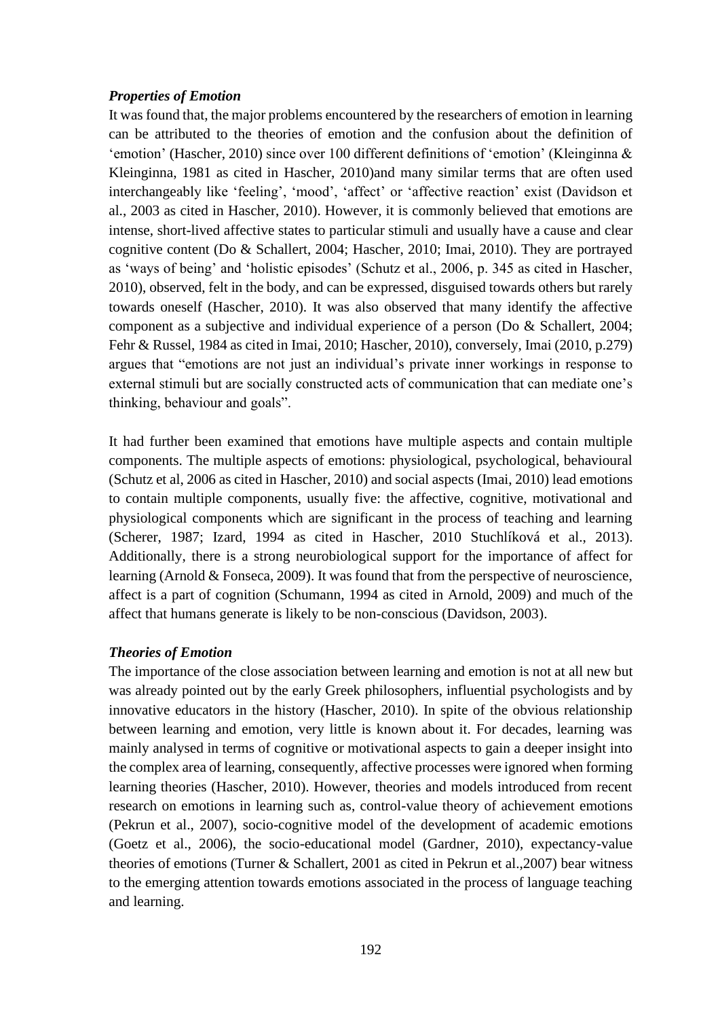## *Properties of Emotion*

It was found that, the major problems encountered by the researchers of emotion in learning can be attributed to the theories of emotion and the confusion about the definition of 'emotion' (Hascher, 2010) since over 100 different definitions of 'emotion' (Kleinginna & Kleinginna, 1981 as cited in Hascher, 2010)and many similar terms that are often used interchangeably like 'feeling', 'mood', 'affect' or 'affective reaction' exist (Davidson et al., 2003 as cited in Hascher, 2010). However, it is commonly believed that emotions are intense, short-lived affective states to particular stimuli and usually have a cause and clear cognitive content (Do & Schallert, 2004; Hascher, 2010; Imai, 2010). They are portrayed as 'ways of being' and 'holistic episodes' (Schutz et al., 2006, p. 345 as cited in Hascher, 2010), observed, felt in the body, and can be expressed, disguised towards others but rarely towards oneself (Hascher, 2010). It was also observed that many identify the affective component as a subjective and individual experience of a person (Do & Schallert, 2004; Fehr & Russel, 1984 as cited in Imai, 2010; Hascher, 2010), conversely, Imai (2010, p.279) argues that "emotions are not just an individual's private inner workings in response to external stimuli but are socially constructed acts of communication that can mediate one's thinking, behaviour and goals".

It had further been examined that emotions have multiple aspects and contain multiple components. The multiple aspects of emotions: physiological, psychological, behavioural (Schutz et al, 2006 as cited in Hascher, 2010) and social aspects (Imai, 2010) lead emotions to contain multiple components, usually five: the affective, cognitive, motivational and physiological components which are significant in the process of teaching and learning (Scherer, 1987; Izard, 1994 as cited in Hascher, 2010 Stuchlíková et al., 2013). Additionally, there is a strong neurobiological support for the importance of affect for learning (Arnold & Fonseca, 2009). It was found that from the perspective of neuroscience, affect is a part of cognition (Schumann, 1994 as cited in Arnold, 2009) and much of the affect that humans generate is likely to be non-conscious (Davidson, 2003).

# *Theories of Emotion*

The importance of the close association between learning and emotion is not at all new but was already pointed out by the early Greek philosophers, influential psychologists and by innovative educators in the history (Hascher, 2010). In spite of the obvious relationship between learning and emotion, very little is known about it. For decades, learning was mainly analysed in terms of cognitive or motivational aspects to gain a deeper insight into the complex area of learning, consequently, affective processes were ignored when forming learning theories (Hascher, 2010). However, theories and models introduced from recent research on emotions in learning such as, control-value theory of achievement emotions (Pekrun et al., 2007), socio-cognitive model of the development of academic emotions (Goetz et al., 2006), the socio-educational model (Gardner, 2010), expectancy-value theories of emotions (Turner & Schallert, 2001 as cited in Pekrun et al.,2007) bear witness to the emerging attention towards emotions associated in the process of language teaching and learning.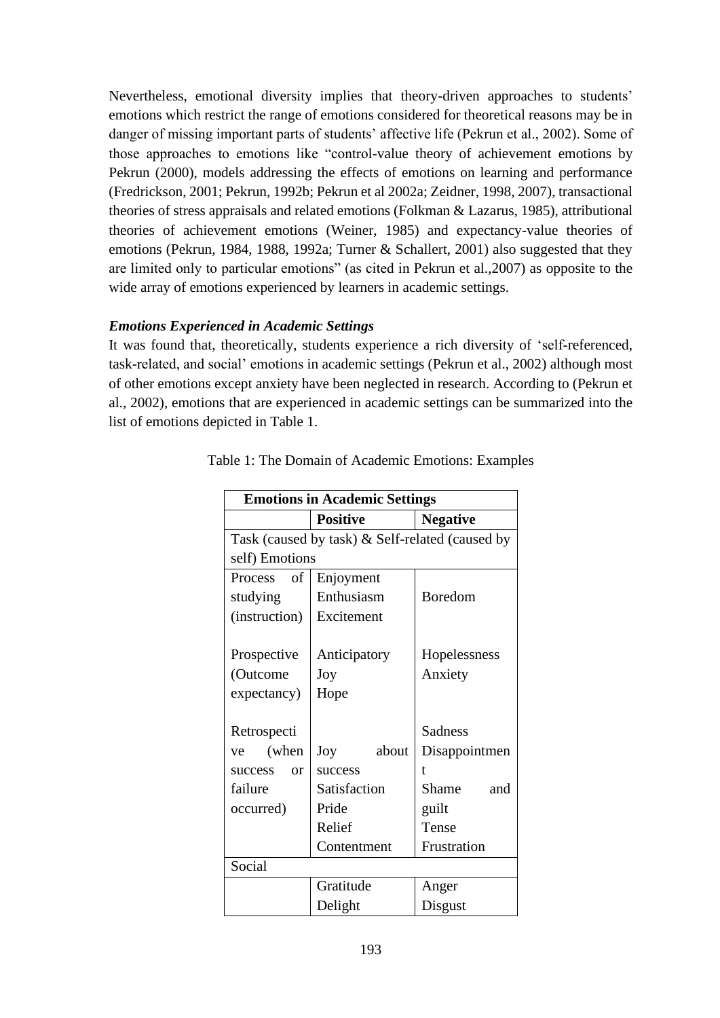Nevertheless, emotional diversity implies that theory-driven approaches to students' emotions which restrict the range of emotions considered for theoretical reasons may be in danger of missing important parts of students' affective life (Pekrun et al., 2002). Some of those approaches to emotions like "control-value theory of achievement emotions by Pekrun (2000), models addressing the effects of emotions on learning and performance (Fredrickson, 2001; Pekrun, 1992b; Pekrun et al 2002a; Zeidner, 1998, 2007), transactional theories of stress appraisals and related emotions (Folkman & Lazarus, 1985), attributional theories of achievement emotions (Weiner, 1985) and expectancy-value theories of emotions (Pekrun, 1984, 1988, 1992a; Turner & Schallert, 2001) also suggested that they are limited only to particular emotions" (as cited in Pekrun et al.,2007) as opposite to the wide array of emotions experienced by learners in academic settings.

# *Emotions Experienced in Academic Settings*

It was found that, theoretically, students experience a rich diversity of 'self-referenced, task-related, and social' emotions in academic settings (Pekrun et al., 2002) although most of other emotions except anxiety have been neglected in research. According to (Pekrun et al., 2002), emotions that are experienced in academic settings can be summarized into the list of emotions depicted in Table 1.

| <b>Emotions in Academic Settings</b>            |                 |                 |  |  |  |
|-------------------------------------------------|-----------------|-----------------|--|--|--|
|                                                 | <b>Positive</b> | <b>Negative</b> |  |  |  |
| Task (caused by task) & Self-related (caused by |                 |                 |  |  |  |
| self) Emotions                                  |                 |                 |  |  |  |
| Process of                                      | Enjoyment       |                 |  |  |  |
| studying                                        | Enthusiasm      | <b>Boredom</b>  |  |  |  |
| (instruction)                                   | Excitement      |                 |  |  |  |
|                                                 |                 |                 |  |  |  |
| Prospective                                     | Anticipatory    | Hopelessness    |  |  |  |
| (Outcome                                        | Joy             | Anxiety         |  |  |  |
| expectancy)                                     | Hope            |                 |  |  |  |
|                                                 |                 |                 |  |  |  |
| Retrospecti                                     |                 | <b>Sadness</b>  |  |  |  |
| (when<br>ve                                     | about<br>Joy    | Disappointmen   |  |  |  |
| success<br>or                                   | success         | t               |  |  |  |
| failure                                         | Satisfaction    | Shame<br>and    |  |  |  |
| occurred)                                       | Pride           | guilt           |  |  |  |
|                                                 | Relief          | Tense           |  |  |  |
|                                                 | Contentment     | Frustration     |  |  |  |
| Social                                          |                 |                 |  |  |  |
|                                                 | Gratitude       | Anger           |  |  |  |
|                                                 | Delight         | Disgust         |  |  |  |

Table 1: The Domain of Academic Emotions: Examples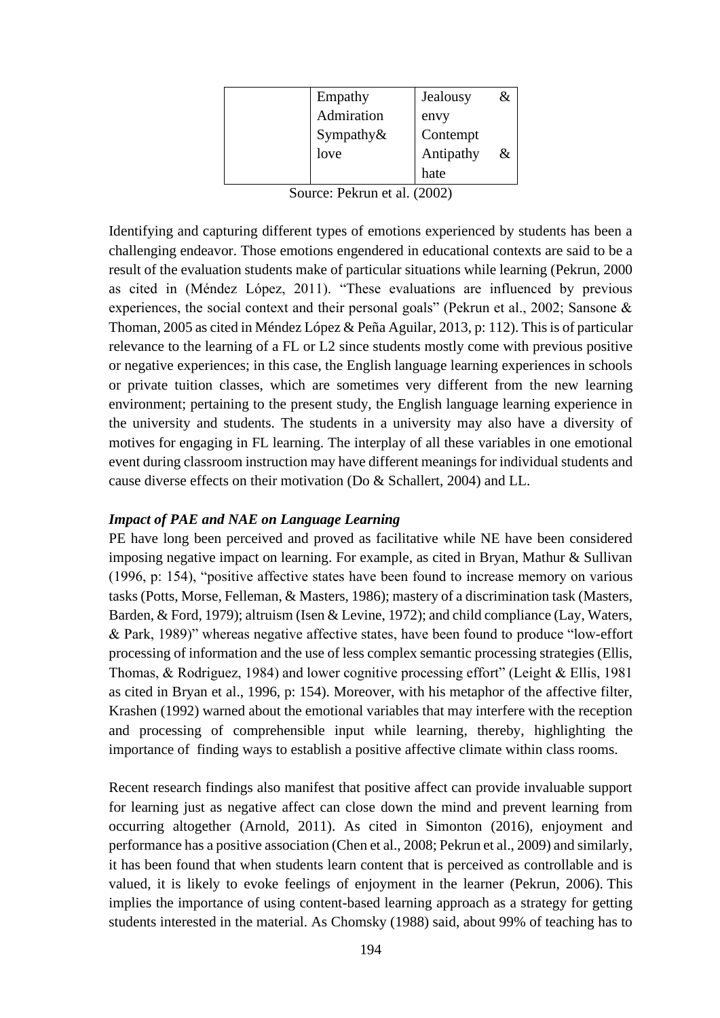| Empathy       | Jealousy  | & |
|---------------|-----------|---|
| Admiration    | envy      |   |
| Sympathy $\&$ | Contempt  |   |
| love          | Antipathy | & |
|               | hate      |   |

Source: Pekrun et al. (2002)

Identifying and capturing different types of emotions experienced by students has been a challenging endeavor. Those emotions engendered in educational contexts are said to be a result of the evaluation students make of particular situations while learning (Pekrun, 2000 as cited in (Méndez López, 2011). "These evaluations are influenced by previous experiences, the social context and their personal goals" (Pekrun et al., 2002; Sansone & Thoman, 2005 as cited in Méndez López & Peña Aguilar, 2013, p: 112). This is of particular relevance to the learning of a FL or L2 since students mostly come with previous positive or negative experiences; in this case, the English language learning experiences in schools or private tuition classes, which are sometimes very different from the new learning environment; pertaining to the present study, the English language learning experience in the university and students. The students in a university may also have a diversity of motives for engaging in FL learning. The interplay of all these variables in one emotional event during classroom instruction may have different meanings for individual students and cause diverse effects on their motivation (Do & Schallert, 2004) and LL.

## *Impact of PAE and NAE on Language Learning*

PE have long been perceived and proved as facilitative while NE have been considered imposing negative impact on learning. For example, as cited in Bryan, Mathur & Sullivan (1996, p: 154), "positive affective states have been found to increase memory on various tasks (Potts, Morse, Felleman, & Masters, 1986); mastery of a discrimination task (Masters, Barden, & Ford, 1979); altruism (Isen & Levine, 1972); and child compliance (Lay, Waters, & Park, 1989)" whereas negative affective states, have been found to produce "low-effort processing of information and the use of less complex semantic processing strategies (Ellis, Thomas, & Rodriguez, 1984) and lower cognitive processing effort" (Leight & Ellis, 1981 as cited in Bryan et al., 1996, p: 154). Moreover, with his metaphor of the affective filter, Krashen (1992) warned about the emotional variables that may interfere with the reception and processing of comprehensible input while learning, thereby, highlighting the importance of finding ways to establish a positive affective climate within class rooms.

Recent research findings also manifest that positive affect can provide invaluable support for learning just as negative affect can close down the mind and prevent learning from occurring altogether (Arnold, 2011). As cited in Simonton (2016), enjoyment and performance has a positive association (Chen et al., 2008; Pekrun et al., 2009) and similarly, it has been found that when students learn content that is perceived as controllable and is valued, it is likely to evoke feelings of enjoyment in the learner (Pekrun, 2006). This implies the importance of using content-based learning approach as a strategy for getting students interested in the material. As Chomsky (1988) said, about 99% of teaching has to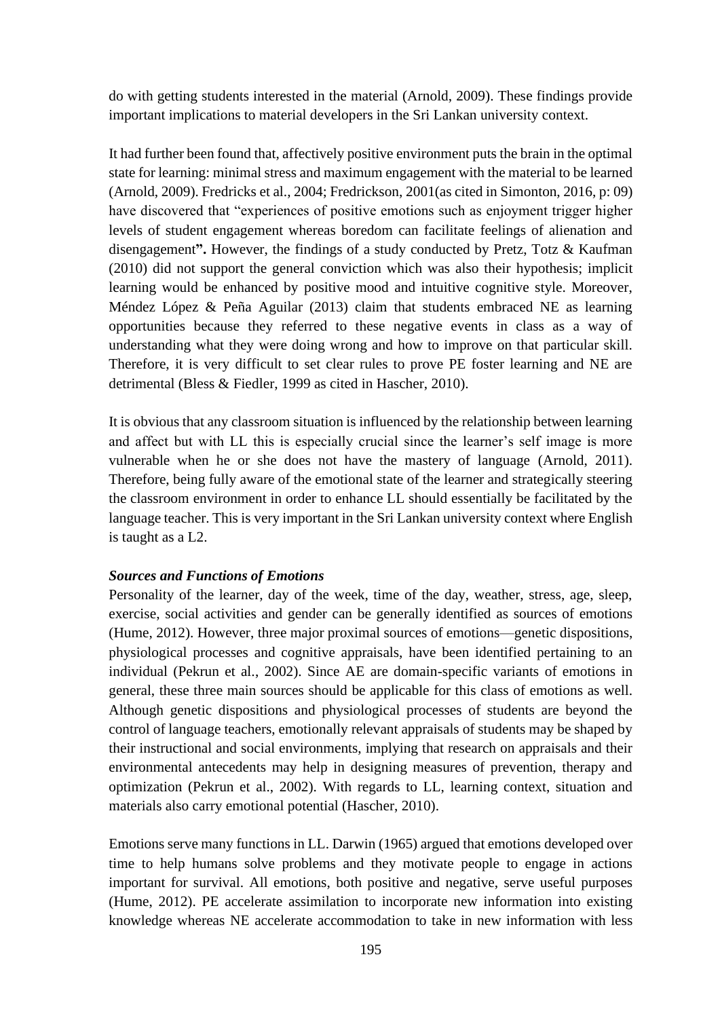do with getting students interested in the material (Arnold, 2009). These findings provide important implications to material developers in the Sri Lankan university context.

It had further been found that, affectively positive environment puts the brain in the optimal state for learning: minimal stress and maximum engagement with the material to be learned (Arnold, 2009). Fredricks et al., 2004; Fredrickson, 2001(as cited in Simonton, 2016, p: 09) have discovered that "experiences of positive emotions such as enjoyment trigger higher levels of student engagement whereas boredom can facilitate feelings of alienation and disengagement**".** However, the findings of a study conducted by Pretz, Totz & Kaufman (2010) did not support the general conviction which was also their hypothesis; implicit learning would be enhanced by positive mood and intuitive cognitive style. Moreover, Méndez López & Peña Aguilar (2013) claim that students embraced NE as learning opportunities because they referred to these negative events in class as a way of understanding what they were doing wrong and how to improve on that particular skill. Therefore, it is very difficult to set clear rules to prove PE foster learning and NE are detrimental (Bless & Fiedler, 1999 as cited in Hascher, 2010).

It is obvious that any classroom situation is influenced by the relationship between learning and affect but with LL this is especially crucial since the learner's self image is more vulnerable when he or she does not have the mastery of language (Arnold, 2011). Therefore, being fully aware of the emotional state of the learner and strategically steering the classroom environment in order to enhance LL should essentially be facilitated by the language teacher. This is very important in the Sri Lankan university context where English is taught as a L2.

### *Sources and Functions of Emotions*

Personality of the learner, day of the week, time of the day, weather, stress, age, sleep, exercise, social activities and gender can be generally identified as sources of emotions (Hume, 2012). However, three major proximal sources of emotions—genetic dispositions, physiological processes and cognitive appraisals, have been identified pertaining to an individual (Pekrun et al., 2002). Since AE are domain-specific variants of emotions in general, these three main sources should be applicable for this class of emotions as well. Although genetic dispositions and physiological processes of students are beyond the control of language teachers, emotionally relevant appraisals of students may be shaped by their instructional and social environments, implying that research on appraisals and their environmental antecedents may help in designing measures of prevention, therapy and optimization (Pekrun et al., 2002). With regards to LL, learning context, situation and materials also carry emotional potential (Hascher, 2010).

Emotions serve many functions in LL. Darwin (1965) argued that emotions developed over time to help humans solve problems and they motivate people to engage in actions important for survival. All emotions, both positive and negative, serve useful purposes (Hume, 2012). PE accelerate assimilation to incorporate new information into existing knowledge whereas NE accelerate accommodation to take in new information with less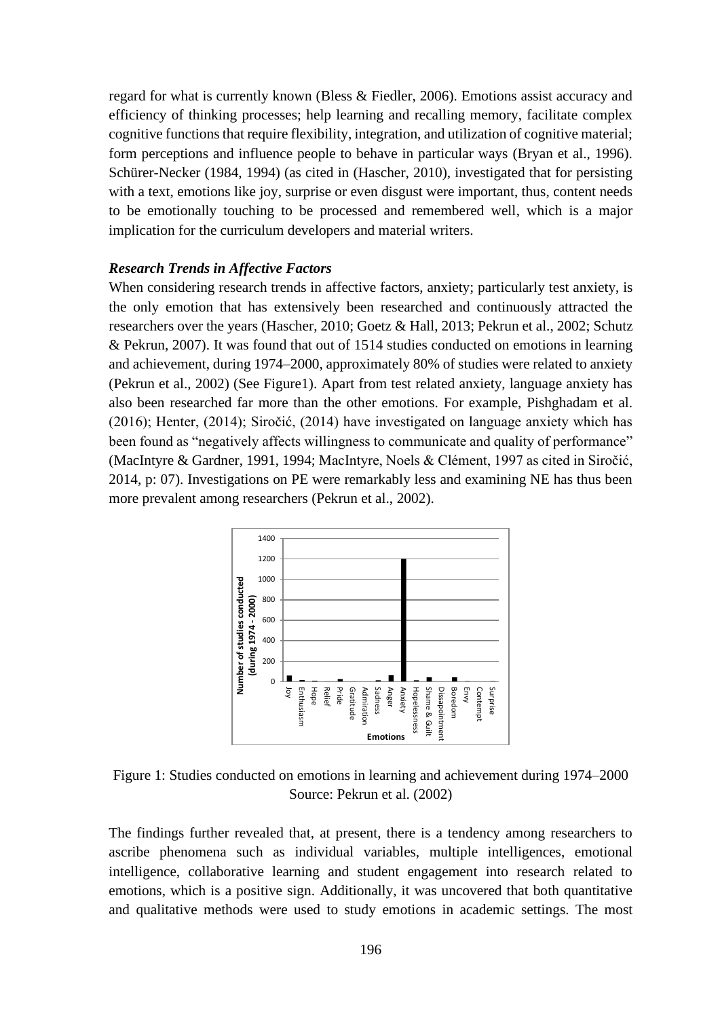regard for what is currently known (Bless & Fiedler, 2006). Emotions assist accuracy and efficiency of thinking processes; help learning and recalling memory, facilitate complex cognitive functions that require flexibility, integration, and utilization of cognitive material; form perceptions and influence people to behave in particular ways (Bryan et al., 1996). Schürer-Necker (1984, 1994) (as cited in (Hascher, 2010), investigated that for persisting with a text, emotions like joy, surprise or even disgust were important, thus, content needs to be emotionally touching to be processed and remembered well, which is a major implication for the curriculum developers and material writers.

### *Research Trends in Affective Factors*

When considering research trends in affective factors, anxiety; particularly test anxiety, is the only emotion that has extensively been researched and continuously attracted the researchers over the years (Hascher, 2010; Goetz & Hall, 2013; Pekrun et al., 2002; Schutz & Pekrun, 2007). It was found that out of 1514 studies conducted on emotions in learning and achievement, during 1974–2000, approximately 80% of studies were related to anxiety (Pekrun et al., 2002) (See Figure1). Apart from test related anxiety, language anxiety has also been researched far more than the other emotions. For example, Pishghadam et al. (2016); Henter, (2014); Siročić, (2014) have investigated on language anxiety which has been found as "negatively affects willingness to communicate and quality of performance" (MacIntyre & Gardner, 1991, 1994; MacIntyre, Noels & Clément, 1997 as cited in Siročić, 2014, p: 07). Investigations on PE were remarkably less and examining NE has thus been more prevalent among researchers (Pekrun et al., 2002).



Figure 1: Studies conducted on emotions in learning and achievement during 1974–2000 Source: Pekrun et al. (2002)

The findings further revealed that, at present, there is a tendency among researchers to ascribe phenomena such as individual variables, multiple intelligences, emotional intelligence, collaborative learning and student engagement into research related to emotions, which is a positive sign. Additionally, it was uncovered that both quantitative and qualitative methods were used to study emotions in academic settings. The most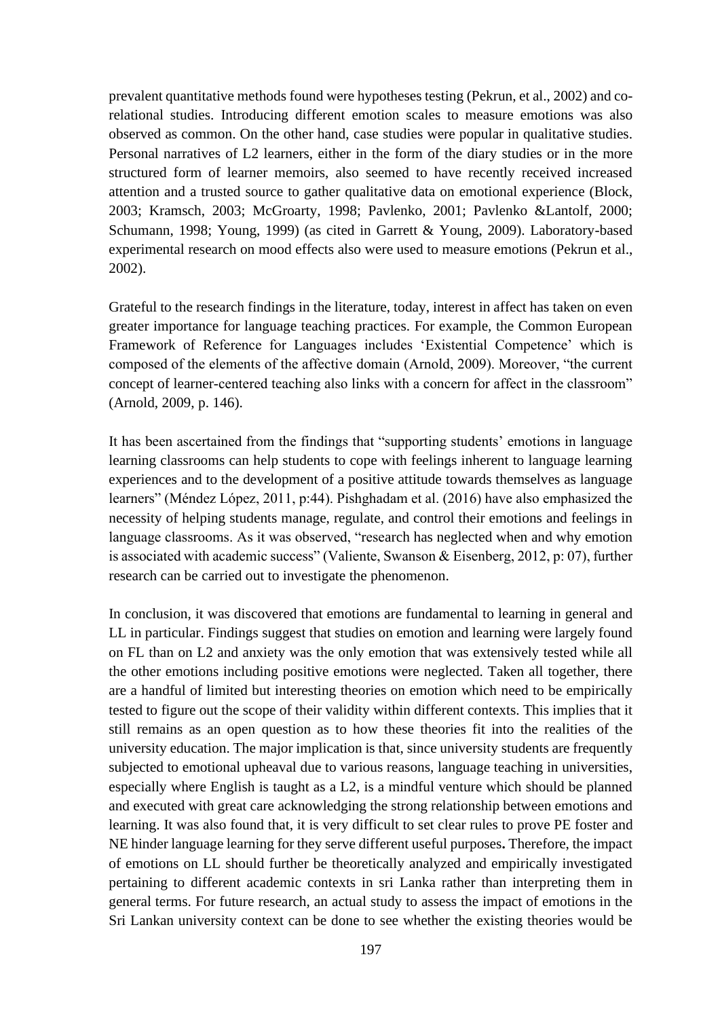prevalent quantitative methods found were hypotheses testing (Pekrun, et al., 2002) and corelational studies. Introducing different emotion scales to measure emotions was also observed as common. On the other hand, case studies were popular in qualitative studies. Personal narratives of L2 learners, either in the form of the diary studies or in the more structured form of learner memoirs, also seemed to have recently received increased attention and a trusted source to gather qualitative data on emotional experience (Block, 2003; Kramsch, 2003; McGroarty, 1998; Pavlenko, 2001; Pavlenko &Lantolf, 2000; Schumann, 1998; Young, 1999) (as cited in Garrett & Young, 2009). Laboratory-based experimental research on mood effects also were used to measure emotions (Pekrun et al., 2002).

Grateful to the research findings in the literature, today, interest in affect has taken on even greater importance for language teaching practices. For example, the Common European Framework of Reference for Languages includes 'Existential Competence' which is composed of the elements of the affective domain (Arnold, 2009). Moreover, "the current concept of learner-centered teaching also links with a concern for affect in the classroom" (Arnold, 2009, p. 146).

It has been ascertained from the findings that "supporting students' emotions in language learning classrooms can help students to cope with feelings inherent to language learning experiences and to the development of a positive attitude towards themselves as language learners" (Méndez López, 2011, p:44). Pishghadam et al. (2016) have also emphasized the necessity of helping students manage, regulate, and control their emotions and feelings in language classrooms. As it was observed, "research has neglected when and why emotion is associated with academic success" (Valiente, Swanson & Eisenberg, 2012, p: 07), further research can be carried out to investigate the phenomenon.

In conclusion, it was discovered that emotions are fundamental to learning in general and LL in particular. Findings suggest that studies on emotion and learning were largely found on FL than on L2 and anxiety was the only emotion that was extensively tested while all the other emotions including positive emotions were neglected. Taken all together, there are a handful of limited but interesting theories on emotion which need to be empirically tested to figure out the scope of their validity within different contexts. This implies that it still remains as an open question as to how these theories fit into the realities of the university education. The major implication is that, since university students are frequently subjected to emotional upheaval due to various reasons, language teaching in universities, especially where English is taught as a L2, is a mindful venture which should be planned and executed with great care acknowledging the strong relationship between emotions and learning. It was also found that, it is very difficult to set clear rules to prove PE foster and NE hinder language learning for they serve different useful purposes**.** Therefore, the impact of emotions on LL should further be theoretically analyzed and empirically investigated pertaining to different academic contexts in sri Lanka rather than interpreting them in general terms. For future research, an actual study to assess the impact of emotions in the Sri Lankan university context can be done to see whether the existing theories would be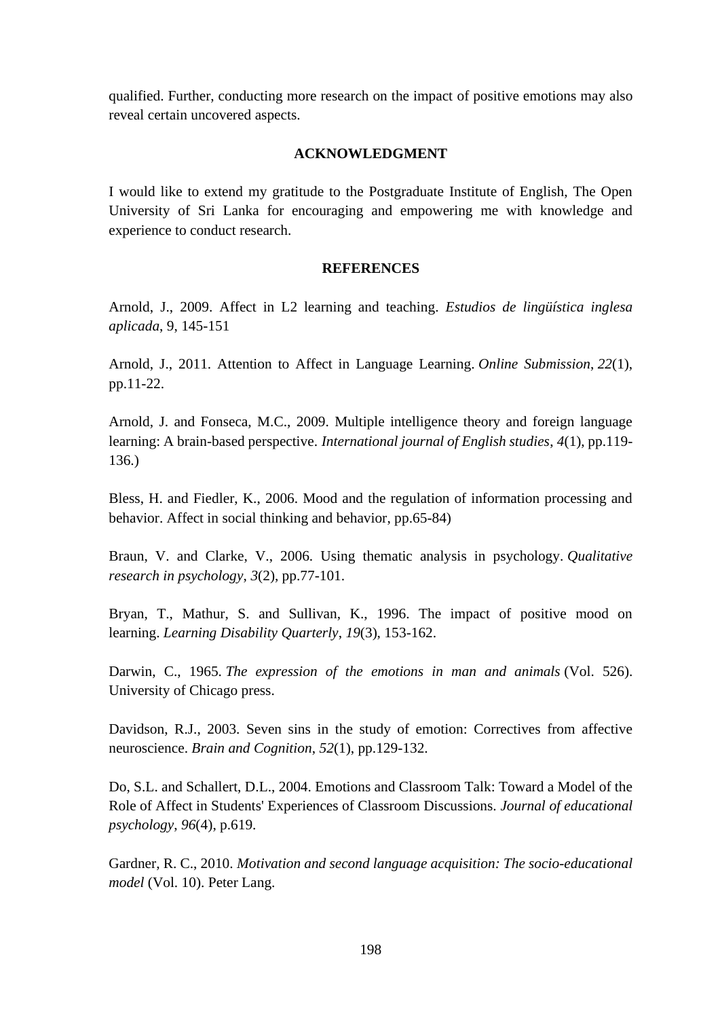qualified. Further, conducting more research on the impact of positive emotions may also reveal certain uncovered aspects.

### **ACKNOWLEDGMENT**

I would like to extend my gratitude to the Postgraduate Institute of English, The Open University of Sri Lanka for encouraging and empowering me with knowledge and experience to conduct research.

### **REFERENCES**

Arnold, J., 2009. Affect in L2 learning and teaching. *Estudios de lingüística inglesa aplicada*, 9, 145-151

Arnold, J., 2011. Attention to Affect in Language Learning. *Online Submission*, *22*(1), pp.11-22.

Arnold, J. and Fonseca, M.C., 2009. Multiple intelligence theory and foreign language learning: A brain-based perspective. *International journal of English studies*, *4*(1), pp.119- 136.)

Bless, H. and Fiedler, K., 2006. Mood and the regulation of information processing and behavior. Affect in social thinking and behavior, pp.65-84)

Braun, V. and Clarke, V., 2006. Using thematic analysis in psychology. *Qualitative research in psychology*, *3*(2), pp.77-101.

Bryan, T., Mathur, S. and Sullivan, K., 1996. The impact of positive mood on learning. *Learning Disability Quarterly*, *19*(3), 153-162.

Darwin, C., 1965. *The expression of the emotions in man and animals* (Vol. 526). University of Chicago press.

Davidson, R.J., 2003. Seven sins in the study of emotion: Correctives from affective neuroscience. *Brain and Cognition*, *52*(1), pp.129-132.

Do, S.L. and Schallert, D.L., 2004. Emotions and Classroom Talk: Toward a Model of the Role of Affect in Students' Experiences of Classroom Discussions. *Journal of educational psychology*, *96*(4), p.619.

Gardner, R. C., 2010. *Motivation and second language acquisition: The socio-educational model* (Vol. 10). Peter Lang.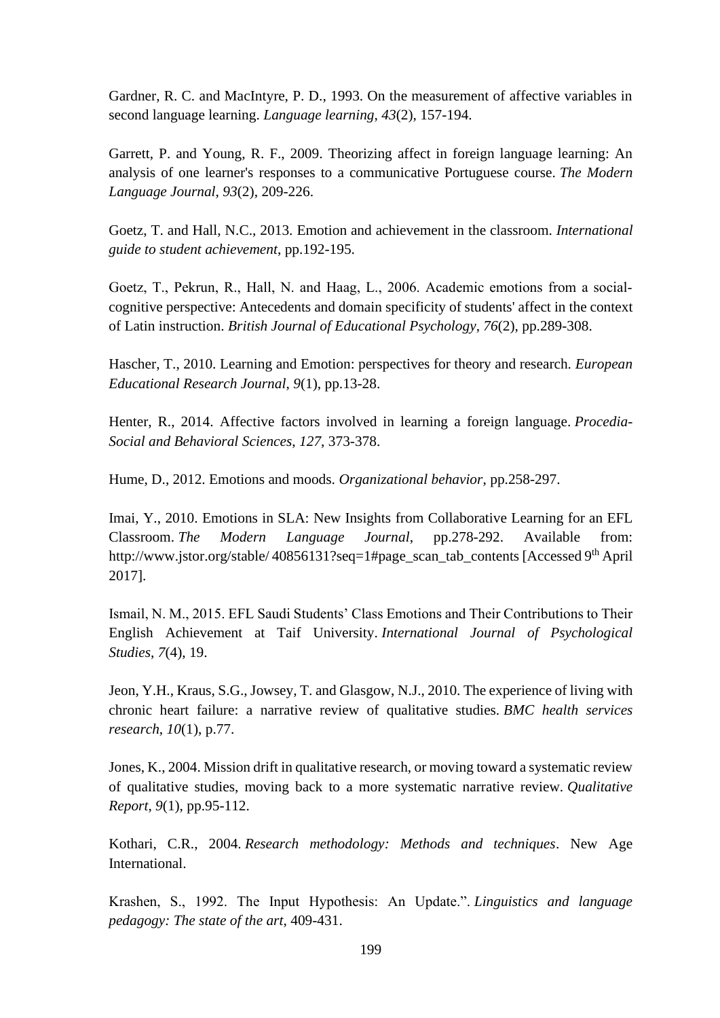Gardner, R. C. and MacIntyre, P. D., 1993. On the measurement of affective variables in second language learning. *Language learning*, *43*(2), 157-194.

Garrett, P. and Young, R. F., 2009. Theorizing affect in foreign language learning: An analysis of one learner's responses to a communicative Portuguese course. *The Modern Language Journal*, *93*(2), 209-226.

Goetz, T. and Hall, N.C., 2013. Emotion and achievement in the classroom. *International guide to student achievement*, pp.192-195.

Goetz, T., Pekrun, R., Hall, N. and Haag, L., 2006. Academic emotions from a social cognitive perspective: Antecedents and domain specificity of students' affect in the context of Latin instruction. *British Journal of Educational Psychology*, *76*(2), pp.289-308.

Hascher, T., 2010. Learning and Emotion: perspectives for theory and research. *European Educational Research Journal*, *9*(1), pp.13-28.

Henter, R., 2014. Affective factors involved in learning a foreign language. *Procedia-Social and Behavioral Sciences*, *127*, 373-378.

Hume, D., 2012. Emotions and moods. *Organizational behavior*, pp.258-297.

Imai, Y., 2010. Emotions in SLA: New Insights from Collaborative Learning for an EFL Classroom. *The Modern Language Journal*, pp.278-292. Available from: http://www.jstor.org/stable/ 40856131?seq=1#page\_scan\_tab\_contents [Accessed 9th April 2017].

Ismail, N. M., 2015. EFL Saudi Students' Class Emotions and Their Contributions to Their English Achievement at Taif University. *International Journal of Psychological Studies*, *7*(4), 19.

Jeon, Y.H., Kraus, S.G., Jowsey, T. and Glasgow, N.J., 2010. The experience of living with chronic heart failure: a narrative review of qualitative studies. *BMC health services research*, *10*(1), p.77.

Jones, K., 2004. Mission drift in qualitative research, or moving toward a systematic review of qualitative studies, moving back to a more systematic narrative review. *Qualitative Report*, *9*(1), pp.95-112.

Kothari, C.R., 2004. *Research methodology: Methods and techniques*. New Age International.

Krashen, S., 1992. The Input Hypothesis: An Update.". *Linguistics and language pedagogy: The state of the art*, 409-431.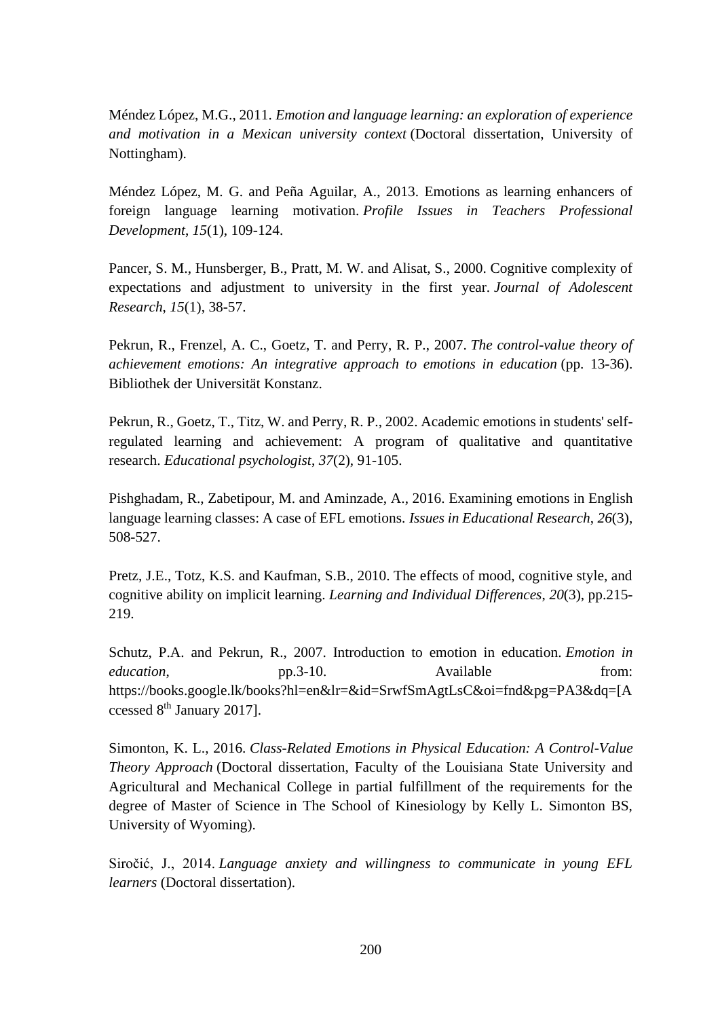Méndez López, M.G., 2011. *Emotion and language learning: an exploration of experience and motivation in a Mexican university context* (Doctoral dissertation, University of Nottingham).

Méndez López, M. G. and Peña Aguilar, A., 2013. Emotions as learning enhancers of foreign language learning motivation. *Profile Issues in Teachers Professional Development*, *15*(1), 109-124.

Pancer, S. M., Hunsberger, B., Pratt, M. W. and Alisat, S., 2000. Cognitive complexity of expectations and adjustment to university in the first year. *Journal of Adolescent Research*, *15*(1), 38-57.

Pekrun, R., Frenzel, A. C., Goetz, T. and Perry, R. P., 2007. *The control-value theory of achievement emotions: An integrative approach to emotions in education* (pp. 13-36). Bibliothek der Universität Konstanz.

Pekrun, R., Goetz, T., Titz, W. and Perry, R. P., 2002. Academic emotions in students' selfregulated learning and achievement: A program of qualitative and quantitative research. *Educational psychologist*, *37*(2), 91-105.

Pishghadam, R., Zabetipour, M. and Aminzade, A., 2016. Examining emotions in English language learning classes: A case of EFL emotions. *Issues in Educational Research*, *26*(3), 508-527.

Pretz, J.E., Totz, K.S. and Kaufman, S.B., 2010. The effects of mood, cognitive style, and cognitive ability on implicit learning. *Learning and Individual Differences*, *20*(3), pp.215- 219.

Schutz, P.A. and Pekrun, R., 2007. Introduction to emotion in education. *Emotion in education*, pp.3-10. Available from: https://books.google.lk/books?hl=en&lr=&id=SrwfSmAgtLsC&oi=fnd&pg=PA3&dq=[A ccessed 8th January 2017].

Simonton, K. L., 2016. *Class-Related Emotions in Physical Education: A Control-Value Theory Approach* (Doctoral dissertation, Faculty of the Louisiana State University and Agricultural and Mechanical College in partial fulfillment of the requirements for the degree of Master of Science in The School of Kinesiology by Kelly L. Simonton BS, University of Wyoming).

Siročić, J., 2014. *Language anxiety and willingness to communicate in young EFL learners* (Doctoral dissertation).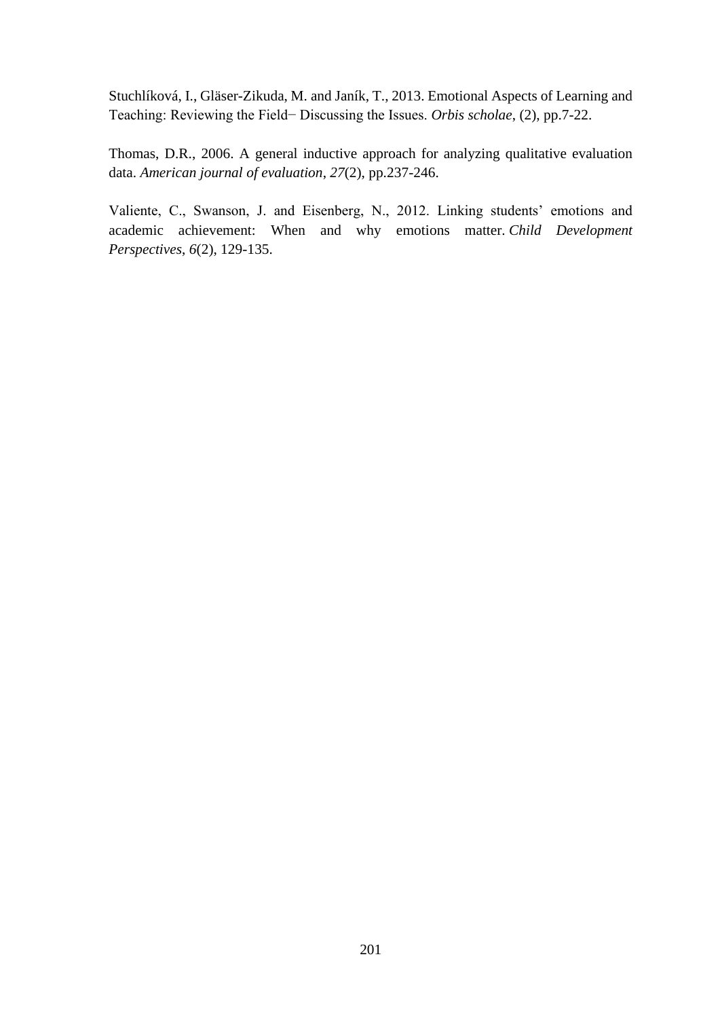Stuchlíková, I., Gläser-Zikuda, M. and Janík, T., 2013. Emotional Aspects of Learning and Teaching: Reviewing the Field− Discussing the Issues. *Orbis scholae*, (2), pp.7-22.

Thomas, D.R., 2006. A general inductive approach for analyzing qualitative evaluation data. *American journal of evaluation*, *27*(2), pp.237-246.

Valiente, C., Swanson, J. and Eisenberg, N., 2012. Linking students' emotions and academic achievement: When and why emotions matter. *Child Development Perspectives*, *6*(2), 129-135.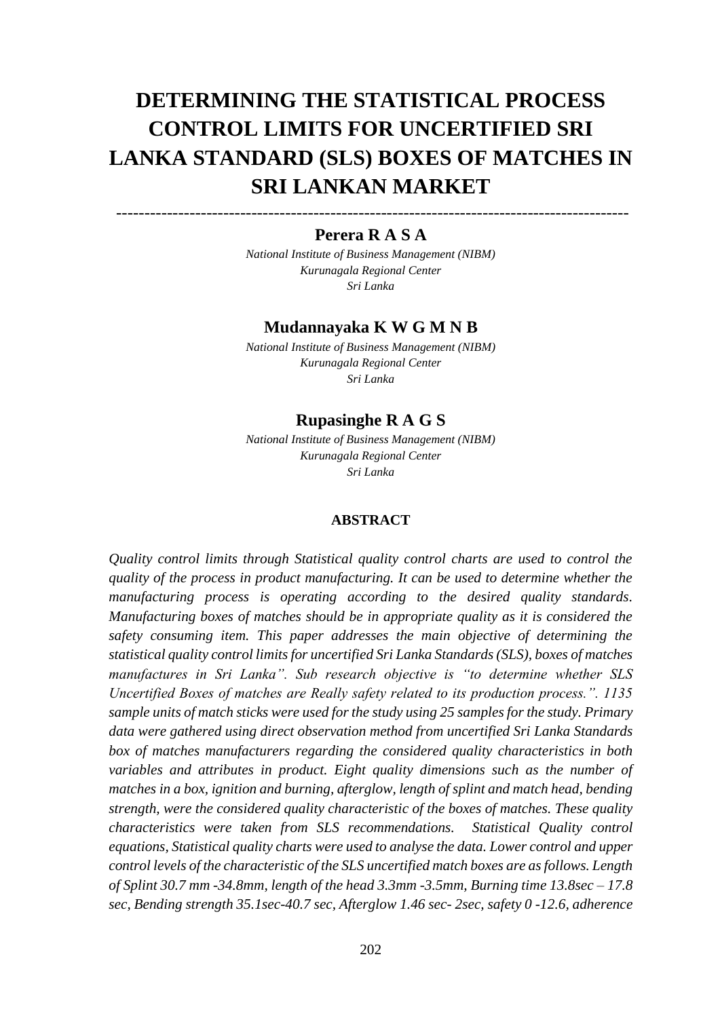# **DETERMINING THE STATISTICAL PROCESS CONTROL LIMITS FOR UNCERTIFIED SRI LANKA STANDARD (SLS) BOXES OF MATCHES IN SRI LANKAN MARKET**

# ------------------------------------------------------------------------------------------- **Perera R A S A**

*National Institute of Business Management (NIBM) Kurunagala Regional Center Sri Lanka*

## **Mudannayaka K W G M N B**

*National Institute of Business Management (NIBM) Kurunagala Regional Center Sri Lanka*

### **Rupasinghe R A G S**

*National Institute of Business Management (NIBM) Kurunagala Regional Center Sri Lanka*

### **ABSTRACT**

*Quality control limits through Statistical quality control charts are used to control the quality of the process in product manufacturing. It can be used to determine whether the manufacturing process is operating according to the desired quality standards. Manufacturing boxes of matches should be in appropriate quality as it is considered the safety consuming item. This paper addresses the main objective of determining the statistical quality control limits for uncertified Sri Lanka Standards (SLS), boxes of matches manufactures in Sri Lanka". Sub research objective is "to determine whether SLS Uncertified Boxes of matches are Really safety related to its production process.". 1135 sample units of match sticks were used for the study using 25 samples for the study. Primary data were gathered using direct observation method from uncertified Sri Lanka Standards box of matches manufacturers regarding the considered quality characteristics in both variables and attributes in product. Eight quality dimensions such as the number of matches in a box, ignition and burning, afterglow, length of splint and match head, bending strength, were the considered quality characteristic of the boxes of matches. These quality characteristics were taken from SLS recommendations. Statistical Quality control equations, Statistical quality charts were used to analyse the data. Lower control and upper control levels of the characteristic of the SLS uncertified match boxes are as follows. Length of Splint 30.7 mm -34.8mm, length of the head 3.3mm -3.5mm, Burning time 13.8sec – 17.8 sec, Bending strength 35.1sec-40.7 sec, Afterglow 1.46 sec- 2sec, safety 0 -12.6, adherence*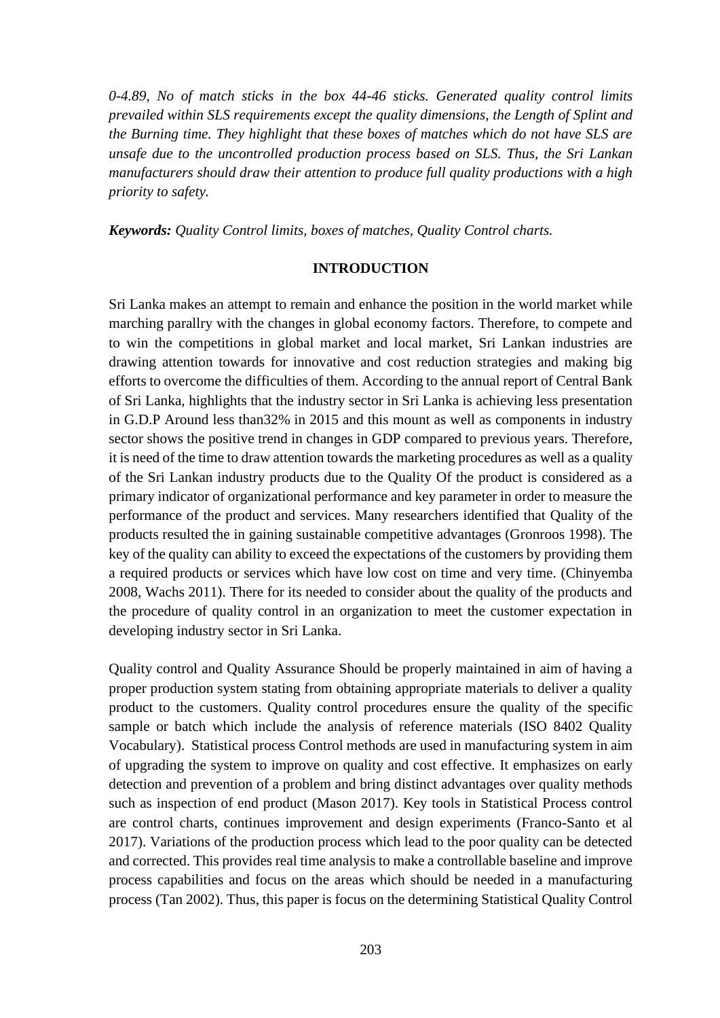*0-4.89, No of match sticks in the box 44-46 sticks. Generated quality control limits prevailed within SLS requirements except the quality dimensions, the Length of Splint and the Burning time. They highlight that these boxes of matches which do not have SLS are unsafe due to the uncontrolled production process based on SLS. Thus, the Sri Lankan manufacturers should draw their attention to produce full quality productions with a high priority to safety.* 

*Keywords: Quality Control limits, boxes of matches, Quality Control charts.*

#### **INTRODUCTION**

Sri Lanka makes an attempt to remain and enhance the position in the world market while marching parallry with the changes in global economy factors. Therefore, to compete and to win the competitions in global market and local market, Sri Lankan industries are drawing attention towards for innovative and cost reduction strategies and making big efforts to overcome the difficulties of them. According to the annual report of Central Bank of Sri Lanka, highlights that the industry sector in Sri Lanka is achieving less presentation in G.D.P Around less than32% in 2015 and this mount as well as components in industry sector shows the positive trend in changes in GDP compared to previous years. Therefore, it is need of the time to draw attention towards the marketing procedures as well as a quality of the Sri Lankan industry products due to the Quality Of the product is considered as a primary indicator of organizational performance and key parameter in order to measure the performance of the product and services. Many researchers identified that Quality of the products resulted the in gaining sustainable competitive advantages (Gronroos 1998). The key of the quality can ability to exceed the expectations of the customers by providing them a required products or services which have low cost on time and very time. (Chinyemba 2008, Wachs 2011). There for its needed to consider about the quality of the products and the procedure of quality control in an organization to meet the customer expectation in developing industry sector in Sri Lanka.

Quality control and Quality Assurance Should be properly maintained in aim of having a proper production system stating from obtaining appropriate materials to deliver a quality product to the customers. Quality control procedures ensure the quality of the specific sample or batch which include the analysis of reference materials (ISO 8402 Quality Vocabulary). Statistical process Control methods are used in manufacturing system in aim of upgrading the system to improve on quality and cost effective. It emphasizes on early detection and prevention of a problem and bring distinct advantages over quality methods such as inspection of end product (Mason 2017). Key tools in Statistical Process control are control charts, continues improvement and design experiments (Franco-Santo et al 2017). Variations of the production process which lead to the poor quality can be detected and corrected. This provides real time analysis to make a controllable baseline and improve process capabilities and focus on the areas which should be needed in a manufacturing process (Tan 2002). Thus, this paper is focus on the determining Statistical Quality Control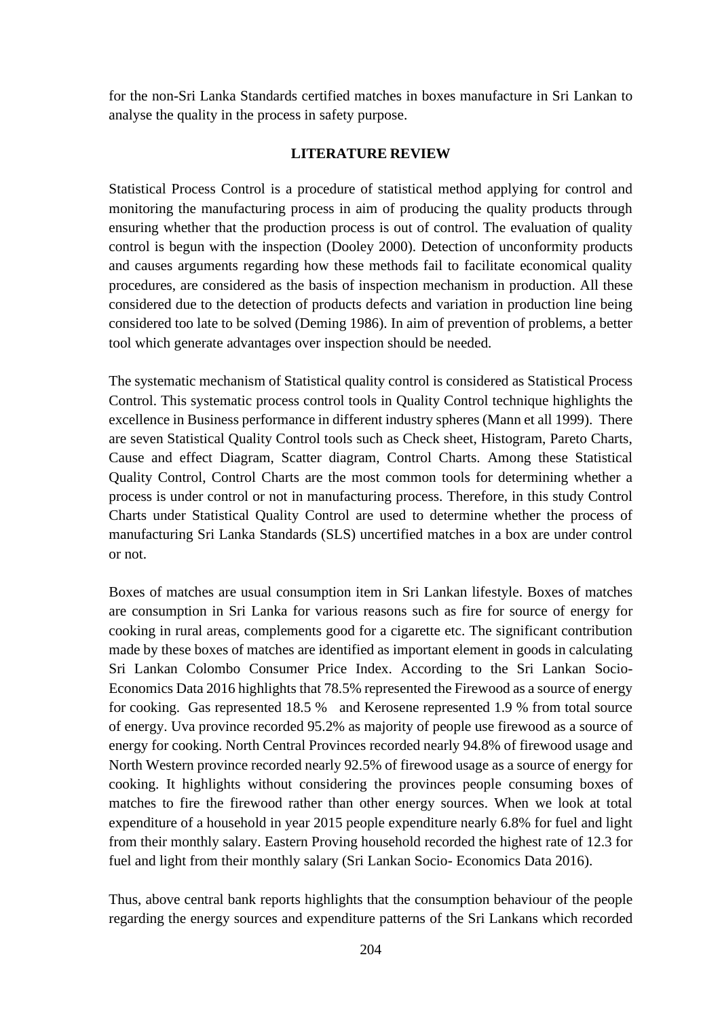for the non-Sri Lanka Standards certified matches in boxes manufacture in Sri Lankan to analyse the quality in the process in safety purpose.

### **LITERATURE REVIEW**

Statistical Process Control is a procedure of statistical method applying for control and monitoring the manufacturing process in aim of producing the quality products through ensuring whether that the production process is out of control. The evaluation of quality control is begun with the inspection (Dooley 2000). Detection of unconformity products and causes arguments regarding how these methods fail to facilitate economical quality procedures, are considered as the basis of inspection mechanism in production. All these considered due to the detection of products defects and variation in production line being considered too late to be solved (Deming 1986). In aim of prevention of problems, a better tool which generate advantages over inspection should be needed.

The systematic mechanism of Statistical quality control is considered as Statistical Process Control. This systematic process control tools in Quality Control technique highlights the excellence in Business performance in different industry spheres (Mann et all 1999). There are seven Statistical Quality Control tools such as Check sheet, Histogram, Pareto Charts, Cause and effect Diagram, Scatter diagram, Control Charts. Among these Statistical Quality Control, Control Charts are the most common tools for determining whether a process is under control or not in manufacturing process. Therefore, in this study Control Charts under Statistical Quality Control are used to determine whether the process of manufacturing Sri Lanka Standards (SLS) uncertified matches in a box are under control or not.

Boxes of matches are usual consumption item in Sri Lankan lifestyle. Boxes of matches are consumption in Sri Lanka for various reasons such as fire for source of energy for cooking in rural areas, complements good for a cigarette etc. The significant contribution made by these boxes of matches are identified as important element in goods in calculating Sri Lankan Colombo Consumer Price Index. According to the Sri Lankan Socio-Economics Data 2016 highlights that 78.5% represented the Firewood as a source of energy for cooking. Gas represented 18.5 % and Kerosene represented 1.9 % from total source of energy. Uva province recorded 95.2% as majority of people use firewood as a source of energy for cooking. North Central Provinces recorded nearly 94.8% of firewood usage and North Western province recorded nearly 92.5% of firewood usage as a source of energy for cooking. It highlights without considering the provinces people consuming boxes of matches to fire the firewood rather than other energy sources. When we look at total expenditure of a household in year 2015 people expenditure nearly 6.8% for fuel and light from their monthly salary. Eastern Proving household recorded the highest rate of 12.3 for fuel and light from their monthly salary (Sri Lankan Socio- Economics Data 2016).

Thus, above central bank reports highlights that the consumption behaviour of the people regarding the energy sources and expenditure patterns of the Sri Lankans which recorded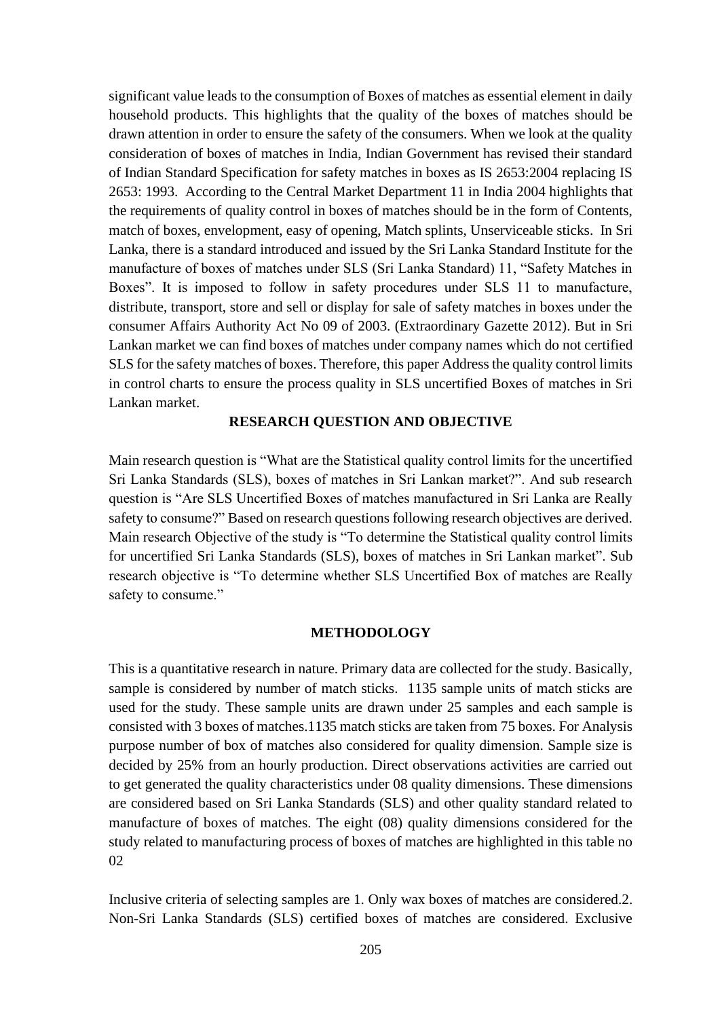significant value leads to the consumption of Boxes of matches as essential element in daily household products. This highlights that the quality of the boxes of matches should be drawn attention in order to ensure the safety of the consumers. When we look at the quality consideration of boxes of matches in India, Indian Government has revised their standard of Indian Standard Specification for safety matches in boxes as IS 2653:2004 replacing IS 2653: 1993. According to the Central Market Department 11 in India 2004 highlights that the requirements of quality control in boxes of matches should be in the form of Contents, match of boxes, envelopment, easy of opening, Match splints, Unserviceable sticks. In Sri Lanka, there is a standard introduced and issued by the Sri Lanka Standard Institute for the manufacture of boxes of matches under SLS (Sri Lanka Standard) 11, "Safety Matches in Boxes". It is imposed to follow in safety procedures under SLS 11 to manufacture, distribute, transport, store and sell or display for sale of safety matches in boxes under the consumer Affairs Authority Act No 09 of 2003. (Extraordinary Gazette 2012). But in Sri Lankan market we can find boxes of matches under company names which do not certified SLS for the safety matches of boxes. Therefore, this paper Address the quality control limits in control charts to ensure the process quality in SLS uncertified Boxes of matches in Sri Lankan market.

### **RESEARCH QUESTION AND OBJECTIVE**

Main research question is "What are the Statistical quality control limits for the uncertified Sri Lanka Standards (SLS), boxes of matches in Sri Lankan market?". And sub research question is "Are SLS Uncertified Boxes of matches manufactured in Sri Lanka are Really safety to consume?" Based on research questions following research objectives are derived. Main research Objective of the study is "To determine the Statistical quality control limits for uncertified Sri Lanka Standards (SLS), boxes of matches in Sri Lankan market". Sub research objective is "To determine whether SLS Uncertified Box of matches are Really safety to consume."

### **METHODOLOGY**

This is a quantitative research in nature. Primary data are collected for the study. Basically, sample is considered by number of match sticks. 1135 sample units of match sticks are used for the study. These sample units are drawn under 25 samples and each sample is consisted with 3 boxes of matches.1135 match sticks are taken from 75 boxes. For Analysis purpose number of box of matches also considered for quality dimension. Sample size is decided by 25% from an hourly production. Direct observations activities are carried out to get generated the quality characteristics under 08 quality dimensions. These dimensions are considered based on Sri Lanka Standards (SLS) and other quality standard related to manufacture of boxes of matches. The eight (08) quality dimensions considered for the study related to manufacturing process of boxes of matches are highlighted in this table no 02

Inclusive criteria of selecting samples are 1. Only wax boxes of matches are considered.2. Non-Sri Lanka Standards (SLS) certified boxes of matches are considered. Exclusive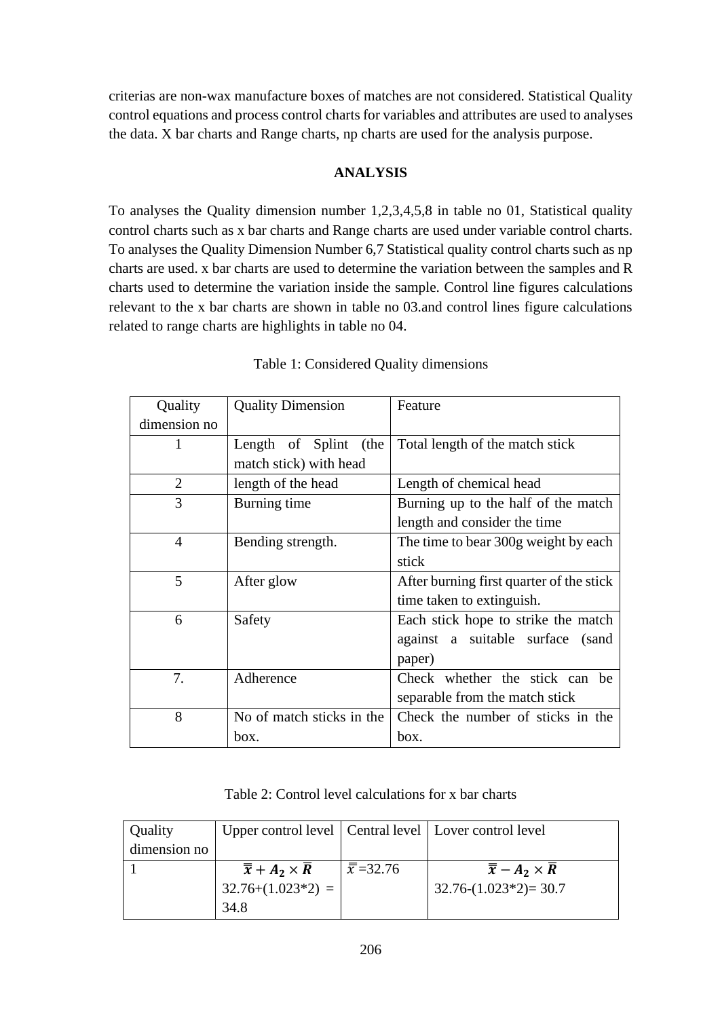criterias are non-wax manufacture boxes of matches are not considered. Statistical Quality control equations and process control charts for variables and attributes are used to analyses the data. X bar charts and Range charts, np charts are used for the analysis purpose.

# **ANALYSIS**

To analyses the Quality dimension number 1,2,3,4,5,8 in table no 01, Statistical quality control charts such as x bar charts and Range charts are used under variable control charts. To analyses the Quality Dimension Number 6,7 Statistical quality control charts such as np charts are used. x bar charts are used to determine the variation between the samples and R charts used to determine the variation inside the sample. Control line figures calculations relevant to the x bar charts are shown in table no 03.and control lines figure calculations related to range charts are highlights in table no 04.

| Quality        | <b>Quality Dimension</b>  | Feature                                  |
|----------------|---------------------------|------------------------------------------|
| dimension no   |                           |                                          |
| 1              | Length of Splint<br>(the  | Total length of the match stick          |
|                | match stick) with head    |                                          |
| $\overline{2}$ | length of the head        | Length of chemical head                  |
| 3              | Burning time              | Burning up to the half of the match      |
|                |                           | length and consider the time             |
| $\overline{4}$ | Bending strength.         | The time to bear 300g weight by each     |
|                |                           | stick                                    |
| 5              | After glow                | After burning first quarter of the stick |
|                |                           | time taken to extinguish.                |
| 6              | Safety                    | Each stick hope to strike the match      |
|                |                           | against a suitable surface<br>(sand      |
|                |                           | paper)                                   |
| 7.             | Adherence                 | Check whether the stick can be           |
|                |                           | separable from the match stick           |
| 8              | No of match sticks in the | Check the number of sticks in the        |
|                | box.                      | box.                                     |

|  | Table 1: Considered Quality dimensions |  |  |
|--|----------------------------------------|--|--|
|  |                                        |  |  |

| Table 2: Control level calculations for x bar charts |  |  |
|------------------------------------------------------|--|--|
|------------------------------------------------------|--|--|

| Quality      | Upper control level   Central level   Lover control level |                                  |                                          |
|--------------|-----------------------------------------------------------|----------------------------------|------------------------------------------|
| dimension no |                                                           |                                  |                                          |
|              | $\overline{\overline{x}} + A_2 \times R$                  | $\frac{\overline{x}}{2}$ = 32.76 | $\overline{\overline{x}} - A_2 \times R$ |
|              | $32.76+(1.023*2) =$                                       |                                  | $32.76-(1.023*2)=30.7$                   |
|              | 34.8                                                      |                                  |                                          |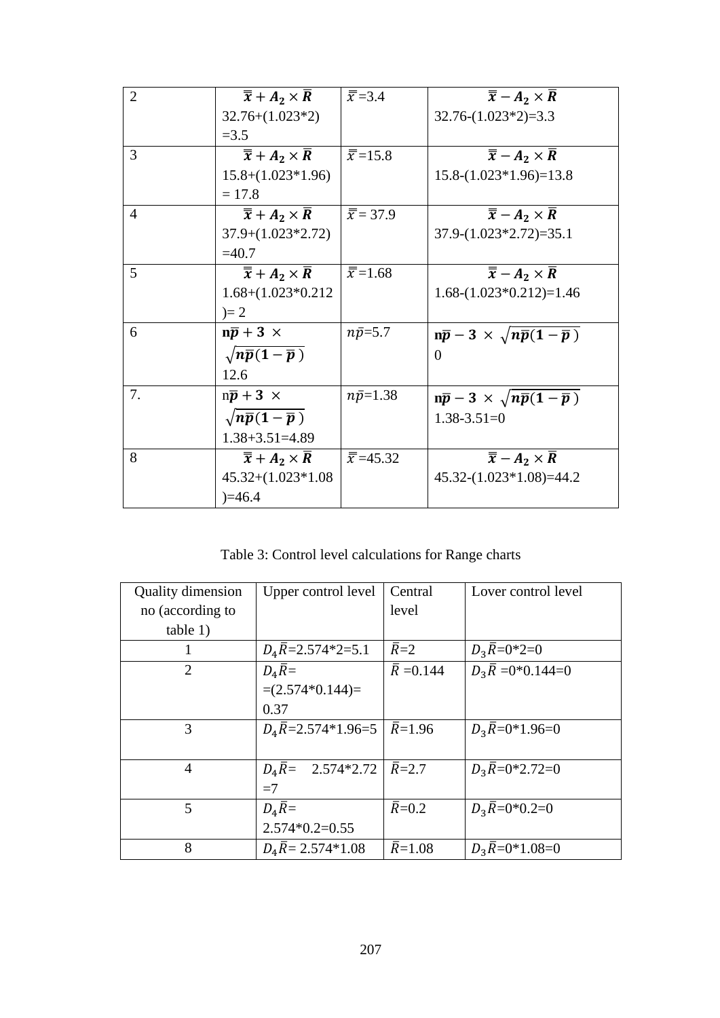| $\overline{2}$ | $\overline{\overline{x}} + A_2 \times R$            | $\overline{\overline{x}} = 3.4$  | $\overline{\overline{x}} - A_2 \times \overline{R}$ |
|----------------|-----------------------------------------------------|----------------------------------|-----------------------------------------------------|
|                | $32.76+(1.023*2)$                                   |                                  | $32.76-(1.023*2)=3.3$                               |
|                | $= 3.5$                                             |                                  |                                                     |
| 3              | $\overline{\overline{x}} + A_2 \times \overline{R}$ | $\overline{\overline{x}}$ =15.8  | $\overline{\overline{x}} - A_2 \times \overline{R}$ |
|                | $15.8+(1.023*1.96)$                                 |                                  | $15.8-(1.023*1.96)=13.8$                            |
|                | $= 17.8$                                            |                                  |                                                     |
| $\overline{4}$ | $\overline{\overline{x}} + A_2 \times \overline{R}$ | $\overline{x}$ = 37.9            | $\overline{\overline{x}} - A_2 \times \overline{R}$ |
|                | $37.9+(1.023*2.72)$                                 |                                  | $37.9-(1.023*2.72)=35.1$                            |
|                | $=40.7$                                             |                                  |                                                     |
| $\mathfrak{H}$ | $\overline{\overline{x}} + A_2 \times \overline{R}$ | $\overline{\overline{x}}$ =1.68  | $\overline{\overline{x}} - A_2 \times \overline{R}$ |
|                | $1.68+(1.023*0.212)$                                |                                  | $1.68-(1.023*0.212)=1.46$                           |
|                | $)= 2$                                              |                                  |                                                     |
| 6              | $n\bar{p}$ + 3 $\times$                             | $n\bar{p} = 5.7$                 | $n\bar{p} - 3 \times \sqrt{n}\bar{p}(1-\bar{p})$    |
|                | $\sqrt{n}\bar{p}(1-\bar{p})$                        |                                  | $\theta$                                            |
|                | 12.6                                                |                                  |                                                     |
| 7.             | $n\bar{p}$ + 3 $\times$                             | $n\bar{p}=1.38$                  | $n\bar{p} - 3 \times \sqrt{n\bar{p}(1-\bar{p})}$    |
|                | $\sqrt{n}\bar{p}(1-\bar{p})$                        |                                  | $1.38 - 3.51 = 0$                                   |
|                | $1.38 + 3.51 = 4.89$                                |                                  |                                                     |
| 8              | $\overline{\overline{x}} + A_2 \times \overline{R}$ | $\overline{\overline{x}}$ =45.32 | $\overline{\overline{x}} - A_2 \times \overline{R}$ |
|                | $45.32+(1.023*1.08)$                                |                                  | $45.32-(1.023*1.08)=44.2$                           |
|                | $)=46.4$                                            |                                  |                                                     |

Table 3: Control level calculations for Range charts

| <b>Quality dimension</b> | Upper control level                                   | Central               | Lover control level           |
|--------------------------|-------------------------------------------------------|-----------------------|-------------------------------|
| no (according to         |                                                       | level                 |                               |
| table 1)                 |                                                       |                       |                               |
|                          | $D_4\overline{R}$ =2.574*2=5.1                        | $\bar{R}=2$           | $D_3\bar{R}=0^*2=0$           |
| $\overline{2}$           | $D_4\overline{R} =$                                   | $\overline{R}$ =0.144 | $D_3\overline{R} = 0*0.144=0$ |
|                          | $=(2.574*0.144)=$                                     |                       |                               |
|                          | 0.37                                                  |                       |                               |
| 3                        | $D_4\overline{R}$ =2.574*1.96=5 $ \overline{R}$ =1.96 |                       | $D_3\overline{R}=0*1.96=0$    |
|                          |                                                       |                       |                               |
| $\overline{4}$           | $D_4\overline{R}$ = 2.574*2.72   $\overline{R}$ = 2.7 |                       | $D_3\overline{R}=0*2.72=0$    |
|                          | $=7$                                                  |                       |                               |
| 5                        | $D_4\overline{R} =$                                   | $\overline{R}$ =0.2   | $D_3R=0*0.2=0$                |
|                          | $2.574*0.2=0.55$                                      |                       |                               |
| 8                        | $D_4\overline{R} = 2.574*1.08$                        | $\overline{R}$ =1.08  | $D_3R=0*1.08=0$               |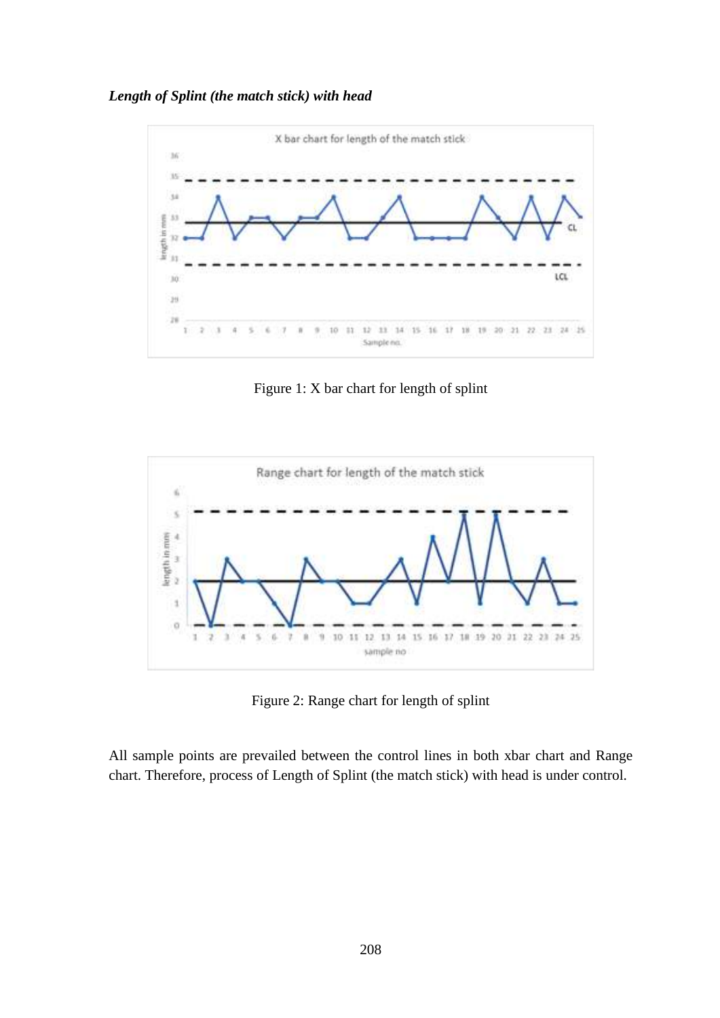*Length of Splint (the match stick) with head* 



Figure 1: X bar chart for length of splint



Figure 2: Range chart for length of splint

All sample points are prevailed between the control lines in both xbar chart and Range chart. Therefore, process of Length of Splint (the match stick) with head is under control.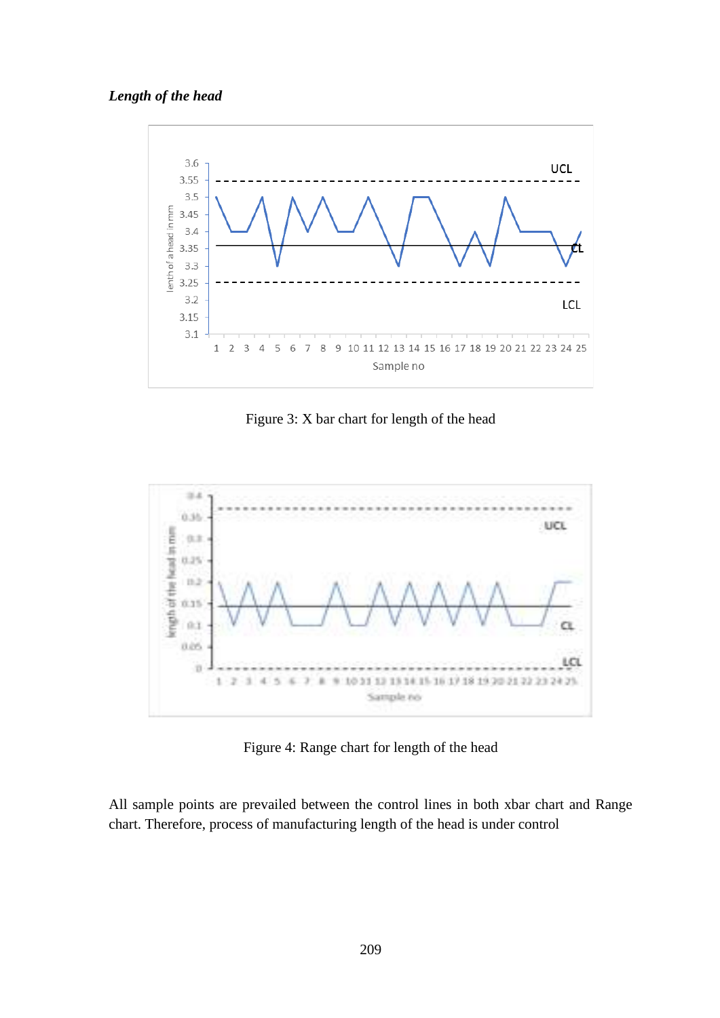### *Length of the head*



Figure 3: X bar chart for length of the head



Figure 4: Range chart for length of the head

All sample points are prevailed between the control lines in both xbar chart and Range chart. Therefore, process of manufacturing length of the head is under control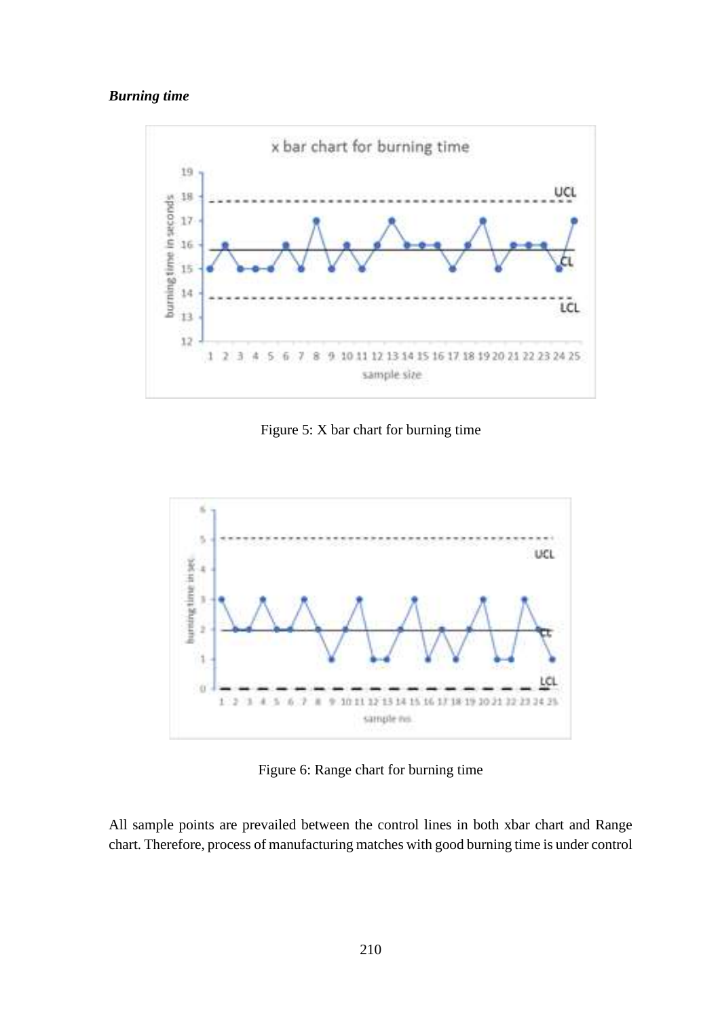### *Burning time*



Figure 5: X bar chart for burning time



Figure 6: Range chart for burning time

All sample points are prevailed between the control lines in both xbar chart and Range chart. Therefore, process of manufacturing matches with good burning time is under control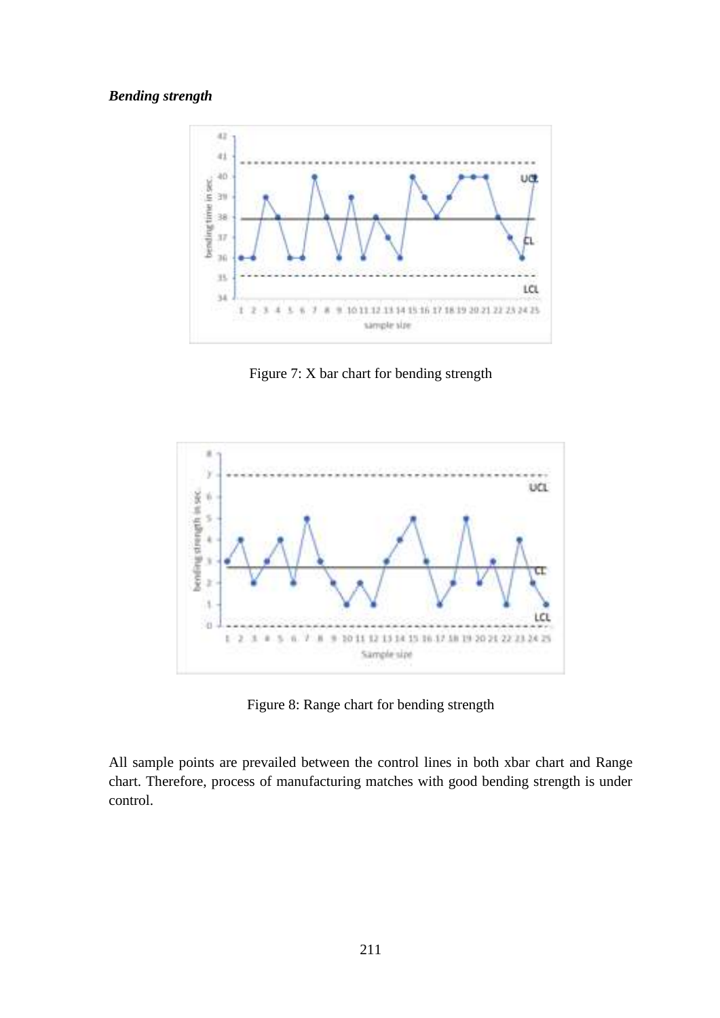### *Bending strength*



Figure 7: X bar chart for bending strength



Figure 8: Range chart for bending strength

All sample points are prevailed between the control lines in both xbar chart and Range chart. Therefore, process of manufacturing matches with good bending strength is under control.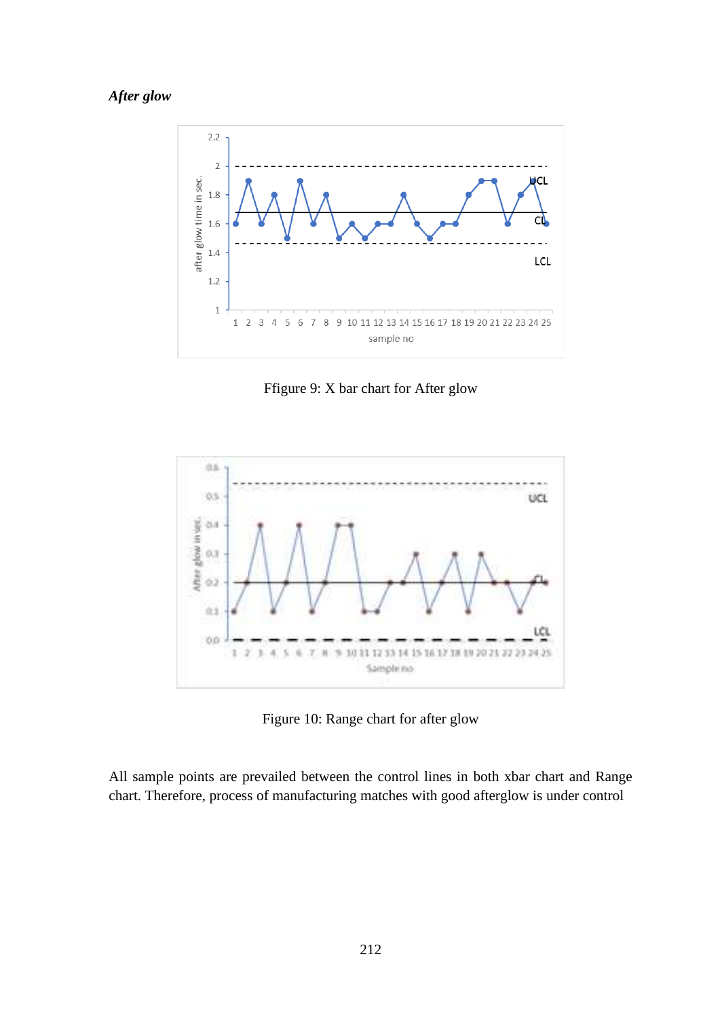# *After glow*



Ffigure 9: X bar chart for After glow



Figure 10: Range chart for after glow

All sample points are prevailed between the control lines in both xbar chart and Range chart. Therefore, process of manufacturing matches with good afterglow is under control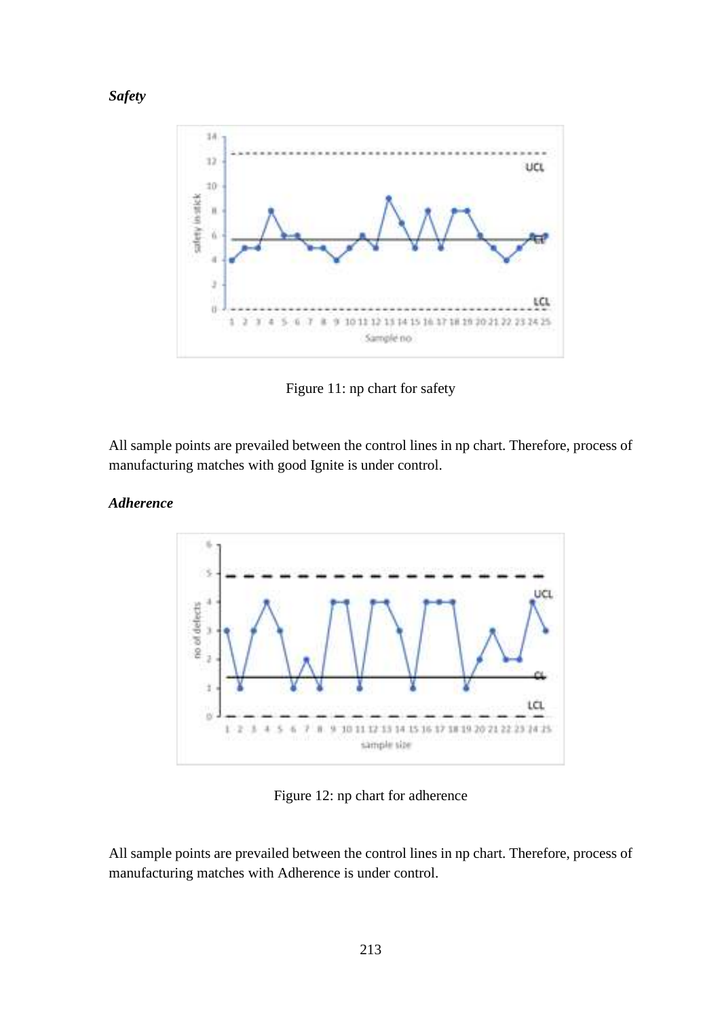

Figure 11: np chart for safety

All sample points are prevailed between the control lines in np chart. Therefore, process of manufacturing matches with good [Ignite](http://www.lankadictionary.com/dictionary.php?from=en&to=si&q=ignite) is under control.

### *Adherence*

*Safety*



Figure 12: np chart for adherence

All sample points are prevailed between the control lines in np chart. Therefore, process of manufacturing matches with Adherence is under control.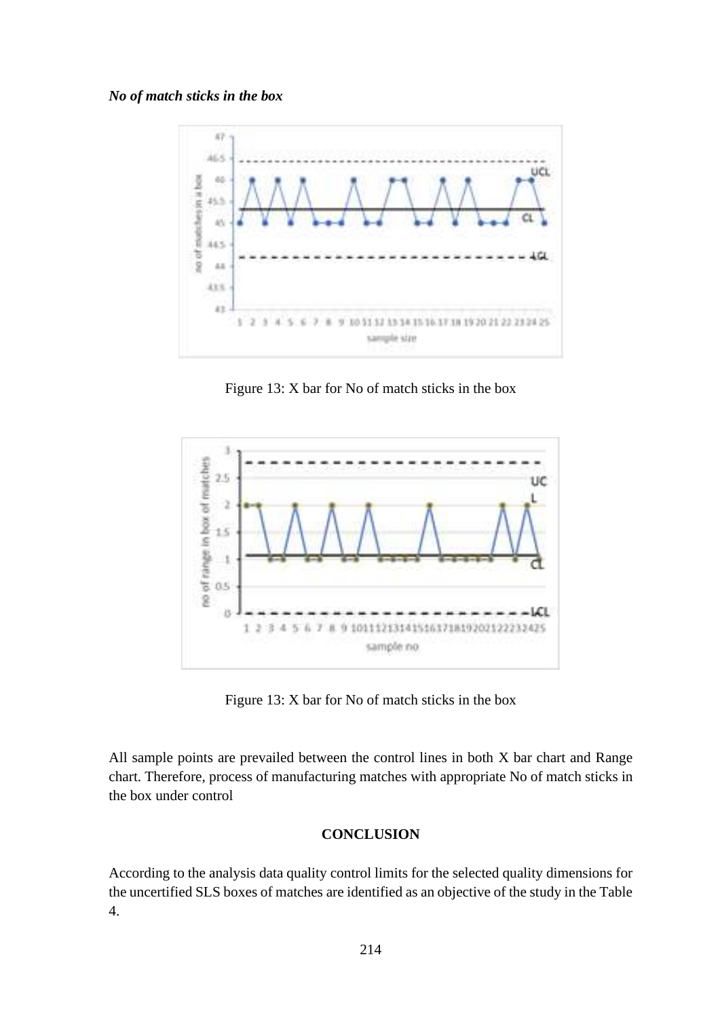### *No of match sticks in the box*



Figure 13: X bar for No of match sticks in the box



Figure 13: X bar for No of match sticks in the box

All sample points are prevailed between the control lines in both X bar chart and Range chart. Therefore, process of manufacturing matches with appropriate No of match sticks in the box under control

### **CONCLUSION**

According to the analysis data quality control limits for the selected quality dimensions for the uncertified SLS boxes of matches are identified as an objective of the study in the Table 4.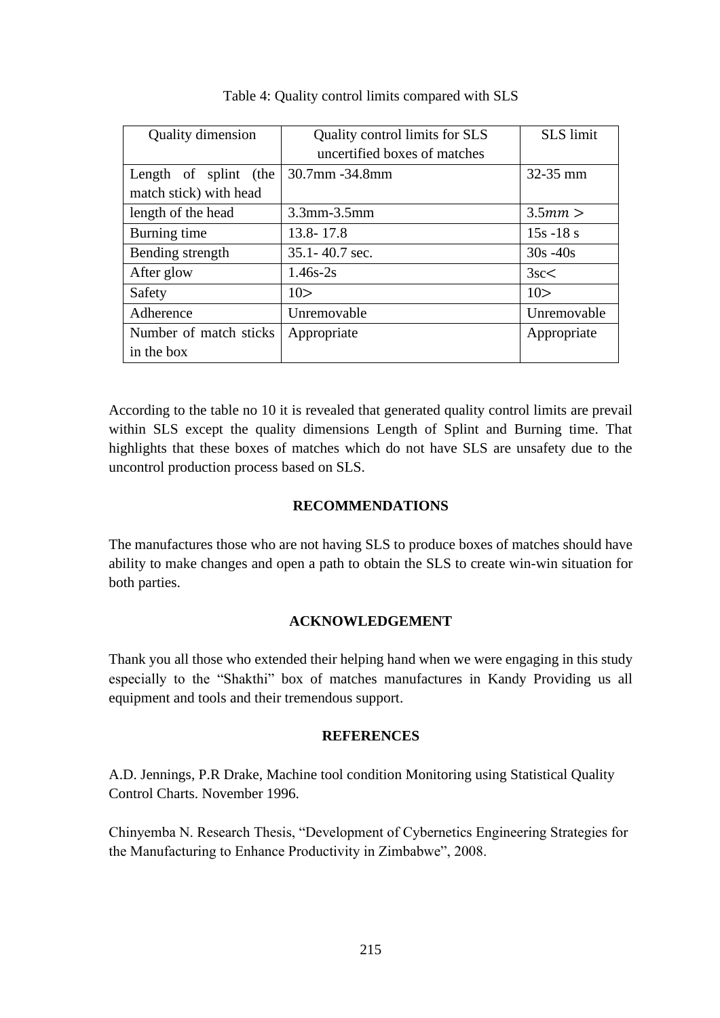| <b>Quality dimension</b>                        | Quality control limits for SLS<br>uncertified boxes of matches | <b>SLS</b> limit |
|-------------------------------------------------|----------------------------------------------------------------|------------------|
| Length of splint (the<br>match stick) with head | 30.7mm -34.8mm                                                 | $32 - 35$ mm     |
| length of the head                              | $3.3$ mm $-3.5$ mm                                             | 3.5mm >          |
| Burning time                                    | 13.8-17.8                                                      | $15s - 18s$      |
| Bending strength                                | 35.1 - 40.7 sec.                                               | $30s - 40s$      |
| After glow                                      | $1.46s - 2s$                                                   | 3sc<             |
| Safety                                          | 10>                                                            | 10>              |
| Adherence                                       | Unremovable                                                    | Unremovable      |
| Number of match sticks                          | Appropriate                                                    | Appropriate      |
| in the box                                      |                                                                |                  |

### Table 4: Quality control limits compared with SLS

According to the table no 10 it is revealed that generated quality control limits are prevail within SLS except the quality dimensions Length of Splint and Burning time. That highlights that these boxes of matches which do not have SLS are unsafety due to the uncontrol production process based on SLS.

### **RECOMMENDATIONS**

The manufactures those who are not having SLS to produce boxes of matches should have ability to make changes and open a path to obtain the SLS to create win-win situation for both parties.

### **ACKNOWLEDGEMENT**

Thank you all those who extended their helping hand when we were engaging in this study especially to the "Shakthi" box of matches manufactures in Kandy Providing us all equipment and tools and their tremendous support.

### **REFERENCES**

A.D. Jennings, P.R Drake, Machine tool condition Monitoring using Statistical Quality Control Charts. November 1996.

Chinyemba N. Research Thesis, "Development of Cybernetics Engineering Strategies for the Manufacturing to Enhance Productivity in Zimbabwe", 2008.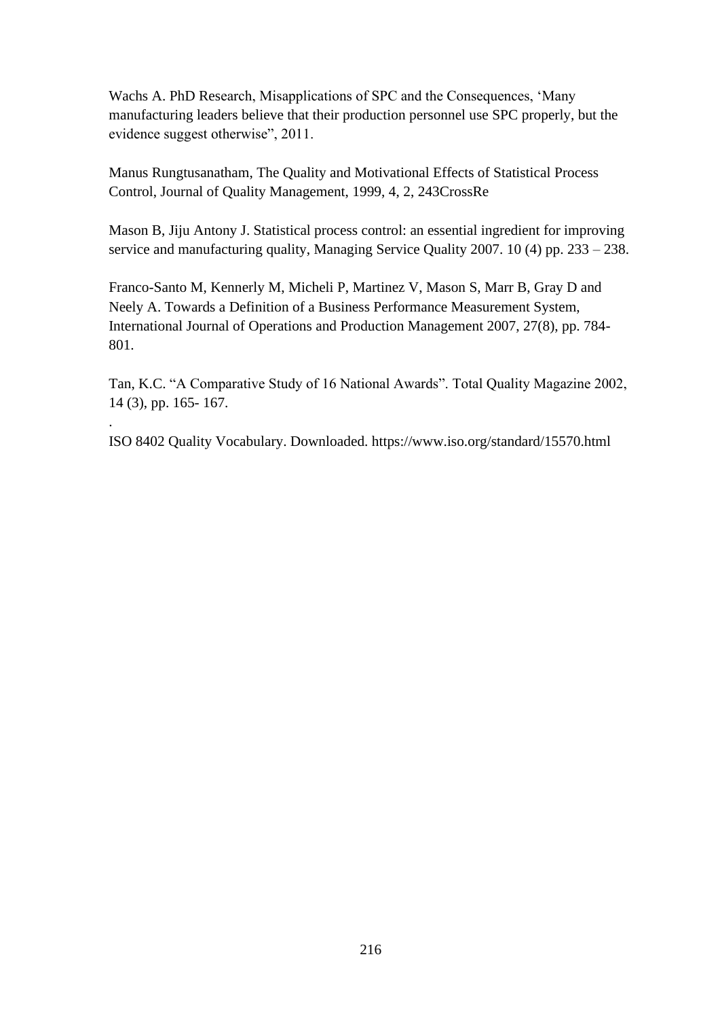Wachs A. PhD Research, Misapplications of SPC and the Consequences, 'Many manufacturing leaders believe that their production personnel use SPC properly, but the evidence suggest otherwise", 2011.

Manus Rungtusanatham, The Quality and Motivational Effects of Statistical Process Control, Journal of Quality Management, 1999, 4, 2, 24[3CrossRe](http://onlinelibrary.wiley.com/resolve/reference/XREF?id=10.1016/S1084-8568(99)00015-2)

Mason B, Jiju Antony J. Statistical process control: an essential ingredient for improving service and manufacturing quality, Managing Service Quality 2007. 10 (4) pp. 233 – 238.

Franco-Santo M, Kennerly M, Micheli P, Martinez V, Mason S, Marr B, Gray D and Neely A. Towards a Definition of a Business Performance Measurement System, International Journal of Operations and Production Management 2007, 27(8), pp. 784- 801.

Tan, K.C. "A Comparative Study of 16 National Awards". Total Quality Magazine 2002, 14 (3), pp. 165- 167.

ISO 8402 Quality Vocabulary. Downloaded. https://www.iso.org/standard/15570.html

.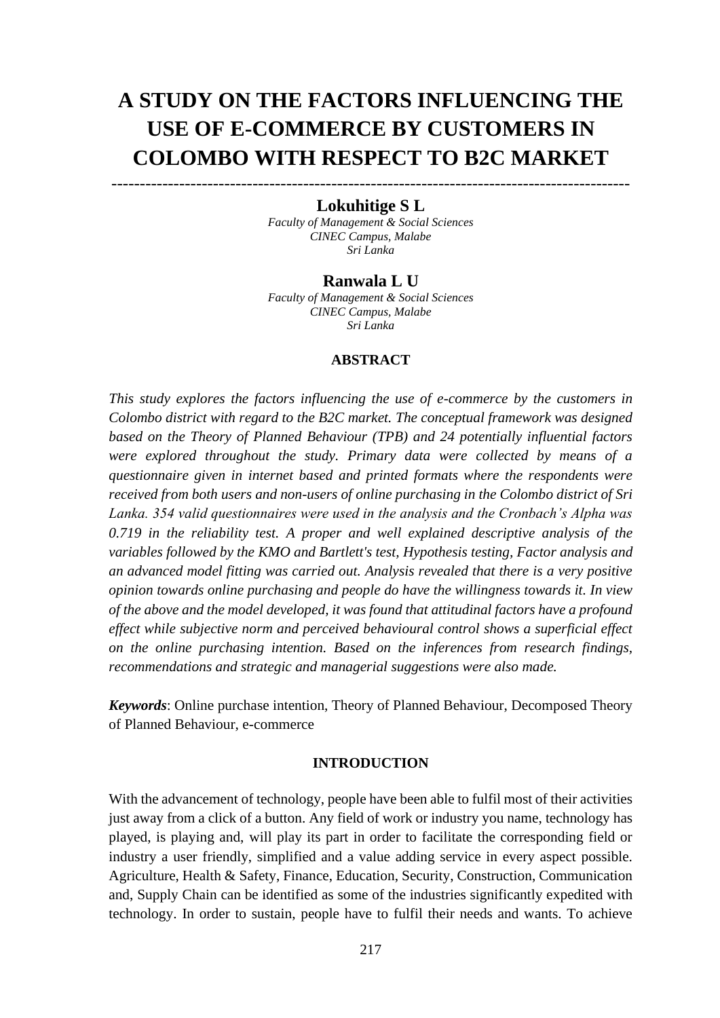# **A STUDY ON THE FACTORS INFLUENCING THE USE OF E-COMMERCE BY CUSTOMERS IN COLOMBO WITH RESPECT TO B2C MARKET**

# -------------------------------------------------------------------------------------------- **Lokuhitige S L**

*Faculty of Management & Social Sciences CINEC Campus, Malabe Sri Lanka*

### **Ranwala L U**

*Faculty of Management & Social Sciences CINEC Campus, Malabe Sri Lanka*

### **ABSTRACT**

*This study explores the factors influencing the use of e-commerce by the customers in Colombo district with regard to the B2C market. The conceptual framework was designed based on the Theory of Planned Behaviour (TPB) and 24 potentially influential factors were explored throughout the study. Primary data were collected by means of a questionnaire given in internet based and printed formats where the respondents were received from both users and non-users of online purchasing in the Colombo district of Sri Lanka. 354 valid questionnaires were used in the analysis and the Cronbach's Alpha was 0.719 in the reliability test. A proper and well explained descriptive analysis of the variables followed by the KMO and Bartlett's test, Hypothesis testing, Factor analysis and an advanced model fitting was carried out. Analysis revealed that there is a very positive opinion towards online purchasing and people do have the willingness towards it. In view of the above and the model developed, it was found that attitudinal factors have a profound effect while subjective norm and perceived behavioural control shows a superficial effect on the online purchasing intention. Based on the inferences from research findings, recommendations and strategic and managerial suggestions were also made.*

*Keywords*: Online purchase intention, Theory of Planned Behaviour, Decomposed Theory of Planned Behaviour, e-commerce

### **INTRODUCTION**

With the advancement of technology, people have been able to fulfil most of their activities just away from a click of a button. Any field of work or industry you name, technology has played, is playing and, will play its part in order to facilitate the corresponding field or industry a user friendly, simplified and a value adding service in every aspect possible. Agriculture, Health & Safety, Finance, Education, Security, Construction, Communication and, Supply Chain can be identified as some of the industries significantly expedited with technology. In order to sustain, people have to fulfil their needs and wants. To achieve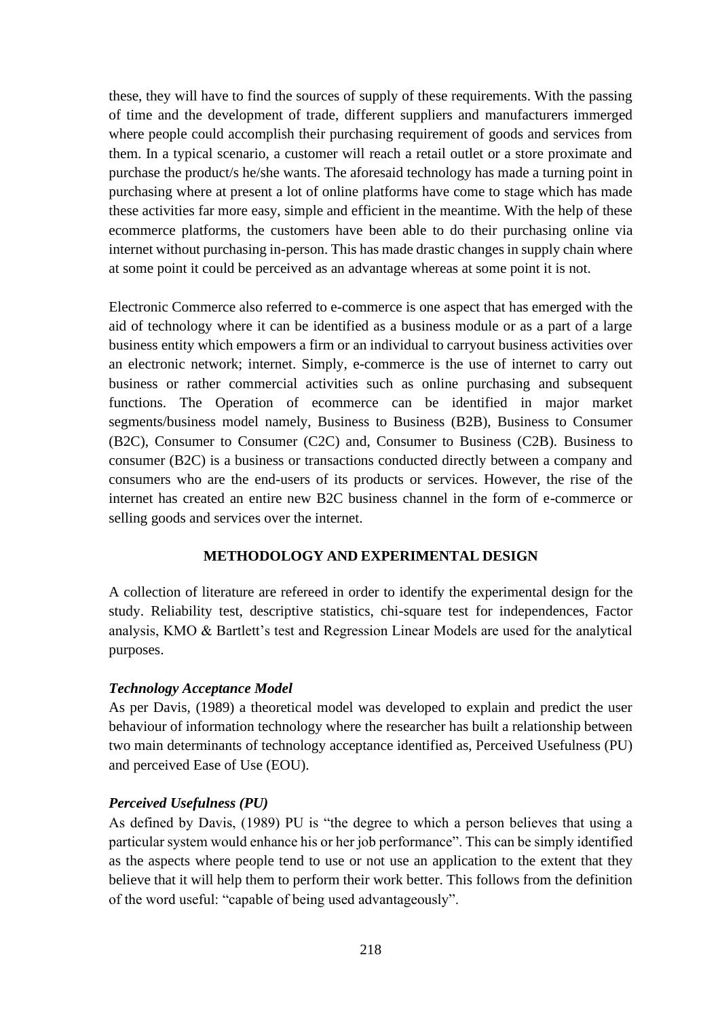these, they will have to find the sources of supply of these requirements. With the passing of time and the development of trade, different suppliers and manufacturers immerged where people could accomplish their purchasing requirement of goods and services from them. In a typical scenario, a customer will reach a retail outlet or a store proximate and purchase the product/s he/she wants. The aforesaid technology has made a turning point in purchasing where at present a lot of online platforms have come to stage which has made these activities far more easy, simple and efficient in the meantime. With the help of these ecommerce platforms, the customers have been able to do their purchasing online via internet without purchasing in-person. This has made drastic changes in supply chain where at some point it could be perceived as an advantage whereas at some point it is not.

Electronic Commerce also referred to e-commerce is one aspect that has emerged with the aid of technology where it can be identified as a business module or as a part of a large business entity which empowers a firm or an individual to carryout business activities over an electronic network; internet. Simply, e-commerce is the use of internet to carry out business or rather commercial activities such as online purchasing and subsequent functions. The Operation of ecommerce can be identified in major market segments/business model namely, Business to Business (B2B), Business to Consumer (B2C), Consumer to Consumer (C2C) and, Consumer to Business (C2B). Business to consumer (B2C) is a business or transactions conducted directly between a company and consumers who are the end-users of its products or services. However, the rise of the internet has created an entire new B2C business channel in the form of e-commerce or selling goods and services over the internet.

## **METHODOLOGY AND EXPERIMENTAL DESIGN**

A collection of literature are refereed in order to identify the experimental design for the study. Reliability test, descriptive statistics, chi-square test for independences, Factor analysis, KMO & Bartlett's test and Regression Linear Models are used for the analytical purposes.

## *Technology Acceptance Model*

As per Davis, (1989) a theoretical model was developed to explain and predict the user behaviour of information technology where the researcher has built a relationship between two main determinants of technology acceptance identified as, Perceived Usefulness (PU) and perceived Ease of Use (EOU).

## *Perceived Usefulness (PU)*

As defined by Davis, (1989) PU is "the degree to which a person believes that using a particular system would enhance his or her job performance". This can be simply identified as the aspects where people tend to use or not use an application to the extent that they believe that it will help them to perform their work better. This follows from the definition of the word useful: "capable of being used advantageously".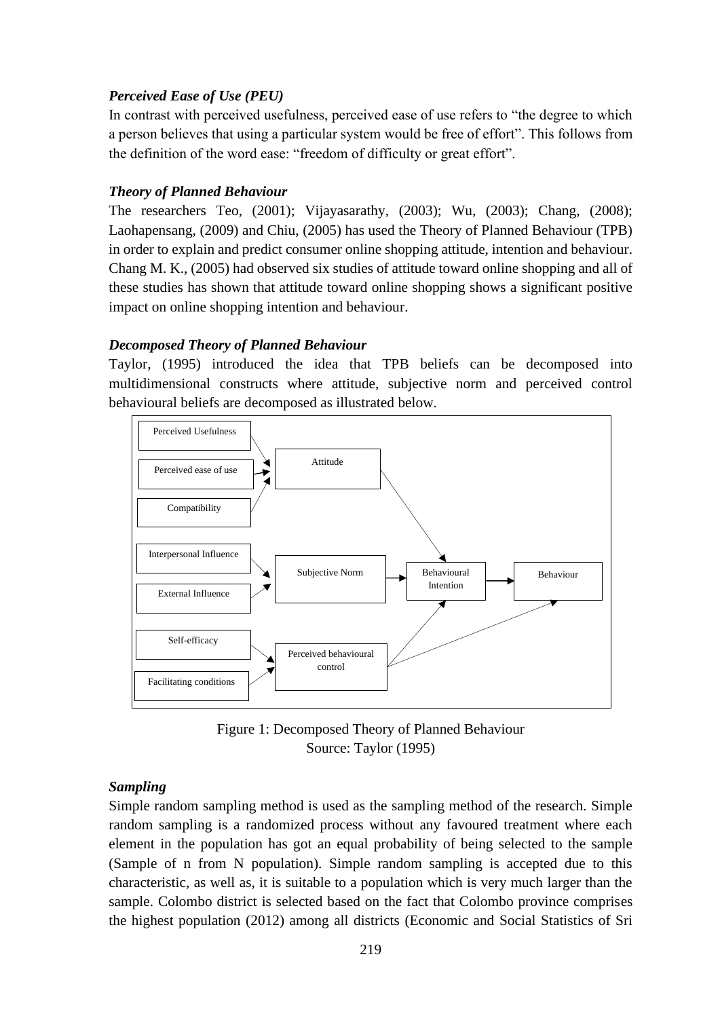# *Perceived Ease of Use (PEU)*

In contrast with perceived usefulness, perceived ease of use refers to "the degree to which a person believes that using a particular system would be free of effort". This follows from the definition of the word ease: "freedom of difficulty or great effort".

# *Theory of Planned Behaviour*

The researchers Teo, (2001); Vijayasarathy, (2003); Wu, (2003); Chang, (2008); Laohapensang, (2009) and Chiu, (2005) has used the Theory of Planned Behaviour (TPB) in order to explain and predict consumer online shopping attitude, intention and behaviour. Chang M. K., (2005) had observed six studies of attitude toward online shopping and all of these studies has shown that attitude toward online shopping shows a significant positive impact on online shopping intention and behaviour.

# *Decomposed Theory of Planned Behaviour*

Taylor, (1995) introduced the idea that TPB beliefs can be decomposed into multidimensional constructs where attitude, subjective norm and perceived control behavioural beliefs are decomposed as illustrated below.



Figure 1: Decomposed Theory of Planned Behaviour Source: Taylor (1995)

## *Sampling*

Simple random sampling method is used as the sampling method of the research. Simple random sampling is a randomized process without any favoured treatment where each element in the population has got an equal probability of being selected to the sample (Sample of n from N population). Simple random sampling is accepted due to this characteristic, as well as, it is suitable to a population which is very much larger than the sample. Colombo district is selected based on the fact that Colombo province comprises the highest population (2012) among all districts (Economic and Social Statistics of Sri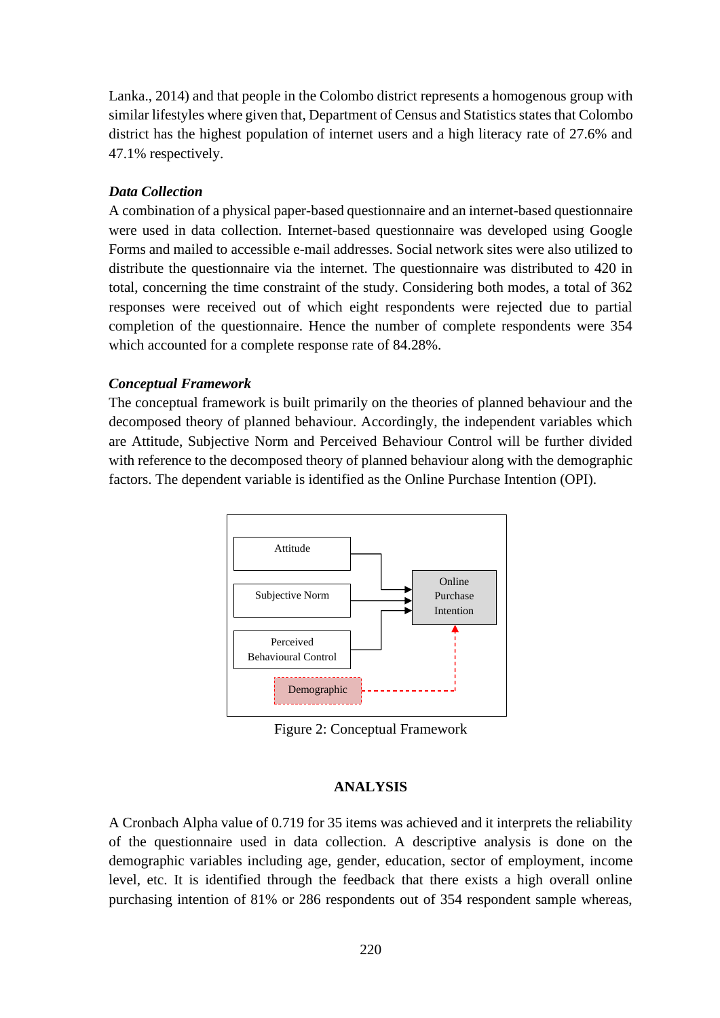Lanka., 2014) and that people in the Colombo district represents a homogenous group with similar lifestyles where given that, Department of Census and Statistics states that Colombo district has the highest population of internet users and a high literacy rate of 27.6% and 47.1% respectively.

### *Data Collection*

A combination of a physical paper-based questionnaire and an internet-based questionnaire were used in data collection. Internet-based questionnaire was developed using Google Forms and mailed to accessible e-mail addresses. Social network sites were also utilized to distribute the questionnaire via the internet. The questionnaire was distributed to 420 in total, concerning the time constraint of the study. Considering both modes, a total of 362 responses were received out of which eight respondents were rejected due to partial completion of the questionnaire. Hence the number of complete respondents were 354 which accounted for a complete response rate of 84.28%.

### *Conceptual Framework*

The conceptual framework is built primarily on the theories of planned behaviour and the decomposed theory of planned behaviour. Accordingly, the independent variables which are Attitude, Subjective Norm and Perceived Behaviour Control will be further divided with reference to the decomposed theory of planned behaviour along with the demographic factors. The dependent variable is identified as the Online Purchase Intention (OPI).



Figure 2: Conceptual Framework

### **ANALYSIS**

A Cronbach Alpha value of 0.719 for 35 items was achieved and it interprets the reliability of the questionnaire used in data collection. A descriptive analysis is done on the demographic variables including age, gender, education, sector of employment, income level, etc. It is identified through the feedback that there exists a high overall online purchasing intention of 81% or 286 respondents out of 354 respondent sample whereas,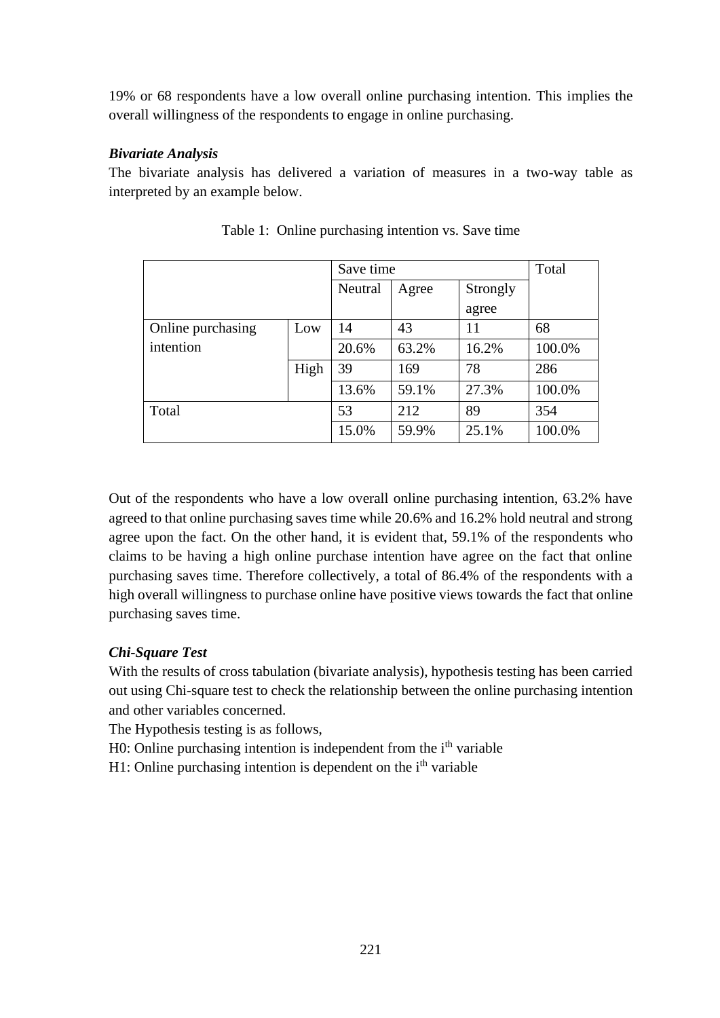19% or 68 respondents have a low overall online purchasing intention. This implies the overall willingness of the respondents to engage in online purchasing.

# *Bivariate Analysis*

The bivariate analysis has delivered a variation of measures in a two-way table as interpreted by an example below.

|                   |      | Save time | Total |          |        |
|-------------------|------|-----------|-------|----------|--------|
|                   |      | Neutral   | Agree | Strongly |        |
|                   |      |           |       | agree    |        |
| Online purchasing | Low  | 14        | 43    | 11       | 68     |
| intention         |      | 20.6%     | 63.2% | 16.2%    | 100.0% |
|                   | High | 39        | 169   | 78       | 286    |
|                   |      | 13.6%     | 59.1% | 27.3%    | 100.0% |
| Total             |      | 53        | 212   | 89       | 354    |
|                   |      | 15.0%     | 59.9% | 25.1%    | 100.0% |

|  | Table 1: Online purchasing intention vs. Save time |  |  |
|--|----------------------------------------------------|--|--|
|  |                                                    |  |  |

Out of the respondents who have a low overall online purchasing intention, 63.2% have agreed to that online purchasing saves time while 20.6% and 16.2% hold neutral and strong agree upon the fact. On the other hand, it is evident that, 59.1% of the respondents who claims to be having a high online purchase intention have agree on the fact that online purchasing saves time. Therefore collectively, a total of 86.4% of the respondents with a high overall willingness to purchase online have positive views towards the fact that online purchasing saves time.

# *Chi-Square Test*

With the results of cross tabulation (bivariate analysis), hypothesis testing has been carried out using Chi-square test to check the relationship between the online purchasing intention and other variables concerned.

The Hypothesis testing is as follows,

H0: Online purchasing intention is independent from the i<sup>th</sup> variable

 $H1:$  Online purchasing intention is dependent on the  $i<sup>th</sup>$  variable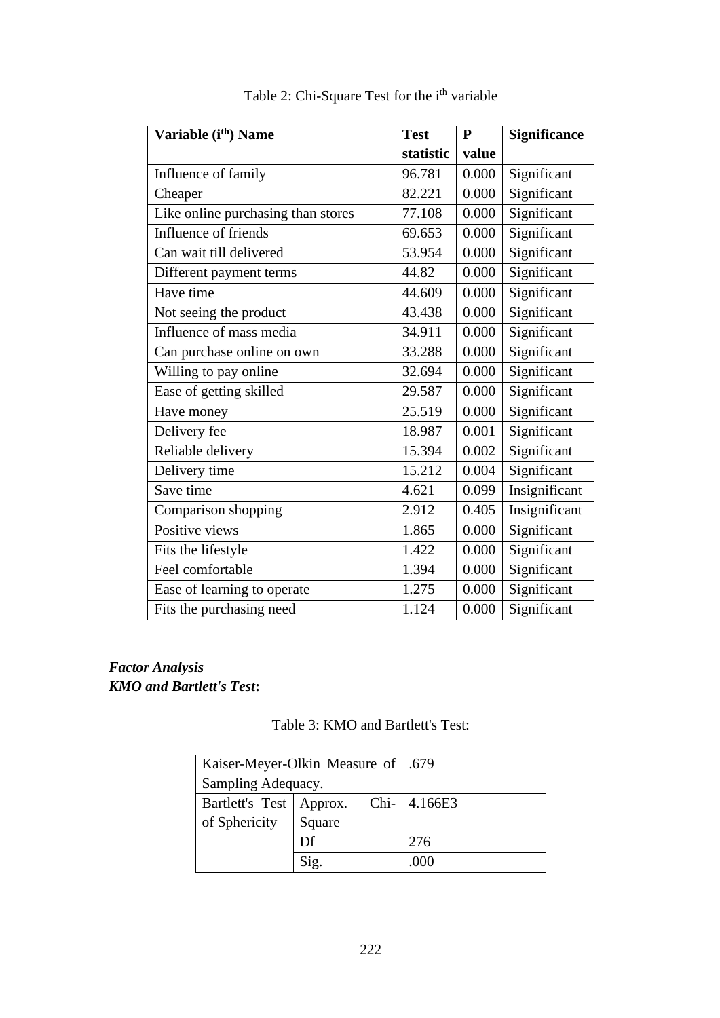| Variable (i <sup>th</sup> ) Name   | <b>Test</b> | $\mathbf{P}$ | Significance  |
|------------------------------------|-------------|--------------|---------------|
|                                    | statistic   | value        |               |
| Influence of family                | 96.781      | 0.000        | Significant   |
| Cheaper                            | 82.221      | 0.000        | Significant   |
| Like online purchasing than stores | 77.108      | 0.000        | Significant   |
| Influence of friends               | 69.653      | 0.000        | Significant   |
| Can wait till delivered            | 53.954      | 0.000        | Significant   |
| Different payment terms            | 44.82       | 0.000        | Significant   |
| Have time                          | 44.609      | 0.000        | Significant   |
| Not seeing the product             | 43.438      | 0.000        | Significant   |
| Influence of mass media            | 34.911      | 0.000        | Significant   |
| Can purchase online on own         | 33.288      | 0.000        | Significant   |
| Willing to pay online              | 32.694      | 0.000        | Significant   |
| Ease of getting skilled            | 29.587      | 0.000        | Significant   |
| Have money                         | 25.519      | 0.000        | Significant   |
| Delivery fee                       | 18.987      | 0.001        | Significant   |
| Reliable delivery                  | 15.394      | 0.002        | Significant   |
| Delivery time                      | 15.212      | 0.004        | Significant   |
| Save time                          | 4.621       | 0.099        | Insignificant |
| Comparison shopping                | 2.912       | 0.405        | Insignificant |
| Positive views                     | 1.865       | 0.000        | Significant   |
| Fits the lifestyle                 | 1.422       | 0.000        | Significant   |
| Feel comfortable                   | 1.394       | 0.000        | Significant   |
| Ease of learning to operate        | 1.275       | 0.000        | Significant   |
| Fits the purchasing need           | 1.124       | 0.000        | Significant   |

# Table 2: Chi-Square Test for the i<sup>th</sup> variable

# *Factor Analysis KMO and Bartlett's Test***:**

| Table 3: KMO and Bartlett's Test: |  |  |
|-----------------------------------|--|--|
|-----------------------------------|--|--|

|                           | Kaiser-Meyer-Olkin Measure of   .679 |              |
|---------------------------|--------------------------------------|--------------|
| Sampling Adequacy.        |                                      |              |
| Bartlett's Test   Approx. |                                      | Chi- 4.166E3 |
| of Sphericity             | Square                               |              |
|                           | Df                                   | 276          |
|                           | Sig.                                 | .000         |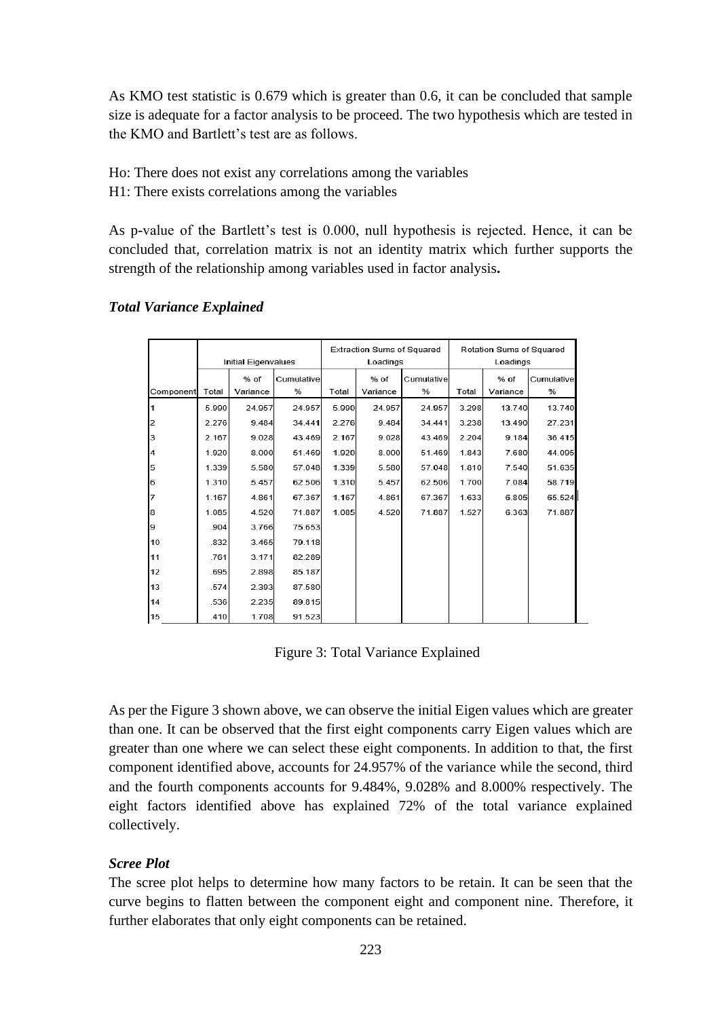As KMO test statistic is 0.679 which is greater than 0.6, it can be concluded that sample size is adequate for a factor analysis to be proceed. The two hypothesis which are tested in the KMO and Bartlett's test are as follows.

Ho: There does not exist any correlations among the variables

H1: There exists correlations among the variables

As p-value of the Bartlett's test is 0.000, null hypothesis is rejected. Hence, it can be concluded that, correlation matrix is not an identity matrix which further supports the strength of the relationship among variables used in factor analysis**.**

|                |       |                            |            | Extraction Sums of Squared |          |            | Rotation Sums of Squared |          |            |
|----------------|-------|----------------------------|------------|----------------------------|----------|------------|--------------------------|----------|------------|
|                |       | <b>Initial Eigenvalues</b> |            |                            | Loadings |            | Loadings                 |          |            |
|                |       | % of                       | Cumulative |                            | % of     | Cumulative |                          | % of     | Cumulative |
| Componentl     | Total | Variance                   | %          | Total                      | Variance | %          | Total                    | Variance | %          |
|                | 5.990 | 24.957                     | 24.957     | 5.990                      | 24.957   | 24.957     | 3.298                    | 13.740   | 13.740     |
| 2              | 2.276 | 9.484                      | 34.441     | 2.276                      | 9.484    | 34.441     | 3.238                    | 13.490   | 27.231     |
| 3              | 2.167 | 9.028                      | 43.469     | 2.167                      | 9.028    | 43.469     | 2.204                    | 9.184    | 36.415     |
| $\overline{4}$ | 1.920 | 8.000                      | 51.469     | 1.920                      | 8.000    | 51.469     | 1.843                    | 7.680    | 44.095     |
| 5              | 1.339 | 5.580                      | 57.048     | 1.339                      | 5.580    | 57.048     | 1.810                    | 7.540    | 51.635     |
| 6              | 1.310 | 5.457                      | 62.506     | 1.310                      | 5.457    | 62.506     | 1.700                    | 7.084    | 58.719     |
| 7              | 1.167 | 4.861                      | 67.367     | 1.167                      | 4.861    | 67.367     | 1.633                    | 6.805    | 65.524     |
| 8              | 1.085 | 4.520                      | 71.887     | 1.085                      | 4.520    | 71.887     | 1.527                    | 6.363    | 71.887     |
| 9              | .904  | 3.766                      | 75.653     |                            |          |            |                          |          |            |
| 10             | .832  | 3.465                      | 79.118     |                            |          |            |                          |          |            |
| 11             | .761  | 3.171                      | 82.289     |                            |          |            |                          |          |            |
| 12             | .695  | 2.898                      | 85.187     |                            |          |            |                          |          |            |
| 13             | .574  | 2.393                      | 87.580     |                            |          |            |                          |          |            |
| 14             | .536  | 2.235                      | 89.815     |                            |          |            |                          |          |            |
| 15             | .410  | 1.708                      | 91.523     |                            |          |            |                          |          |            |

### *Total Variance Explained*

Figure 3: Total Variance Explained

As per the Figure 3 shown above, we can observe the initial Eigen values which are greater than one. It can be observed that the first eight components carry Eigen values which are greater than one where we can select these eight components. In addition to that, the first component identified above, accounts for 24.957% of the variance while the second, third and the fourth components accounts for 9.484%, 9.028% and 8.000% respectively. The eight factors identified above has explained 72% of the total variance explained collectively.

### *Scree Plot*

The scree plot helps to determine how many factors to be retain. It can be seen that the curve begins to flatten between the component eight and component nine. Therefore, it further elaborates that only eight components can be retained.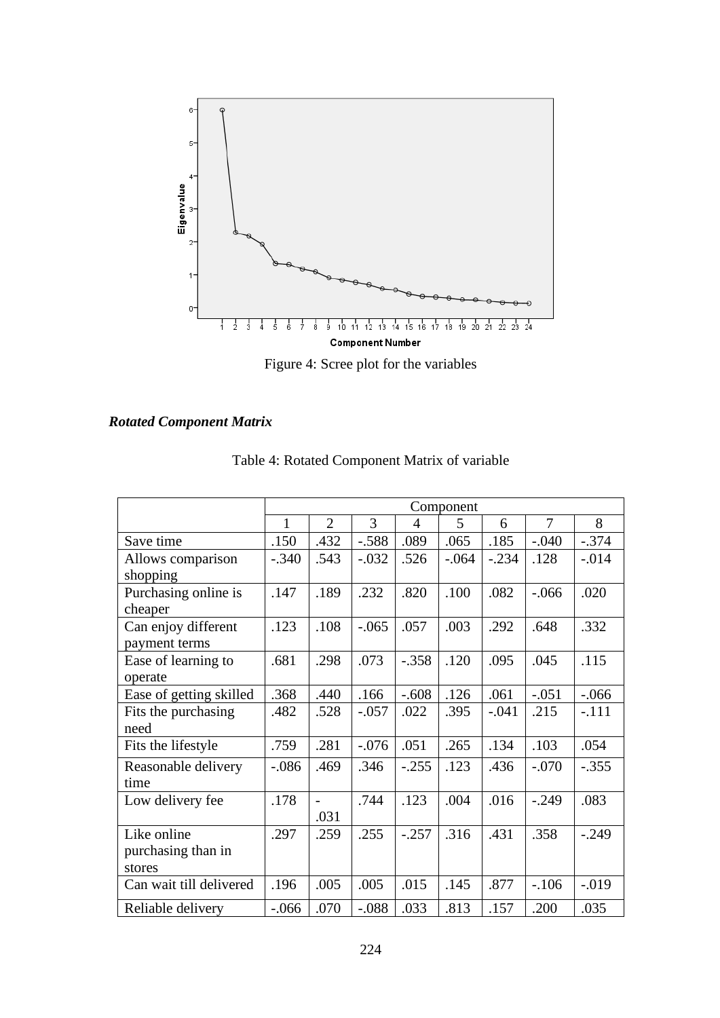

Figure 4: Scree plot for the variables

# *Rotated Component Matrix*

|                         | Component    |                |         |                |         |         |         |          |
|-------------------------|--------------|----------------|---------|----------------|---------|---------|---------|----------|
|                         | $\mathbf{1}$ | $\mathfrak{2}$ | 3       | $\overline{4}$ | 5       | 6       | 7       | 8        |
| Save time               | .150         | .432           | $-.588$ | .089           | .065    | .185    | $-.040$ | $-.374$  |
| Allows comparison       | $-.340$      | .543           | $-.032$ | .526           | $-.064$ | $-.234$ | .128    | $-0.014$ |
| shopping                |              |                |         |                |         |         |         |          |
| Purchasing online is    | .147         | .189           | .232    | .820           | .100    | .082    | $-.066$ | .020     |
| cheaper                 |              |                |         |                |         |         |         |          |
| Can enjoy different     | .123         | .108           | $-.065$ | .057           | .003    | .292    | .648    | .332     |
| payment terms           |              |                |         |                |         |         |         |          |
| Ease of learning to     | .681         | .298           | .073    | $-.358$        | .120    | .095    | .045    | .115     |
| operate                 |              |                |         |                |         |         |         |          |
| Ease of getting skilled | .368         | .440           | .166    | $-.608$        | .126    | .061    | $-.051$ | $-.066$  |
| Fits the purchasing     | .482         | .528           | $-.057$ | .022           | .395    | $-.041$ | .215    | $-.111$  |
| need                    |              |                |         |                |         |         |         |          |
| Fits the lifestyle      | .759         | .281           | $-.076$ | .051           | .265    | .134    | .103    | .054     |
| Reasonable delivery     | $-.086$      | .469           | .346    | $-.255$        | .123    | .436    | $-.070$ | $-.355$  |
| time                    |              |                |         |                |         |         |         |          |
| Low delivery fee        | .178         | $\overline{a}$ | .744    | .123           | .004    | .016    | $-.249$ | .083     |
|                         |              | .031           |         |                |         |         |         |          |
| Like online             | .297         | .259           | .255    | $-.257$        | .316    | .431    | .358    | $-.249$  |
| purchasing than in      |              |                |         |                |         |         |         |          |
| stores                  |              |                |         |                |         |         |         |          |
| Can wait till delivered | .196         | .005           | .005    | .015           | .145    | .877    | $-.106$ | $-.019$  |
| Reliable delivery       | $-.066$      | .070           | $-.088$ | .033           | .813    | .157    | .200    | .035     |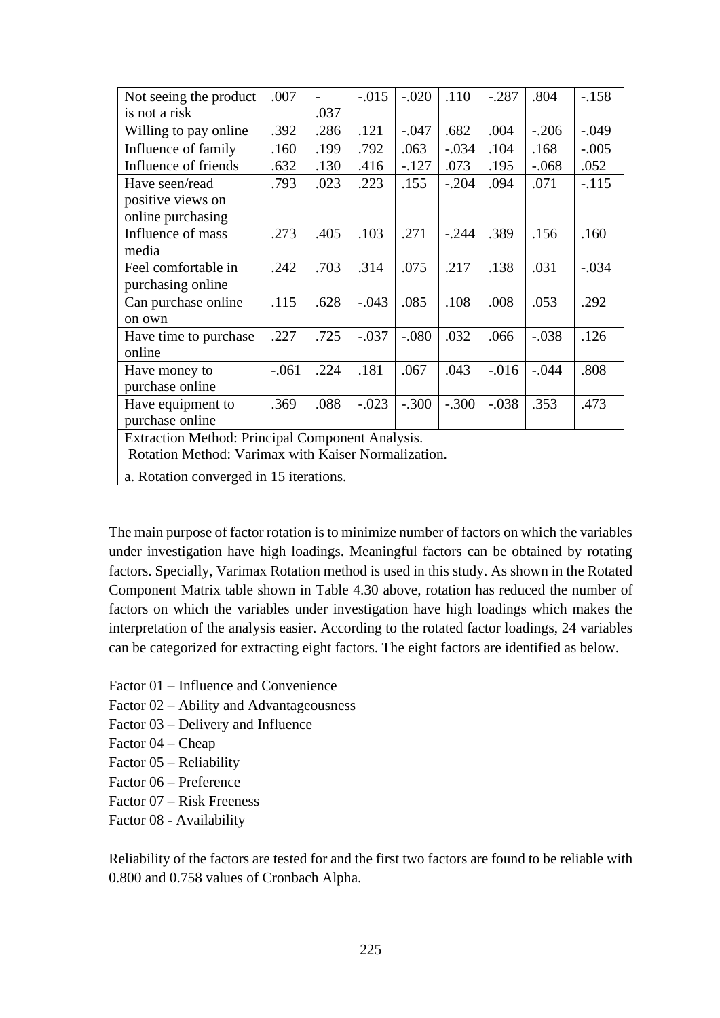| Not seeing the product                              | .007    |      | $-.015$ | $-.020$ | .110    | $-.287$ | .804    | $-.158$ |
|-----------------------------------------------------|---------|------|---------|---------|---------|---------|---------|---------|
| is not a risk                                       |         | .037 |         |         |         |         |         |         |
| Willing to pay online                               | .392    | .286 | .121    | $-.047$ | .682    | .004    | $-.206$ | $-.049$ |
| Influence of family                                 | .160    | .199 | .792    | .063    | $-.034$ | .104    | .168    | $-.005$ |
| Influence of friends                                | .632    | .130 | .416    | $-.127$ | .073    | .195    | $-.068$ | .052    |
| Have seen/read                                      | .793    | .023 | .223    | .155    | $-.204$ | .094    | .071    | $-.115$ |
| positive views on                                   |         |      |         |         |         |         |         |         |
| online purchasing                                   |         |      |         |         |         |         |         |         |
| Influence of mass                                   | .273    | .405 | .103    | .271    | $-.244$ | .389    | .156    | .160    |
| media                                               |         |      |         |         |         |         |         |         |
| Feel comfortable in                                 | .242    | .703 | .314    | .075    | .217    | .138    | .031    | $-.034$ |
| purchasing online                                   |         |      |         |         |         |         |         |         |
| Can purchase online                                 | .115    | .628 | $-.043$ | .085    | .108    | .008    | .053    | .292    |
| on own                                              |         |      |         |         |         |         |         |         |
| Have time to purchase                               | .227    | .725 | $-.037$ | $-.080$ | .032    | .066    | $-.038$ | .126    |
| online                                              |         |      |         |         |         |         |         |         |
| Have money to                                       | $-.061$ | .224 | .181    | .067    | .043    | $-.016$ | $-.044$ | .808    |
| purchase online                                     |         |      |         |         |         |         |         |         |
| Have equipment to                                   | .369    | .088 | $-.023$ | $-.300$ | $-.300$ | $-.038$ | .353    | .473    |
| purchase online                                     |         |      |         |         |         |         |         |         |
| Extraction Method: Principal Component Analysis.    |         |      |         |         |         |         |         |         |
| Rotation Method: Varimax with Kaiser Normalization. |         |      |         |         |         |         |         |         |
| a. Rotation converged in 15 iterations.             |         |      |         |         |         |         |         |         |

The main purpose of factor rotation is to minimize number of factors on which the variables under investigation have high loadings. Meaningful factors can be obtained by rotating factors. Specially, Varimax Rotation method is used in this study. As shown in the Rotated Component Matrix table shown in Table 4.30 above, rotation has reduced the number of factors on which the variables under investigation have high loadings which makes the interpretation of the analysis easier. According to the rotated factor loadings, 24 variables can be categorized for extracting eight factors. The eight factors are identified as below.

- Factor 01 Influence and Convenience
- Factor 02 Ability and Advantageousness
- Factor 03 Delivery and Influence
- Factor 04 Cheap
- Factor 05 Reliability
- Factor 06 Preference
- Factor 07 Risk Freeness
- Factor 08 Availability

Reliability of the factors are tested for and the first two factors are found to be reliable with 0.800 and 0.758 values of Cronbach Alpha.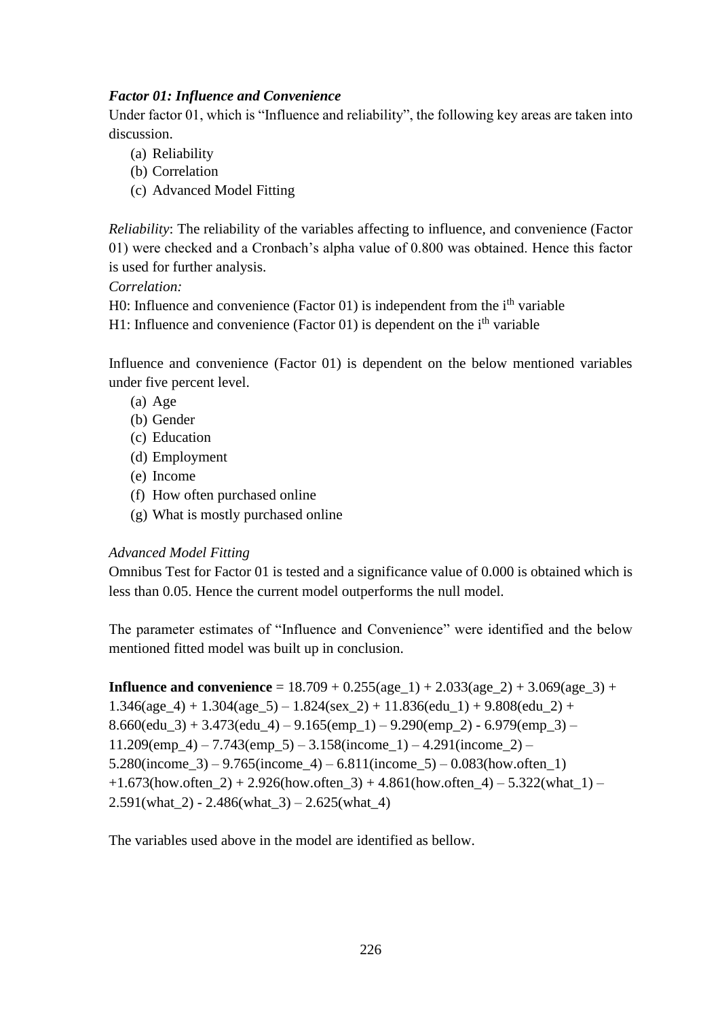# *Factor 01: Influence and Convenience*

Under factor 01, which is "Influence and reliability", the following key areas are taken into discussion.

- (a) Reliability
- (b) Correlation
- (c) Advanced Model Fitting

*Reliability*: The reliability of the variables affecting to influence, and convenience (Factor 01) were checked and a Cronbach's alpha value of 0.800 was obtained. Hence this factor is used for further analysis.

# *Correlation:*

H0: Influence and convenience (Factor  $01$ ) is independent from the i<sup>th</sup> variable

H1: Influence and convenience (Factor 01) is dependent on the  $i<sup>th</sup>$  variable

Influence and convenience (Factor 01) is dependent on the below mentioned variables under five percent level.

- (a) Age
- (b) Gender
- (c) Education
- (d) Employment
- (e) Income
- (f) How often purchased online
- (g) What is mostly purchased online

# *Advanced Model Fitting*

Omnibus Test for Factor 01 is tested and a significance value of 0.000 is obtained which is less than 0.05. Hence the current model outperforms the null model.

The parameter estimates of "Influence and Convenience" were identified and the below mentioned fitted model was built up in conclusion.

**Influence and convenience** =  $18.709 + 0.255(\text{age }1) + 2.033(\text{age }2) + 3.069(\text{age }3) +$  $1.346(age_4) + 1.304(age_5) - 1.824(sex_2) + 11.836(edu_1) + 9.808(edu_2) +$  $8.660$ (edu\_3) + 3.473(edu\_4) – 9.165(emp\_1) – 9.290(emp\_2) - 6.979(emp\_3) –  $11.209$ (emp\_4) –  $7.743$ (emp\_5) –  $3.158$ (income\_1) –  $4.291$ (income\_2) –  $5.280$ (income\_3) – 9.765(income\_4) – 6.811(income\_5) – 0.083(how.often 1)  $+1.673$ (how.often\_2) + 2.926(how.often\_3) + 4.861(how.often\_4) – 5.322(what\_1) –  $2.591(what_2) - 2.486(what_3) - 2.625(what_4)$ 

The variables used above in the model are identified as bellow.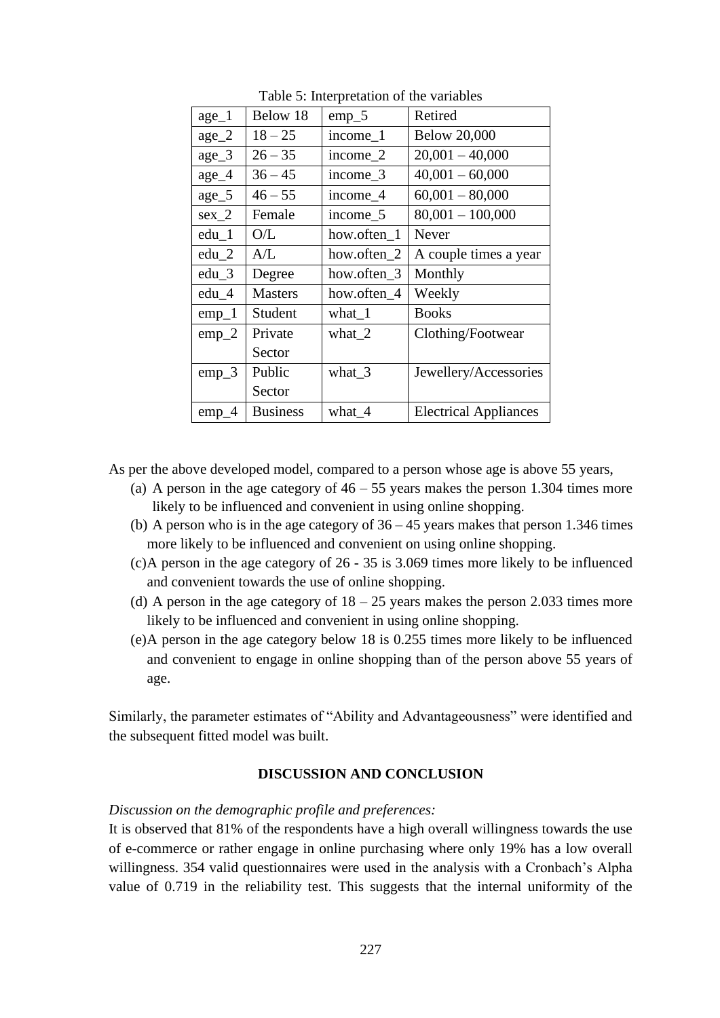| $age_1$ | Below 18        | $emp_5$     | Retired                      |
|---------|-----------------|-------------|------------------------------|
| $age_2$ | $18 - 25$       | income 1    | <b>Below 20,000</b>          |
| $age_3$ | $26 - 35$       | income_2    | $20,001 - 40,000$            |
| $age_4$ | $36 - 45$       | income_3    | $40,001 - 60,000$            |
| $age_5$ | $46 - 55$       | income 4    | $60,001 - 80,000$            |
| $sex_2$ | Female          | income_5    | $80,001 - 100,000$           |
| $edu_1$ | O/L             | how.often 1 | Never                        |
| $edu_2$ | A/L             | how.often 2 | A couple times a year        |
| $edu_3$ | Degree          | how.often 3 | Monthly                      |
| $edu_4$ | <b>Masters</b>  | how.often_4 | Weekly                       |
| $emp_1$ | Student         | what $_1$   | <b>Books</b>                 |
| $emp_2$ | Private         | what 2      | Clothing/Footwear            |
|         | Sector          |             |                              |
| $emp_3$ | Public          | what $3$    | Jewellery/Accessories        |
|         | Sector          |             |                              |
| $emp_4$ | <b>Business</b> | what_4      | <b>Electrical Appliances</b> |

Table 5: Interpretation of the variables

As per the above developed model, compared to a person whose age is above 55 years,

- (a) A person in the age category of  $46 55$  years makes the person 1.304 times more likely to be influenced and convenient in using online shopping.
- (b) A person who is in the age category of  $36 45$  years makes that person 1.346 times more likely to be influenced and convenient on using online shopping.
- (c)A person in the age category of 26 35 is 3.069 times more likely to be influenced and convenient towards the use of online shopping.
- (d) A person in the age category of  $18 25$  years makes the person 2.033 times more likely to be influenced and convenient in using online shopping.
- (e)A person in the age category below 18 is 0.255 times more likely to be influenced and convenient to engage in online shopping than of the person above 55 years of age.

Similarly, the parameter estimates of "Ability and Advantageousness" were identified and the subsequent fitted model was built.

### **DISCUSSION AND CONCLUSION**

### *Discussion on the demographic profile and preferences:*

It is observed that 81% of the respondents have a high overall willingness towards the use of e-commerce or rather engage in online purchasing where only 19% has a low overall willingness. 354 valid questionnaires were used in the analysis with a Cronbach's Alpha value of 0.719 in the reliability test. This suggests that the internal uniformity of the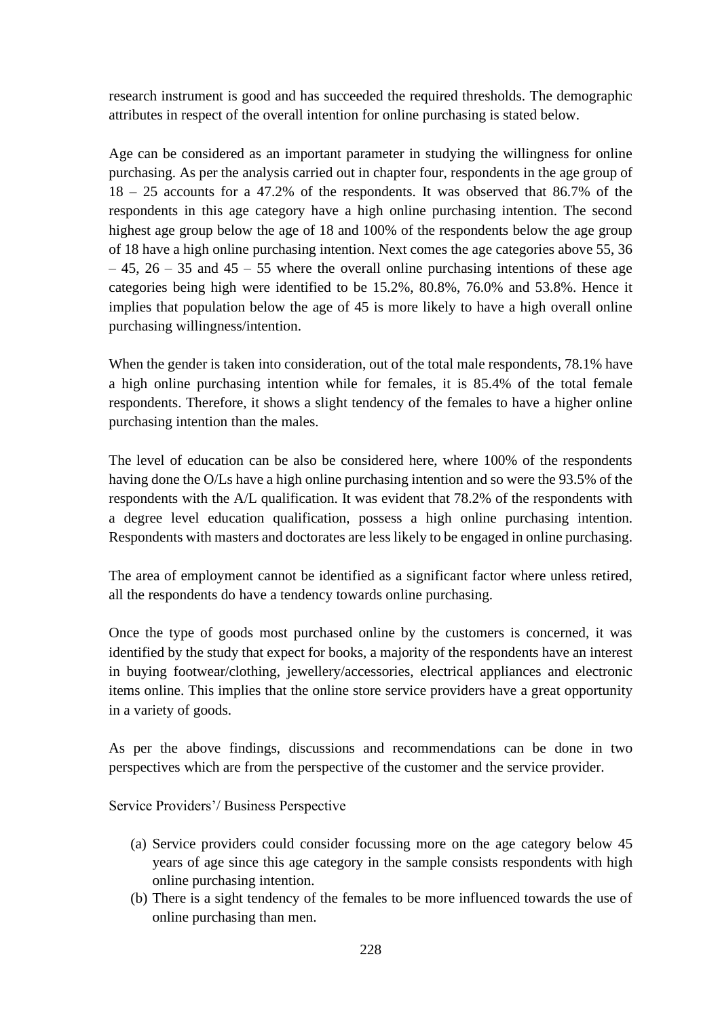research instrument is good and has succeeded the required thresholds. The demographic attributes in respect of the overall intention for online purchasing is stated below.

Age can be considered as an important parameter in studying the willingness for online purchasing. As per the analysis carried out in chapter four, respondents in the age group of 18 – 25 accounts for a 47.2% of the respondents. It was observed that 86.7% of the respondents in this age category have a high online purchasing intention. The second highest age group below the age of 18 and 100% of the respondents below the age group of 18 have a high online purchasing intention. Next comes the age categories above 55, 36  $-45$ ,  $26 - 35$  and  $45 - 55$  where the overall online purchasing intentions of these age categories being high were identified to be 15.2%, 80.8%, 76.0% and 53.8%. Hence it implies that population below the age of 45 is more likely to have a high overall online purchasing willingness/intention.

When the gender is taken into consideration, out of the total male respondents, 78.1% have a high online purchasing intention while for females, it is 85.4% of the total female respondents. Therefore, it shows a slight tendency of the females to have a higher online purchasing intention than the males.

The level of education can be also be considered here, where 100% of the respondents having done the O/Ls have a high online purchasing intention and so were the 93.5% of the respondents with the A/L qualification. It was evident that 78.2% of the respondents with a degree level education qualification, possess a high online purchasing intention. Respondents with masters and doctorates are less likely to be engaged in online purchasing.

The area of employment cannot be identified as a significant factor where unless retired, all the respondents do have a tendency towards online purchasing.

Once the type of goods most purchased online by the customers is concerned, it was identified by the study that expect for books, a majority of the respondents have an interest in buying footwear/clothing, jewellery/accessories, electrical appliances and electronic items online. This implies that the online store service providers have a great opportunity in a variety of goods.

As per the above findings, discussions and recommendations can be done in two perspectives which are from the perspective of the customer and the service provider.

Service Providers'/ Business Perspective

- (a) Service providers could consider focussing more on the age category below 45 years of age since this age category in the sample consists respondents with high online purchasing intention.
- (b) There is a sight tendency of the females to be more influenced towards the use of online purchasing than men.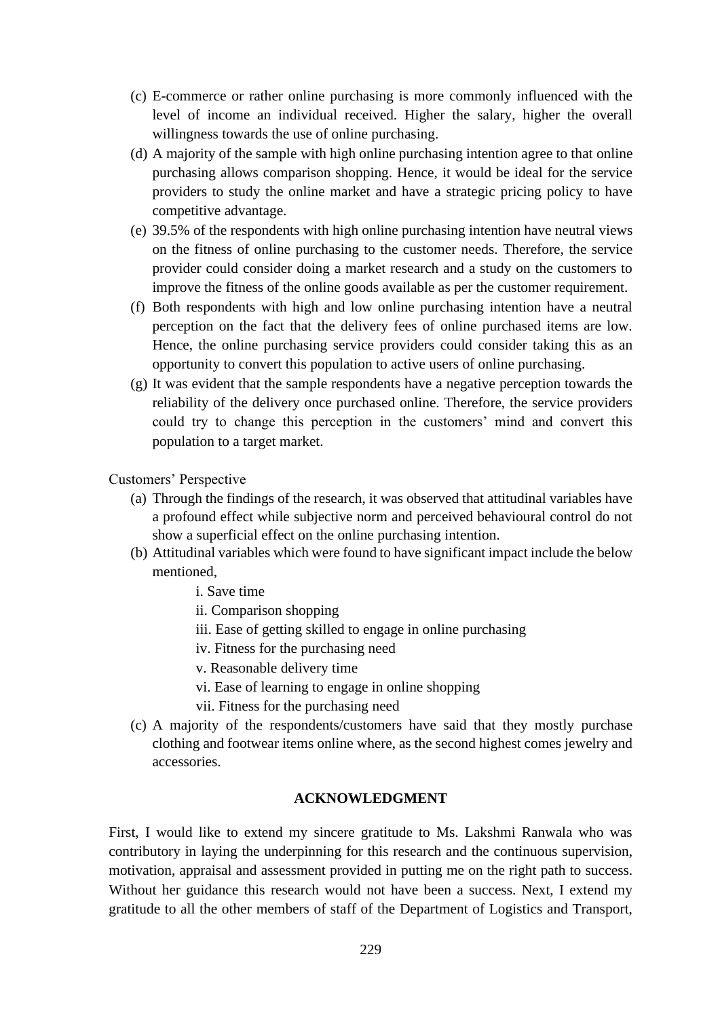- (c) E-commerce or rather online purchasing is more commonly influenced with the level of income an individual received. Higher the salary, higher the overall willingness towards the use of online purchasing.
- (d) A majority of the sample with high online purchasing intention agree to that online purchasing allows comparison shopping. Hence, it would be ideal for the service providers to study the online market and have a strategic pricing policy to have competitive advantage.
- (e) 39.5% of the respondents with high online purchasing intention have neutral views on the fitness of online purchasing to the customer needs. Therefore, the service provider could consider doing a market research and a study on the customers to improve the fitness of the online goods available as per the customer requirement.
- (f) Both respondents with high and low online purchasing intention have a neutral perception on the fact that the delivery fees of online purchased items are low. Hence, the online purchasing service providers could consider taking this as an opportunity to convert this population to active users of online purchasing.
- (g) It was evident that the sample respondents have a negative perception towards the reliability of the delivery once purchased online. Therefore, the service providers could try to change this perception in the customers' mind and convert this population to a target market.

Customers' Perspective

- (a) Through the findings of the research, it was observed that attitudinal variables have a profound effect while subjective norm and perceived behavioural control do not show a superficial effect on the online purchasing intention.
- (b) Attitudinal variables which were found to have significant impact include the below mentioned,

i. Save time

- ii. Comparison shopping
- iii. Ease of getting skilled to engage in online purchasing
- iv. Fitness for the purchasing need
- v. Reasonable delivery time
- vi. Ease of learning to engage in online shopping
- vii. Fitness for the purchasing need
- (c) A majority of the respondents/customers have said that they mostly purchase clothing and footwear items online where, as the second highest comes jewelry and accessories.

### **ACKNOWLEDGMENT**

First, I would like to extend my sincere gratitude to Ms. Lakshmi Ranwala who was contributory in laying the underpinning for this research and the continuous supervision, motivation, appraisal and assessment provided in putting me on the right path to success. Without her guidance this research would not have been a success. Next, I extend my gratitude to all the other members of staff of the Department of Logistics and Transport,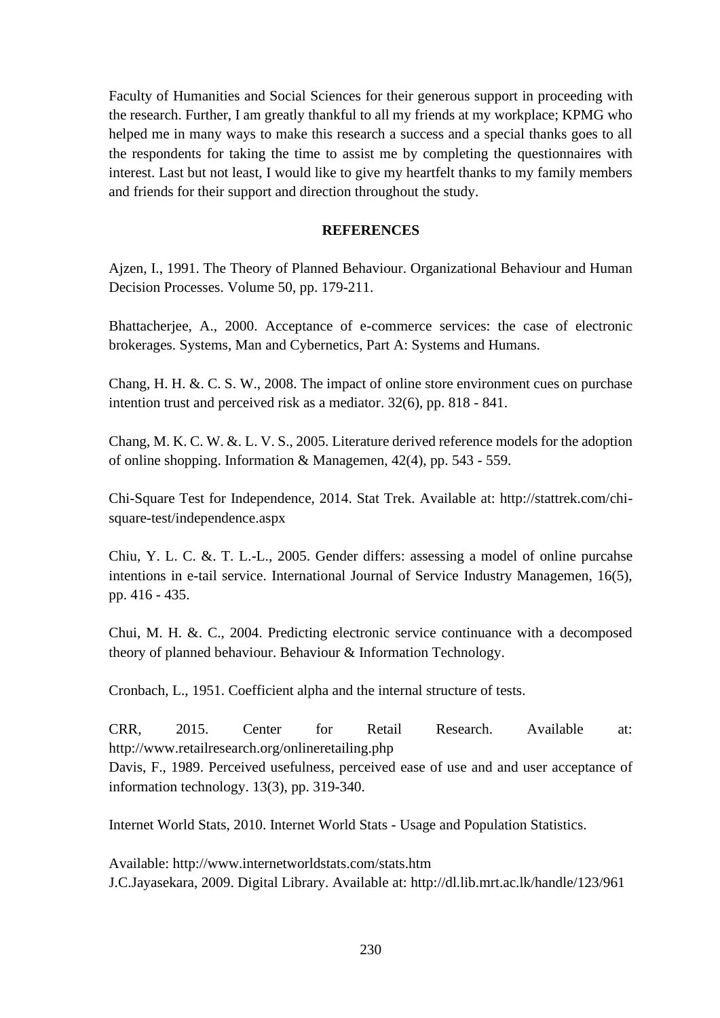Faculty of Humanities and Social Sciences for their generous support in proceeding with the research. Further, I am greatly thankful to all my friends at my workplace; KPMG who helped me in many ways to make this research a success and a special thanks goes to all the respondents for taking the time to assist me by completing the questionnaires with interest. Last but not least, I would like to give my heartfelt thanks to my family members and friends for their support and direction throughout the study.

### **REFERENCES**

Ajzen, I., 1991. The Theory of Planned Behaviour. Organizational Behaviour and Human Decision Processes. Volume 50, pp. 179-211.

Bhattacherjee, A., 2000. Acceptance of e-commerce services: the case of electronic brokerages. Systems, Man and Cybernetics, Part A: Systems and Humans.

Chang, H. H. &. C. S. W., 2008. The impact of online store environment cues on purchase intention trust and perceived risk as a mediator. 32(6), pp. 818 - 841.

Chang, M. K. C. W. &. L. V. S., 2005. Literature derived reference models for the adoption of online shopping. Information & Managemen, 42(4), pp. 543 - 559.

Chi-Square Test for Independence, 2014. Stat Trek. Available at: http://stattrek.com/chisquare-test/independence.aspx

Chiu, Y. L. C. &. T. L.-L., 2005. Gender differs: assessing a model of online purcahse intentions in e-tail service. International Journal of Service Industry Managemen, 16(5), pp. 416 - 435.

Chui, M. H. &. C., 2004. Predicting electronic service continuance with a decomposed theory of planned behaviour. Behaviour & Information Technology.

Cronbach, L., 1951. Coefficient alpha and the internal structure of tests.

CRR, 2015. Center for Retail Research. Available at: http://www.retailresearch.org/onlineretailing.php Davis, F., 1989. Perceived usefulness, perceived ease of use and and user acceptance of information technology. 13(3), pp. 319-340.

Internet World Stats, 2010. Internet World Stats - Usage and Population Statistics.

Available: http://www.internetworldstats.com/stats.htm J.C.Jayasekara, 2009. Digital Library. Available at: http://dl.lib.mrt.ac.lk/handle/123/961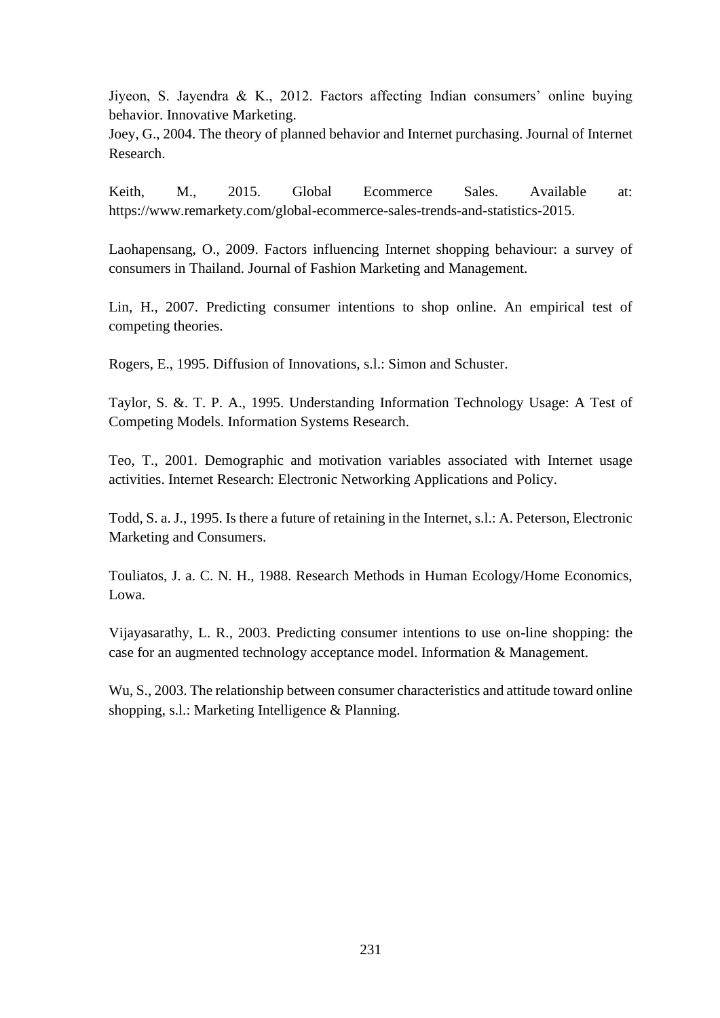Jiyeon, S. Jayendra & K., 2012. Factors affecting Indian consumers' online buying behavior. Innovative Marketing.

Joey, G., 2004. The theory of planned behavior and Internet purchasing. Journal of Internet Research.

Keith, M., 2015. Global Ecommerce Sales. Available at: https://www.remarkety.com/global-ecommerce-sales-trends-and-statistics-2015.

Laohapensang, O., 2009. Factors influencing Internet shopping behaviour: a survey of consumers in Thailand. Journal of Fashion Marketing and Management.

Lin, H., 2007. Predicting consumer intentions to shop online. An empirical test of competing theories.

Rogers, E., 1995. Diffusion of Innovations, s.l.: Simon and Schuster.

Taylor, S. &. T. P. A., 1995. Understanding Information Technology Usage: A Test of Competing Models. Information Systems Research.

Teo, T., 2001. Demographic and motivation variables associated with Internet usage activities. Internet Research: Electronic Networking Applications and Policy.

Todd, S. a. J., 1995. Is there a future of retaining in the Internet, s.l.: A. Peterson, Electronic Marketing and Consumers.

Touliatos, J. a. C. N. H., 1988. Research Methods in Human Ecology/Home Economics, Lowa.

Vijayasarathy, L. R., 2003. Predicting consumer intentions to use on-line shopping: the case for an augmented technology acceptance model. Information & Management.

Wu, S., 2003. The relationship between consumer characteristics and attitude toward online shopping, s.l.: Marketing Intelligence & Planning.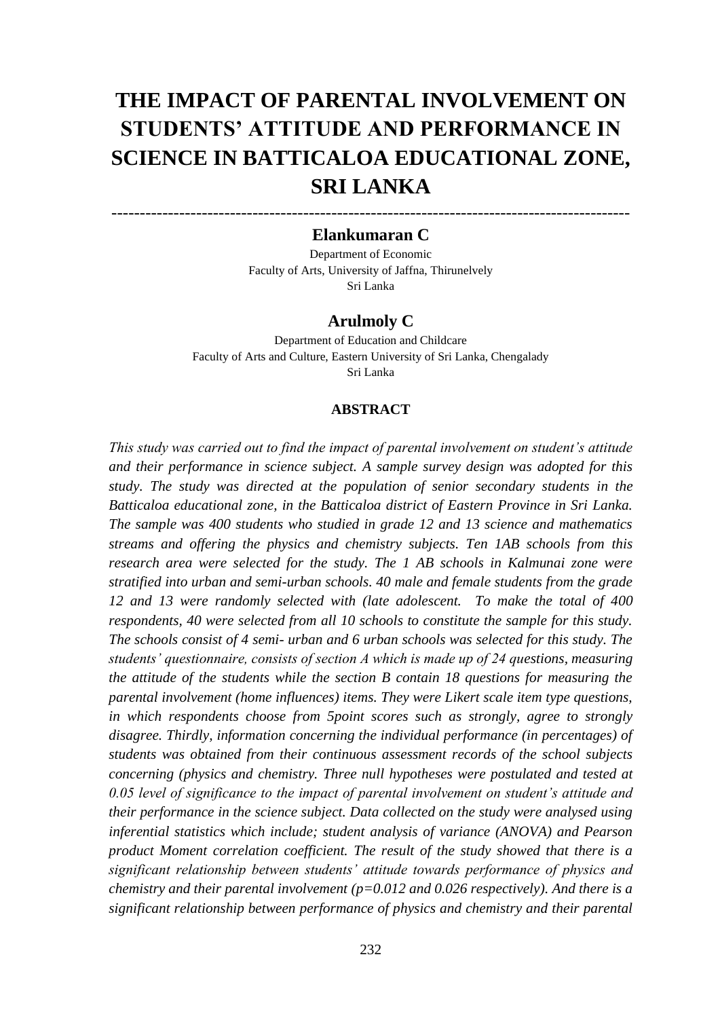# **THE IMPACT OF PARENTAL INVOLVEMENT ON STUDENTS' ATTITUDE AND PERFORMANCE IN SCIENCE IN BATTICALOA EDUCATIONAL ZONE, SRI LANKA**

# -------------------------------------------------------------------------------------------- **Elankumaran C**

Department of Economic Faculty of Arts, University of Jaffna, Thirunelvely Sri Lanka

### **Arulmoly C**

Department of Education and Childcare Faculty of Arts and Culture, Eastern University of Sri Lanka, Chengalady Sri Lanka

### **ABSTRACT**

*This study was carried out to find the impact of parental involvement on student's attitude and their performance in science subject. A sample survey design was adopted for this study. The study was directed at the population of senior secondary students in the Batticaloa educational zone, in the Batticaloa district of Eastern Province in Sri Lanka. The sample was 400 students who studied in grade 12 and 13 science and mathematics streams and offering the physics and chemistry subjects. Ten 1AB schools from this research area were selected for the study. The 1 AB schools in Kalmunai zone were stratified into urban and semi-urban schools. 40 male and female students from the grade 12 and 13 were randomly selected with (late adolescent. To make the total of 400 respondents, 40 were selected from all 10 schools to constitute the sample for this study. The schools consist of 4 semi- urban and 6 urban schools was selected for this study. The students' questionnaire, consists of section A which is made up of 24 questions, measuring the attitude of the students while the section B contain 18 questions for measuring the parental involvement (home influences) items. They were Likert scale item type questions, in which respondents choose from 5point scores such as strongly, agree to strongly disagree. Thirdly, information concerning the individual performance (in percentages) of students was obtained from their continuous assessment records of the school subjects concerning (physics and chemistry. Three null hypotheses were postulated and tested at 0.05 level of significance to the impact of parental involvement on student's attitude and their performance in the science subject. Data collected on the study were analysed using inferential statistics which include; student analysis of variance (ANOVA) and Pearson product Moment correlation coefficient. The result of the study showed that there is a significant relationship between students' attitude towards performance of physics and chemistry and their parental involvement (p=0.012 and 0.026 respectively). And there is a significant relationship between performance of physics and chemistry and their parental*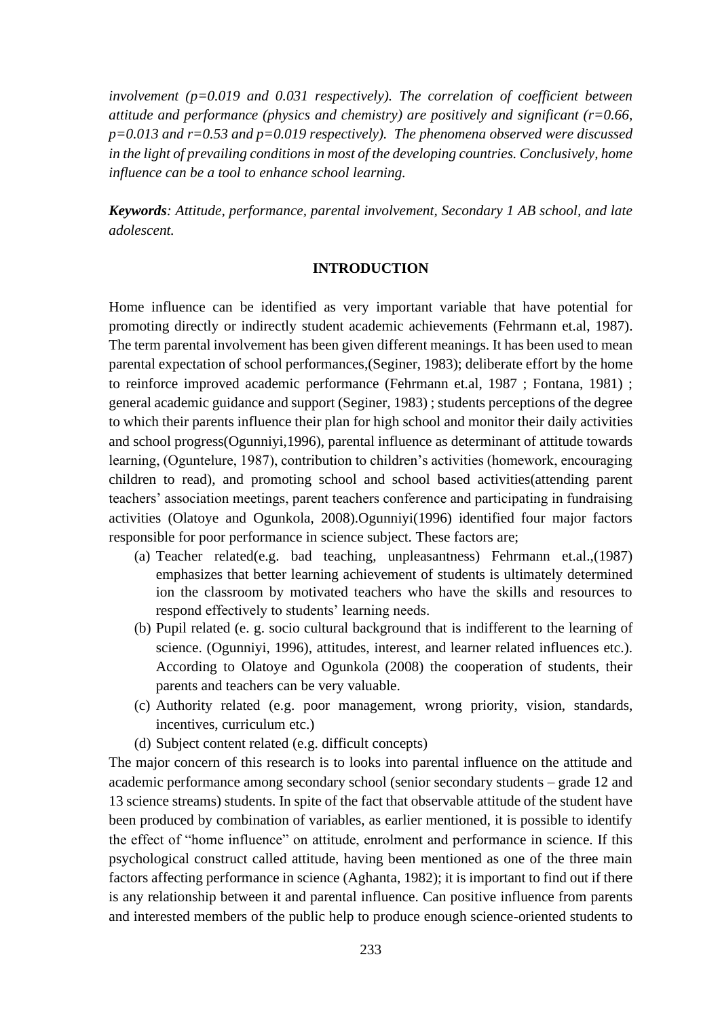*involvement (p=0.019 and 0.031 respectively). The correlation of coefficient between attitude and performance (physics and chemistry) are positively and significant (r=0.66, p=0.013 and r=0.53 and p=0.019 respectively). The phenomena observed were discussed in the light of prevailing conditions in most of the developing countries. Conclusively, home influence can be a tool to enhance school learning.*

*Keywords: Attitude, performance, parental involvement, Secondary 1 AB school, and late adolescent.* 

#### **INTRODUCTION**

Home influence can be identified as very important variable that have potential for promoting directly or indirectly student academic achievements (Fehrmann et.al, 1987). The term parental involvement has been given different meanings. It has been used to mean parental expectation of school performances,(Seginer, 1983); deliberate effort by the home to reinforce improved academic performance (Fehrmann et.al, 1987 ; Fontana, 1981) ; general academic guidance and support (Seginer, 1983) ; students perceptions of the degree to which their parents influence their plan for high school and monitor their daily activities and school progress(Ogunniyi,1996), parental influence as determinant of attitude towards learning, (Oguntelure, 1987), contribution to children's activities (homework, encouraging children to read), and promoting school and school based activities(attending parent teachers' association meetings, parent teachers conference and participating in fundraising activities (Olatoye and Ogunkola, 2008).Ogunniyi(1996) identified four major factors responsible for poor performance in science subject. These factors are;

- (a) Teacher related(e.g. bad teaching, unpleasantness) Fehrmann et.al.,(1987) emphasizes that better learning achievement of students is ultimately determined ion the classroom by motivated teachers who have the skills and resources to respond effectively to students' learning needs.
- (b) Pupil related (e. g. socio cultural background that is indifferent to the learning of science. (Ogunniyi, 1996), attitudes, interest, and learner related influences etc.). According to Olatoye and Ogunkola (2008) the cooperation of students, their parents and teachers can be very valuable.
- (c) Authority related (e.g. poor management, wrong priority, vision, standards, incentives, curriculum etc.)
- (d) Subject content related (e.g. difficult concepts)

The major concern of this research is to looks into parental influence on the attitude and academic performance among secondary school (senior secondary students – grade 12 and 13 science streams) students. In spite of the fact that observable attitude of the student have been produced by combination of variables, as earlier mentioned, it is possible to identify the effect of "home influence" on attitude, enrolment and performance in science. If this psychological construct called attitude, having been mentioned as one of the three main factors affecting performance in science (Aghanta, 1982); it is important to find out if there is any relationship between it and parental influence. Can positive influence from parents and interested members of the public help to produce enough science-oriented students to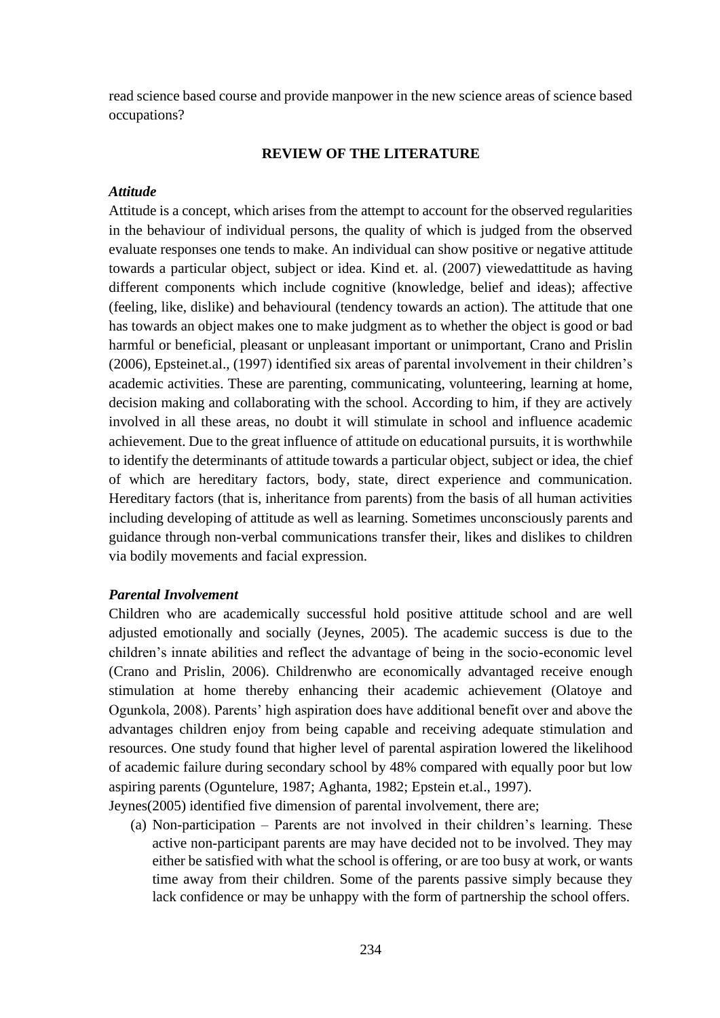read science based course and provide manpower in the new science areas of science based occupations?

### **REVIEW OF THE LITERATURE**

### *Attitude*

Attitude is a concept, which arises from the attempt to account for the observed regularities in the behaviour of individual persons, the quality of which is judged from the observed evaluate responses one tends to make. An individual can show positive or negative attitude towards a particular object, subject or idea. Kind et. al. (2007) viewedattitude as having different components which include cognitive (knowledge, belief and ideas); affective (feeling, like, dislike) and behavioural (tendency towards an action). The attitude that one has towards an object makes one to make judgment as to whether the object is good or bad harmful or beneficial, pleasant or unpleasant important or unimportant, Crano and Prislin (2006), Epsteinet.al., (1997) identified six areas of parental involvement in their children's academic activities. These are parenting, communicating, volunteering, learning at home, decision making and collaborating with the school. According to him, if they are actively involved in all these areas, no doubt it will stimulate in school and influence academic achievement. Due to the great influence of attitude on educational pursuits, it is worthwhile to identify the determinants of attitude towards a particular object, subject or idea, the chief of which are hereditary factors, body, state, direct experience and communication. Hereditary factors (that is, inheritance from parents) from the basis of all human activities including developing of attitude as well as learning. Sometimes unconsciously parents and guidance through non-verbal communications transfer their, likes and dislikes to children via bodily movements and facial expression.

#### *Parental Involvement*

Children who are academically successful hold positive attitude school and are well adjusted emotionally and socially (Jeynes, 2005). The academic success is due to the children's innate abilities and reflect the advantage of being in the socio-economic level (Crano and Prislin, 2006). Childrenwho are economically advantaged receive enough stimulation at home thereby enhancing their academic achievement (Olatoye and Ogunkola, 2008). Parents' high aspiration does have additional benefit over and above the advantages children enjoy from being capable and receiving adequate stimulation and resources. One study found that higher level of parental aspiration lowered the likelihood of academic failure during secondary school by 48% compared with equally poor but low aspiring parents (Oguntelure, 1987; Aghanta, 1982; Epstein et.al., 1997).

Jeynes(2005) identified five dimension of parental involvement, there are;

(a) Non-participation – Parents are not involved in their children's learning. These active non-participant parents are may have decided not to be involved. They may either be satisfied with what the school is offering, or are too busy at work, or wants time away from their children. Some of the parents passive simply because they lack confidence or may be unhappy with the form of partnership the school offers.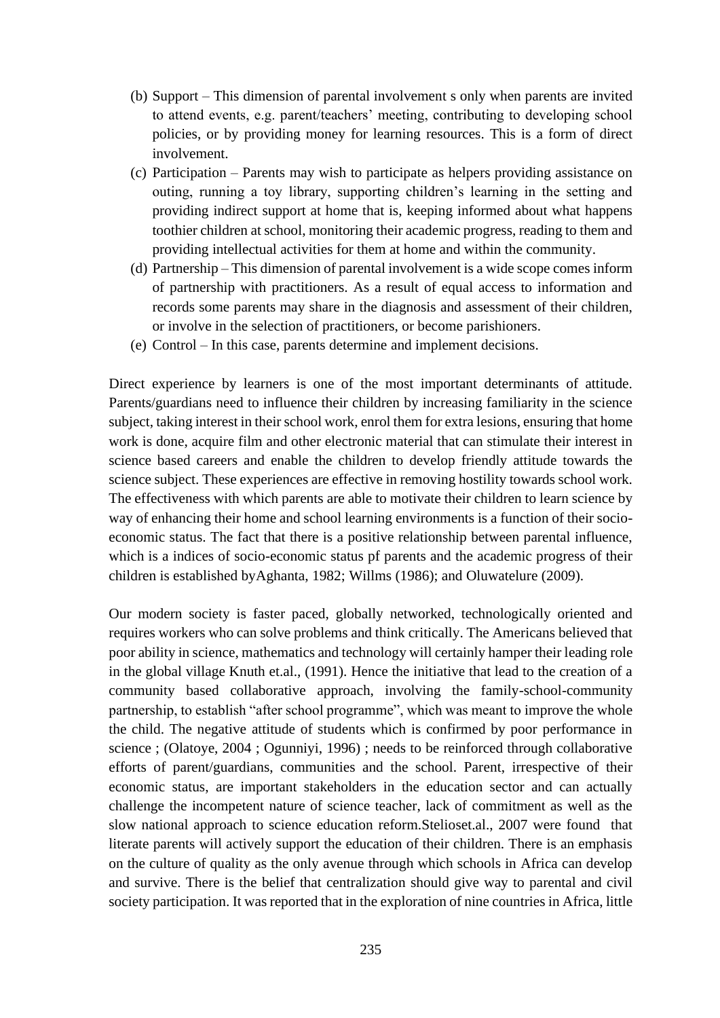- (b) Support This dimension of parental involvement s only when parents are invited to attend events, e.g. parent/teachers' meeting, contributing to developing school policies, or by providing money for learning resources. This is a form of direct involvement.
- (c) Participation Parents may wish to participate as helpers providing assistance on outing, running a toy library, supporting children's learning in the setting and providing indirect support at home that is, keeping informed about what happens toothier children at school, monitoring their academic progress, reading to them and providing intellectual activities for them at home and within the community.
- (d) Partnership This dimension of parental involvement is a wide scope comes inform of partnership with practitioners. As a result of equal access to information and records some parents may share in the diagnosis and assessment of their children, or involve in the selection of practitioners, or become parishioners.
- (e) Control In this case, parents determine and implement decisions.

Direct experience by learners is one of the most important determinants of attitude. Parents/guardians need to influence their children by increasing familiarity in the science subject, taking interest in their school work, enrol them for extra lesions, ensuring that home work is done, acquire film and other electronic material that can stimulate their interest in science based careers and enable the children to develop friendly attitude towards the science subject. These experiences are effective in removing hostility towards school work. The effectiveness with which parents are able to motivate their children to learn science by way of enhancing their home and school learning environments is a function of their socioeconomic status. The fact that there is a positive relationship between parental influence, which is a indices of socio-economic status pf parents and the academic progress of their children is established byAghanta, 1982; Willms (1986); and Oluwatelure (2009).

Our modern society is faster paced, globally networked, technologically oriented and requires workers who can solve problems and think critically. The Americans believed that poor ability in science, mathematics and technology will certainly hamper their leading role in the global village Knuth et.al., (1991). Hence the initiative that lead to the creation of a community based collaborative approach, involving the family-school-community partnership, to establish "after school programme", which was meant to improve the whole the child. The negative attitude of students which is confirmed by poor performance in science ; (Olatoye, 2004 ; Ogunniyi, 1996) ; needs to be reinforced through collaborative efforts of parent/guardians, communities and the school. Parent, irrespective of their economic status, are important stakeholders in the education sector and can actually challenge the incompetent nature of science teacher, lack of commitment as well as the slow national approach to science education reform.Stelioset.al., 2007 were found that literate parents will actively support the education of their children. There is an emphasis on the culture of quality as the only avenue through which schools in Africa can develop and survive. There is the belief that centralization should give way to parental and civil society participation. It was reported that in the exploration of nine countries in Africa, little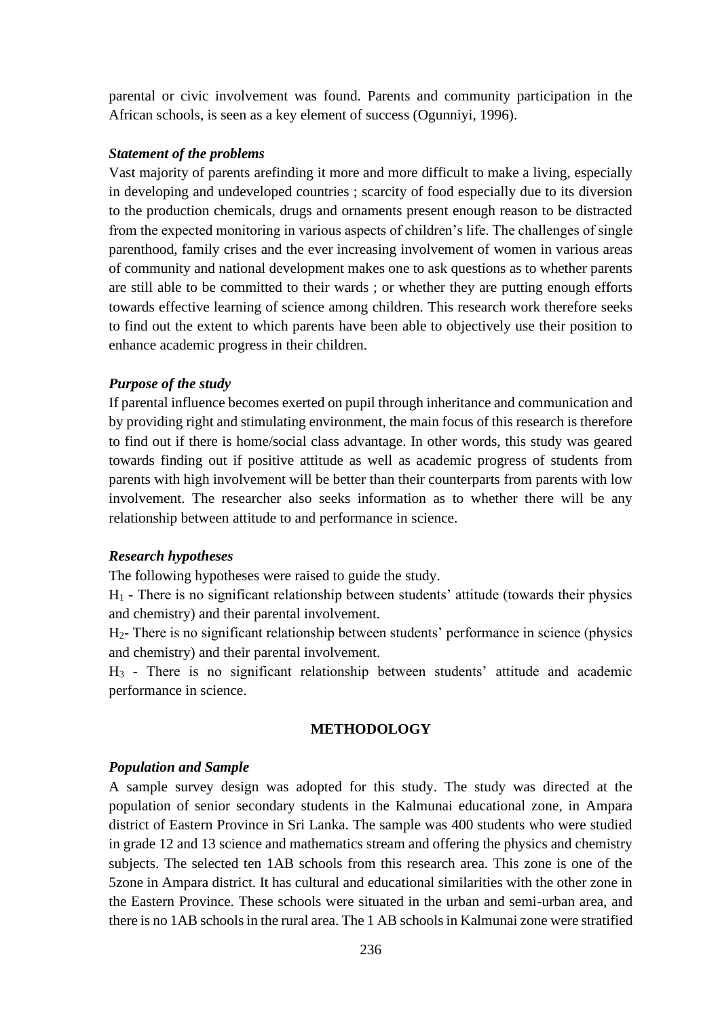parental or civic involvement was found. Parents and community participation in the African schools, is seen as a key element of success (Ogunniyi, 1996).

### *Statement of the problems*

Vast majority of parents arefinding it more and more difficult to make a living, especially in developing and undeveloped countries ; scarcity of food especially due to its diversion to the production chemicals, drugs and ornaments present enough reason to be distracted from the expected monitoring in various aspects of children's life. The challenges of single parenthood, family crises and the ever increasing involvement of women in various areas of community and national development makes one to ask questions as to whether parents are still able to be committed to their wards ; or whether they are putting enough efforts towards effective learning of science among children. This research work therefore seeks to find out the extent to which parents have been able to objectively use their position to enhance academic progress in their children.

### *Purpose of the study*

If parental influence becomes exerted on pupil through inheritance and communication and by providing right and stimulating environment, the main focus of this research is therefore to find out if there is home/social class advantage. In other words, this study was geared towards finding out if positive attitude as well as academic progress of students from parents with high involvement will be better than their counterparts from parents with low involvement. The researcher also seeks information as to whether there will be any relationship between attitude to and performance in science.

### *Research hypotheses*

The following hypotheses were raised to guide the study.

 $H_1$  - There is no significant relationship between students' attitude (towards their physics and chemistry) and their parental involvement.

H2- There is no significant relationship between students' performance in science (physics and chemistry) and their parental involvement.

H<sup>3</sup> - There is no significant relationship between students' attitude and academic performance in science.

#### **METHODOLOGY**

### *Population and Sample*

A sample survey design was adopted for this study. The study was directed at the population of senior secondary students in the Kalmunai educational zone, in Ampara district of Eastern Province in Sri Lanka. The sample was 400 students who were studied in grade 12 and 13 science and mathematics stream and offering the physics and chemistry subjects. The selected ten 1AB schools from this research area. This zone is one of the 5zone in Ampara district. It has cultural and educational similarities with the other zone in the Eastern Province. These schools were situated in the urban and semi-urban area, and there is no 1AB schools in the rural area. The 1 AB schools in Kalmunai zone were stratified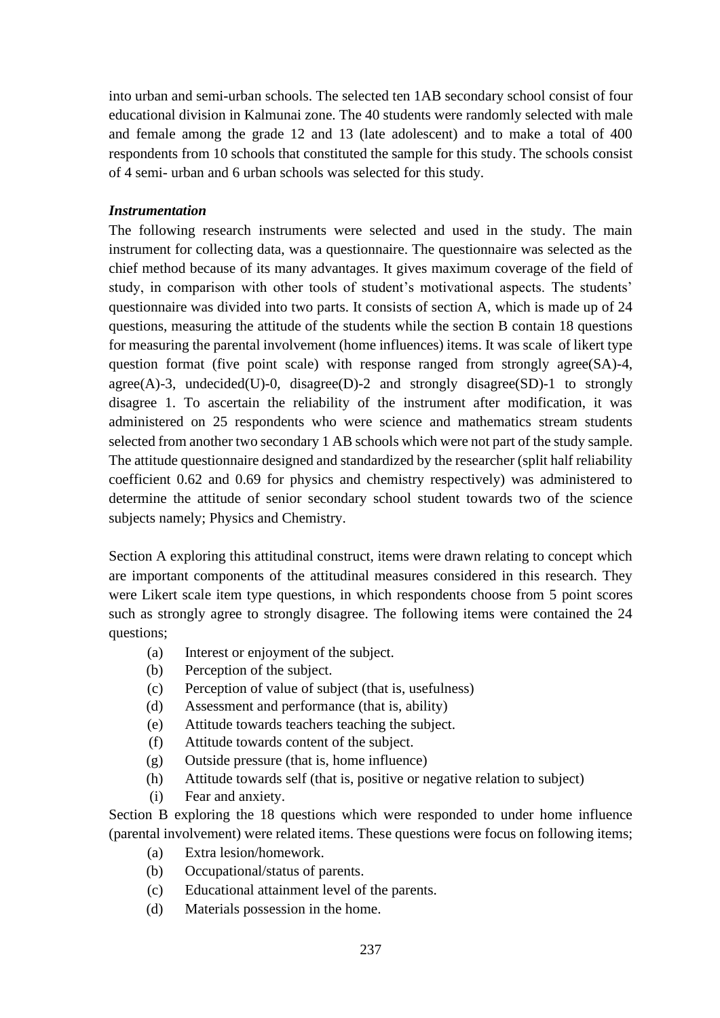into urban and semi-urban schools. The selected ten 1AB secondary school consist of four educational division in Kalmunai zone. The 40 students were randomly selected with male and female among the grade 12 and 13 (late adolescent) and to make a total of 400 respondents from 10 schools that constituted the sample for this study. The schools consist of 4 semi- urban and 6 urban schools was selected for this study.

### *Instrumentation*

The following research instruments were selected and used in the study. The main instrument for collecting data, was a questionnaire. The questionnaire was selected as the chief method because of its many advantages. It gives maximum coverage of the field of study, in comparison with other tools of student's motivational aspects. The students' questionnaire was divided into two parts. It consists of section A, which is made up of 24 questions, measuring the attitude of the students while the section B contain 18 questions for measuring the parental involvement (home influences) items. It was scale of likert type question format (five point scale) with response ranged from strongly agree(SA)-4, agree $(A)$ -3, undecided $(U)$ -0, disagree $(D)$ -2 and strongly disagree $(SD)$ -1 to strongly disagree 1. To ascertain the reliability of the instrument after modification, it was administered on 25 respondents who were science and mathematics stream students selected from another two secondary 1 AB schools which were not part of the study sample. The attitude questionnaire designed and standardized by the researcher (split half reliability coefficient 0.62 and 0.69 for physics and chemistry respectively) was administered to determine the attitude of senior secondary school student towards two of the science subjects namely; Physics and Chemistry.

Section A exploring this attitudinal construct, items were drawn relating to concept which are important components of the attitudinal measures considered in this research. They were Likert scale item type questions, in which respondents choose from 5 point scores such as strongly agree to strongly disagree. The following items were contained the 24 questions;

- (a) Interest or enjoyment of the subject.
- (b) Perception of the subject.
- (c) Perception of value of subject (that is, usefulness)
- (d) Assessment and performance (that is, ability)
- (e) Attitude towards teachers teaching the subject.
- (f) Attitude towards content of the subject.
- (g) Outside pressure (that is, home influence)
- (h) Attitude towards self (that is, positive or negative relation to subject)
- (i) Fear and anxiety.

Section B exploring the 18 questions which were responded to under home influence (parental involvement) were related items. These questions were focus on following items;

- (a) Extra lesion/homework.
- (b) Occupational/status of parents.
- (c) Educational attainment level of the parents.
- (d) Materials possession in the home.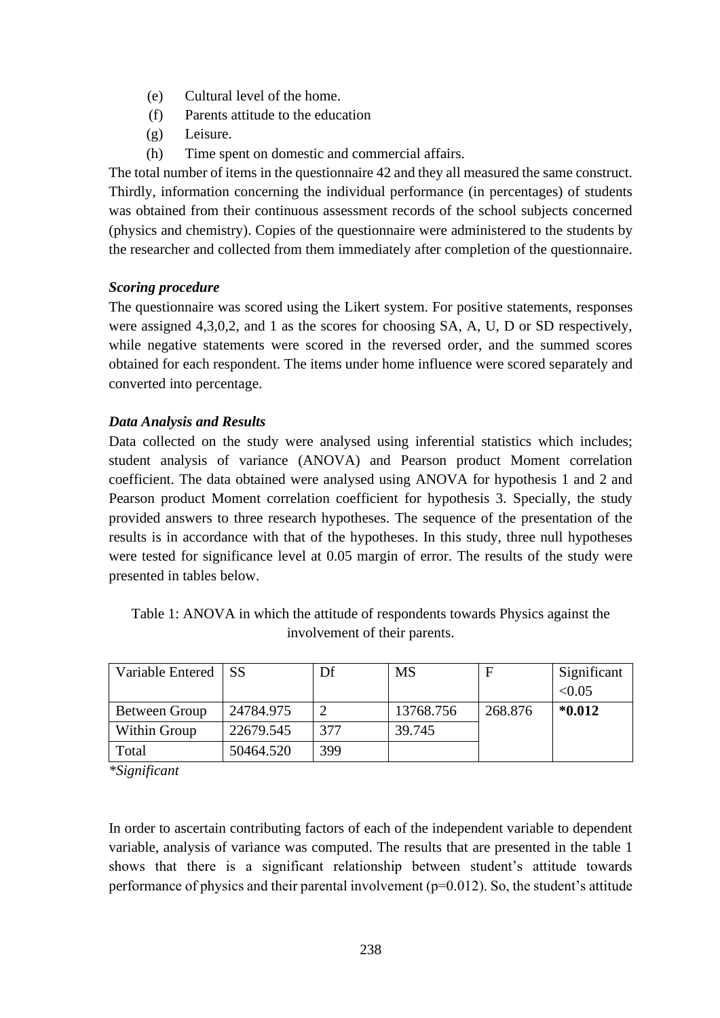- (e) Cultural level of the home.
- (f) Parents attitude to the education
- (g) Leisure.
- (h) Time spent on domestic and commercial affairs.

The total number of items in the questionnaire 42 and they all measured the same construct. Thirdly, information concerning the individual performance (in percentages) of students was obtained from their continuous assessment records of the school subjects concerned (physics and chemistry). Copies of the questionnaire were administered to the students by the researcher and collected from them immediately after completion of the questionnaire.

## *Scoring procedure*

The questionnaire was scored using the Likert system. For positive statements, responses were assigned 4,3,0,2, and 1 as the scores for choosing SA, A, U, D or SD respectively, while negative statements were scored in the reversed order, and the summed scores obtained for each respondent. The items under home influence were scored separately and converted into percentage.

## *Data Analysis and Results*

Data collected on the study were analysed using inferential statistics which includes; student analysis of variance (ANOVA) and Pearson product Moment correlation coefficient. The data obtained were analysed using ANOVA for hypothesis 1 and 2 and Pearson product Moment correlation coefficient for hypothesis 3. Specially, the study provided answers to three research hypotheses. The sequence of the presentation of the results is in accordance with that of the hypotheses. In this study, three null hypotheses were tested for significance level at 0.05 margin of error. The results of the study were presented in tables below.

Table 1: ANOVA in which the attitude of respondents towards Physics against the involvement of their parents.

| Variable Entered | <b>SS</b> | Df  | <b>MS</b> | F       | Significant |
|------------------|-----------|-----|-----------|---------|-------------|
|                  |           |     |           |         | < 0.05      |
| Between Group    | 24784.975 | 2   | 13768.756 | 268.876 | $*0.012$    |
| Within Group     | 22679.545 | 377 | 39.745    |         |             |
| Total            | 50464.520 | 399 |           |         |             |

*\*Significant*

In order to ascertain contributing factors of each of the independent variable to dependent variable, analysis of variance was computed. The results that are presented in the table 1 shows that there is a significant relationship between student's attitude towards performance of physics and their parental involvement ( $p=0.012$ ). So, the student's attitude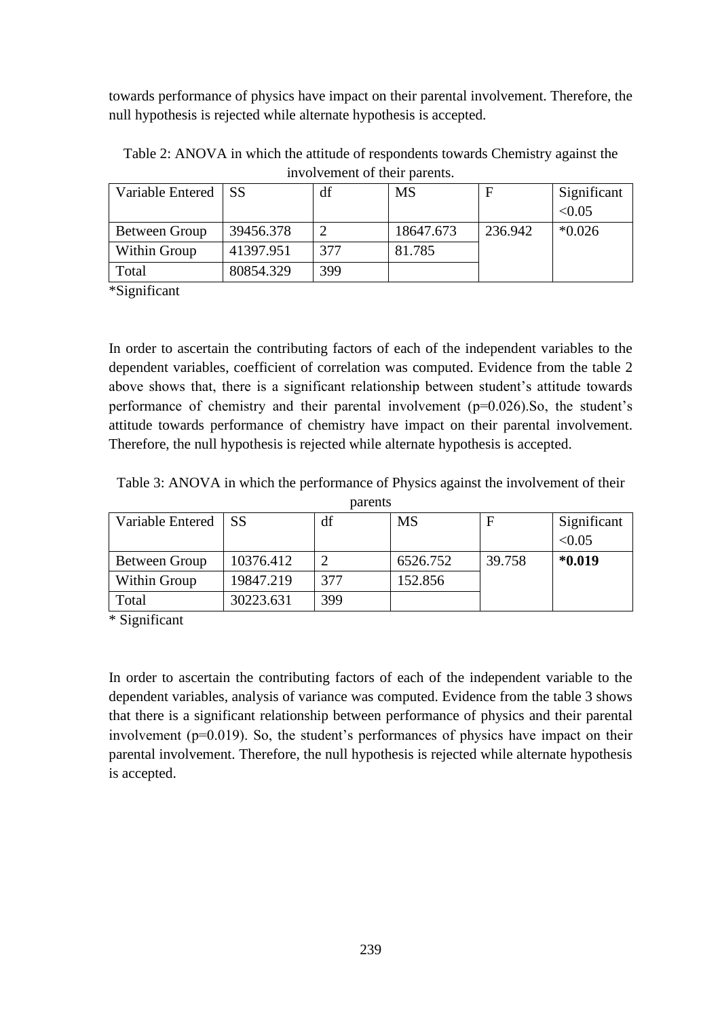towards performance of physics have impact on their parental involvement. Therefore, the null hypothesis is rejected while alternate hypothesis is accepted.

| Variable Entered SS |           | df  | MS        | F       | Significant |
|---------------------|-----------|-----|-----------|---------|-------------|
|                     |           |     |           |         | < 0.05      |
| Between Group       | 39456.378 |     | 18647.673 | 236.942 | $*0.026$    |
| Within Group        | 41397.951 | 377 | 81.785    |         |             |
| Total               | 80854.329 | 399 |           |         |             |

Table 2: ANOVA in which the attitude of respondents towards Chemistry against the involvement of their parents.

\*Significant

In order to ascertain the contributing factors of each of the independent variables to the dependent variables, coefficient of correlation was computed. Evidence from the table 2 above shows that, there is a significant relationship between student's attitude towards performance of chemistry and their parental involvement (p=0.026).So, the student's attitude towards performance of chemistry have impact on their parental involvement. Therefore, the null hypothesis is rejected while alternate hypothesis is accepted.

Table 3: ANOVA in which the performance of Physics against the involvement of their parents

| Variable Entered | l SS      | df  | <b>MS</b> | F      | Significant<br>< 0.05 |
|------------------|-----------|-----|-----------|--------|-----------------------|
| Between Group    | 10376.412 |     | 6526.752  | 39.758 | $*0.019$              |
| Within Group     | 19847.219 | 377 | 152.856   |        |                       |
| Total            | 30223.631 | 399 |           |        |                       |

\* Significant

In order to ascertain the contributing factors of each of the independent variable to the dependent variables, analysis of variance was computed. Evidence from the table 3 shows that there is a significant relationship between performance of physics and their parental involvement (p=0.019). So, the student's performances of physics have impact on their parental involvement. Therefore, the null hypothesis is rejected while alternate hypothesis is accepted.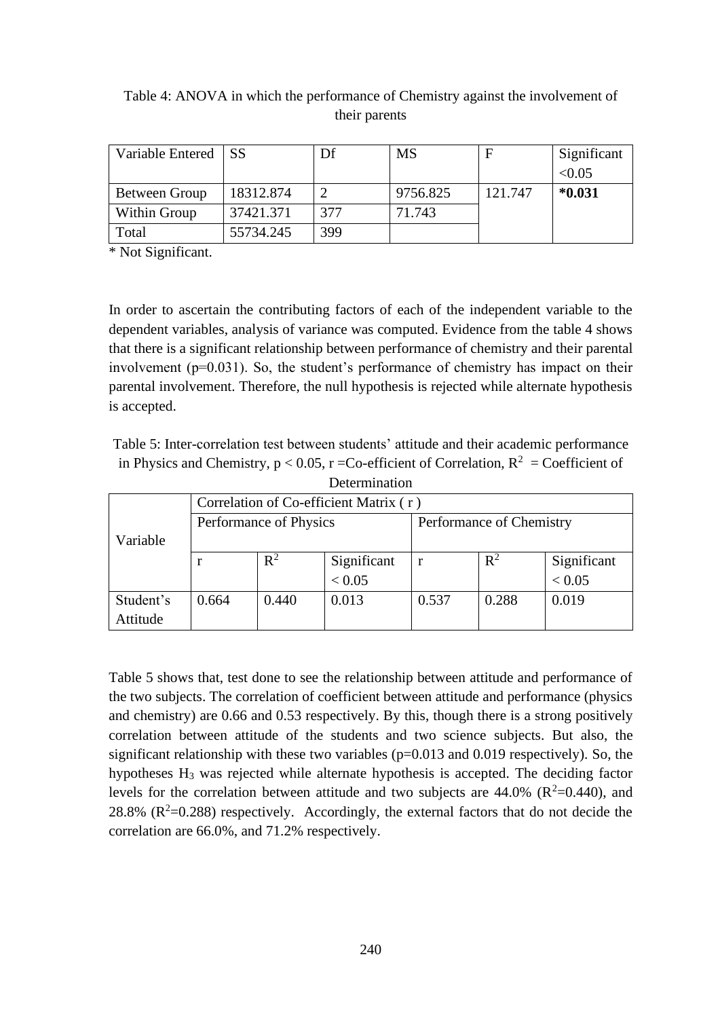| Variable Entered SS |           | Df  | <b>MS</b> |         | Significant |
|---------------------|-----------|-----|-----------|---------|-------------|
|                     |           |     |           |         | < 0.05      |
| Between Group       | 18312.874 |     | 9756.825  | 121.747 | $*0.031$    |
| Within Group        | 37421.371 | 377 | 71.743    |         |             |
| Total               | 55734.245 | 399 |           |         |             |

# Table 4: ANOVA in which the performance of Chemistry against the involvement of their parents

\* Not Significant.

In order to ascertain the contributing factors of each of the independent variable to the dependent variables, analysis of variance was computed. Evidence from the table 4 shows that there is a significant relationship between performance of chemistry and their parental involvement (p=0.031). So, the student's performance of chemistry has impact on their parental involvement. Therefore, the null hypothesis is rejected while alternate hypothesis is accepted.

Table 5: Inter-correlation test between students' attitude and their academic performance in Physics and Chemistry,  $p < 0.05$ ,  $r = Co$ -efficient of Correlation,  $R^2 = Co$ efficient of Determination

| DUULIIIIIIIIIUUI |                                        |                        |             |                          |       |             |  |  |  |
|------------------|----------------------------------------|------------------------|-------------|--------------------------|-------|-------------|--|--|--|
|                  | Correlation of Co-efficient Matrix (r) |                        |             |                          |       |             |  |  |  |
|                  |                                        | Performance of Physics |             | Performance of Chemistry |       |             |  |  |  |
| Variable         |                                        |                        |             |                          |       |             |  |  |  |
|                  |                                        | $R^2$                  | Significant |                          | $R^2$ | Significant |  |  |  |
|                  |                                        |                        | < 0.05      |                          |       | < 0.05      |  |  |  |
| Student's        | 0.664                                  | 0.440                  | 0.013       | 0.537                    | 0.288 | 0.019       |  |  |  |
| Attitude         |                                        |                        |             |                          |       |             |  |  |  |

Table 5 shows that, test done to see the relationship between attitude and performance of the two subjects. The correlation of coefficient between attitude and performance (physics and chemistry) are 0.66 and 0.53 respectively. By this, though there is a strong positively correlation between attitude of the students and two science subjects. But also, the significant relationship with these two variables  $(p=0.013$  and 0.019 respectively). So, the hypotheses H<sup>3</sup> was rejected while alternate hypothesis is accepted. The deciding factor levels for the correlation between attitude and two subjects are  $44.0\%$  ( $R^2$ =0.440), and 28.8%  $(R^2=0.288)$  respectively. Accordingly, the external factors that do not decide the correlation are 66.0%, and 71.2% respectively.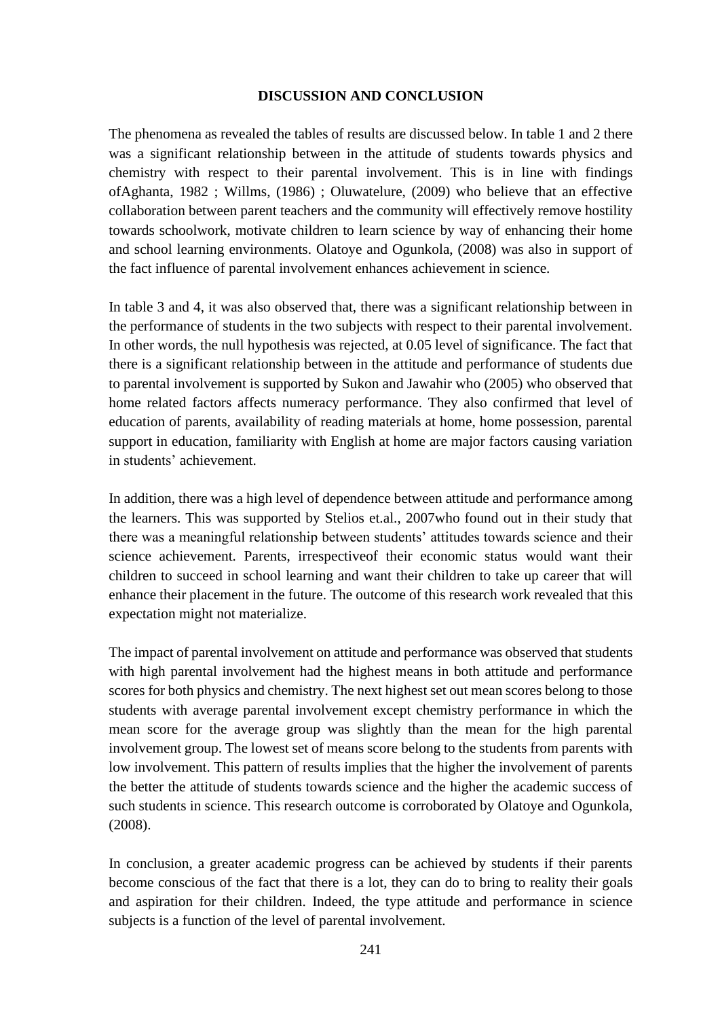#### **DISCUSSION AND CONCLUSION**

The phenomena as revealed the tables of results are discussed below. In table 1 and 2 there was a significant relationship between in the attitude of students towards physics and chemistry with respect to their parental involvement. This is in line with findings ofAghanta, 1982 ; Willms, (1986) ; Oluwatelure, (2009) who believe that an effective collaboration between parent teachers and the community will effectively remove hostility towards schoolwork, motivate children to learn science by way of enhancing their home and school learning environments. Olatoye and Ogunkola, (2008) was also in support of the fact influence of parental involvement enhances achievement in science.

In table 3 and 4, it was also observed that, there was a significant relationship between in the performance of students in the two subjects with respect to their parental involvement. In other words, the null hypothesis was rejected, at 0.05 level of significance. The fact that there is a significant relationship between in the attitude and performance of students due to parental involvement is supported by Sukon and Jawahir who (2005) who observed that home related factors affects numeracy performance. They also confirmed that level of education of parents, availability of reading materials at home, home possession, parental support in education, familiarity with English at home are major factors causing variation in students' achievement.

In addition, there was a high level of dependence between attitude and performance among the learners. This was supported by Stelios et.al., 2007who found out in their study that there was a meaningful relationship between students' attitudes towards science and their science achievement. Parents, irrespectiveof their economic status would want their children to succeed in school learning and want their children to take up career that will enhance their placement in the future. The outcome of this research work revealed that this expectation might not materialize.

The impact of parental involvement on attitude and performance was observed that students with high parental involvement had the highest means in both attitude and performance scores for both physics and chemistry. The next highest set out mean scores belong to those students with average parental involvement except chemistry performance in which the mean score for the average group was slightly than the mean for the high parental involvement group. The lowest set of means score belong to the students from parents with low involvement. This pattern of results implies that the higher the involvement of parents the better the attitude of students towards science and the higher the academic success of such students in science. This research outcome is corroborated by Olatoye and Ogunkola, (2008).

In conclusion, a greater academic progress can be achieved by students if their parents become conscious of the fact that there is a lot, they can do to bring to reality their goals and aspiration for their children. Indeed, the type attitude and performance in science subjects is a function of the level of parental involvement.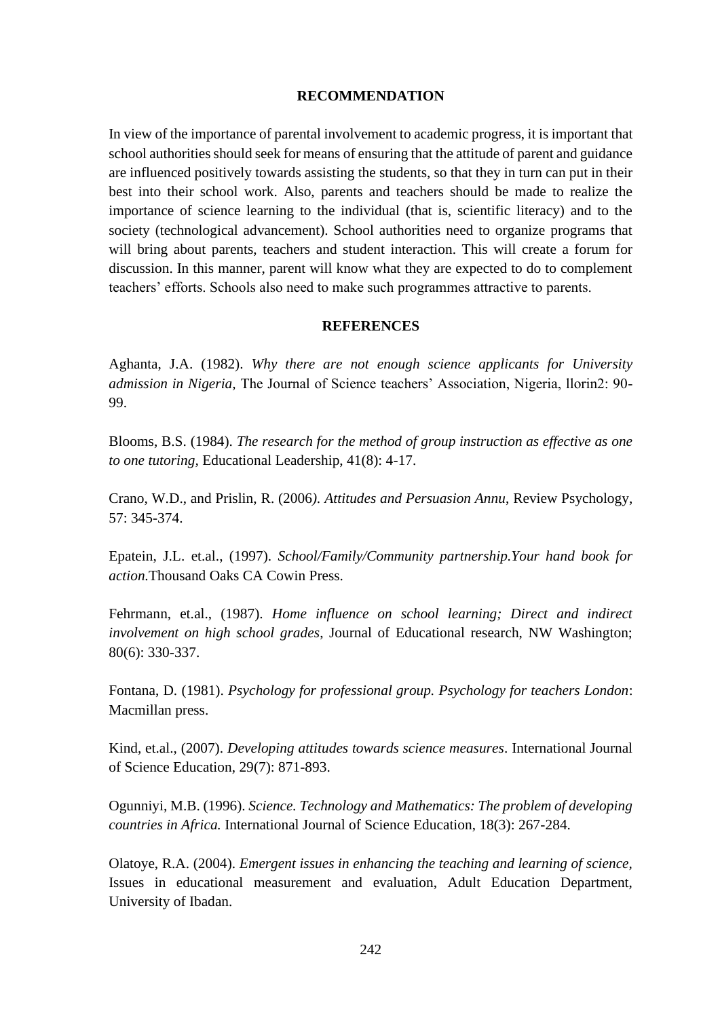#### **RECOMMENDATION**

In view of the importance of parental involvement to academic progress, it is important that school authorities should seek for means of ensuring that the attitude of parent and guidance are influenced positively towards assisting the students, so that they in turn can put in their best into their school work. Also, parents and teachers should be made to realize the importance of science learning to the individual (that is, scientific literacy) and to the society (technological advancement). School authorities need to organize programs that will bring about parents, teachers and student interaction. This will create a forum for discussion. In this manner, parent will know what they are expected to do to complement teachers' efforts. Schools also need to make such programmes attractive to parents.

#### **REFERENCES**

Aghanta, J.A. (1982). *Why there are not enough science applicants for University admission in Nigeria,* The Journal of Science teachers' Association, Nigeria, llorin2: 90- 99.

Blooms, B.S. (1984). *The research for the method of group instruction as effective as one to one tutoring,* Educational Leadership, 41(8): 4-17.

Crano, W.D., and Prislin, R. (2006*). Attitudes and Persuasion Annu*, Review Psychology, 57: 345-374.

Epatein, J.L. et.al., (1997). *School/Family/Community partnership.Your hand book for action.*Thousand Oaks CA Cowin Press.

Fehrmann, et.al., (1987). *Home influence on school learning; Direct and indirect involvement on high school grades*, Journal of Educational research, NW Washington; 80(6): 330-337.

Fontana, D. (1981). *Psychology for professional group. Psychology for teachers London*: Macmillan press.

Kind, et.al., (2007). *Developing attitudes towards science measures*. International Journal of Science Education, 29(7): 871-893.

Ogunniyi, M.B. (1996). *Science. Technology and Mathematics: The problem of developing countries in Africa.* International Journal of Science Education, 18(3): 267-284.

Olatoye, R.A. (2004). *Emergent issues in enhancing the teaching and learning of science,* Issues in educational measurement and evaluation, Adult Education Department, University of Ibadan.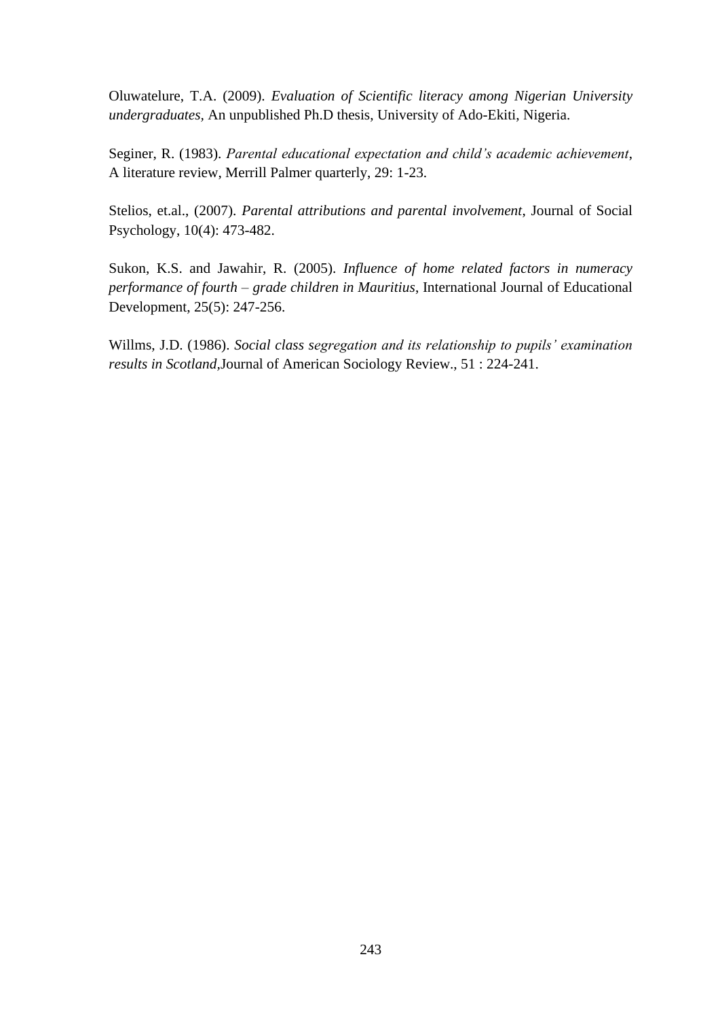Oluwatelure, T.A. (2009). *Evaluation of Scientific literacy among Nigerian University undergraduates,* An unpublished Ph.D thesis, University of Ado-Ekiti, Nigeria.

Seginer, R. (1983). *Parental educational expectation and child's academic achievement*, A literature review, Merrill Palmer quarterly, 29: 1-23.

Stelios, et.al., (2007). *Parental attributions and parental involvement*, Journal of Social Psychology, 10(4): 473-482.

Sukon, K.S. and Jawahir, R. (2005). *Influence of home related factors in numeracy performance of fourth – grade children in Mauritius*, International Journal of Educational Development, 25(5): 247-256.

Willms, J.D. (1986). *Social class segregation and its relationship to pupils' examination results in Scotland,*Journal of American Sociology Review., 51 : 224-241.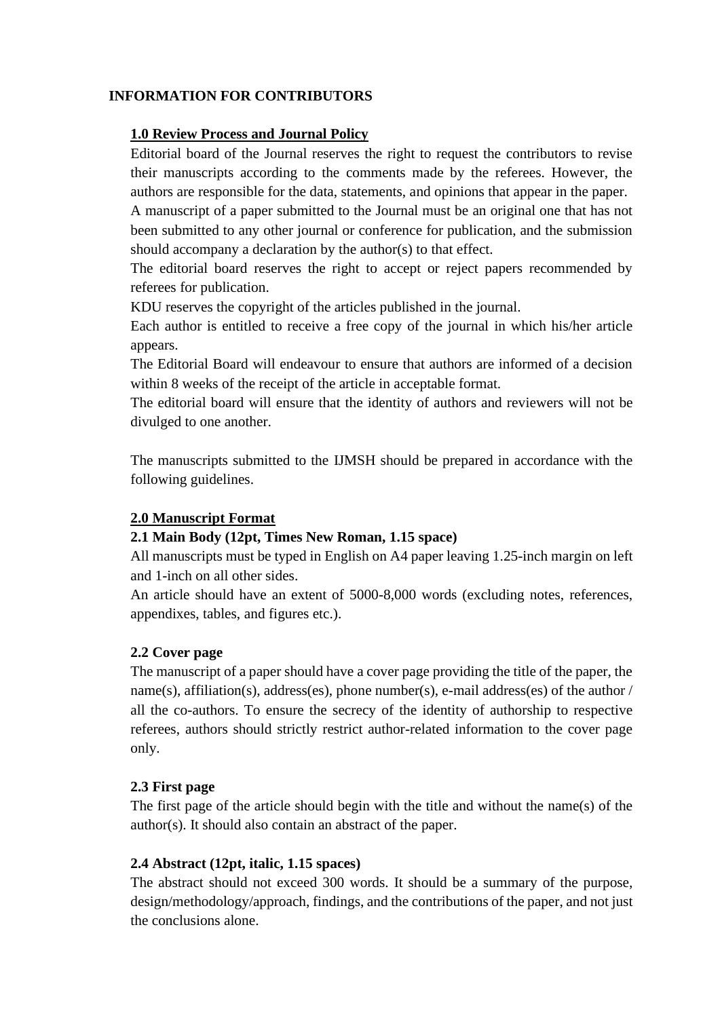## **INFORMATION FOR CONTRIBUTORS**

## **1.0 Review Process and Journal Policy**

Editorial board of the Journal reserves the right to request the contributors to revise their manuscripts according to the comments made by the referees. However, the authors are responsible for the data, statements, and opinions that appear in the paper.

A manuscript of a paper submitted to the Journal must be an original one that has not been submitted to any other journal or conference for publication, and the submission should accompany a declaration by the author(s) to that effect.

The editorial board reserves the right to accept or reject papers recommended by referees for publication.

KDU reserves the copyright of the articles published in the journal.

Each author is entitled to receive a free copy of the journal in which his/her article appears.

The Editorial Board will endeavour to ensure that authors are informed of a decision within 8 weeks of the receipt of the article in acceptable format.

The editorial board will ensure that the identity of authors and reviewers will not be divulged to one another.

The manuscripts submitted to the IJMSH should be prepared in accordance with the following guidelines.

## **2.0 Manuscript Format**

## **2.1 Main Body (12pt, Times New Roman, 1.15 space)**

All manuscripts must be typed in English on A4 paper leaving 1.25-inch margin on left and 1-inch on all other sides.

An article should have an extent of 5000-8,000 words (excluding notes, references, appendixes, tables, and figures etc.).

## **2.2 Cover page**

The manuscript of a paper should have a cover page providing the title of the paper, the name(s), affiliation(s), address(es), phone number(s), e-mail address(es) of the author / all the co-authors. To ensure the secrecy of the identity of authorship to respective referees, authors should strictly restrict author-related information to the cover page only.

## **2.3 First page**

The first page of the article should begin with the title and without the name(s) of the author(s). It should also contain an abstract of the paper.

## **2.4 Abstract (12pt, italic, 1.15 spaces)**

The abstract should not exceed 300 words. It should be a summary of the purpose, design/methodology/approach, findings, and the contributions of the paper, and not just the conclusions alone.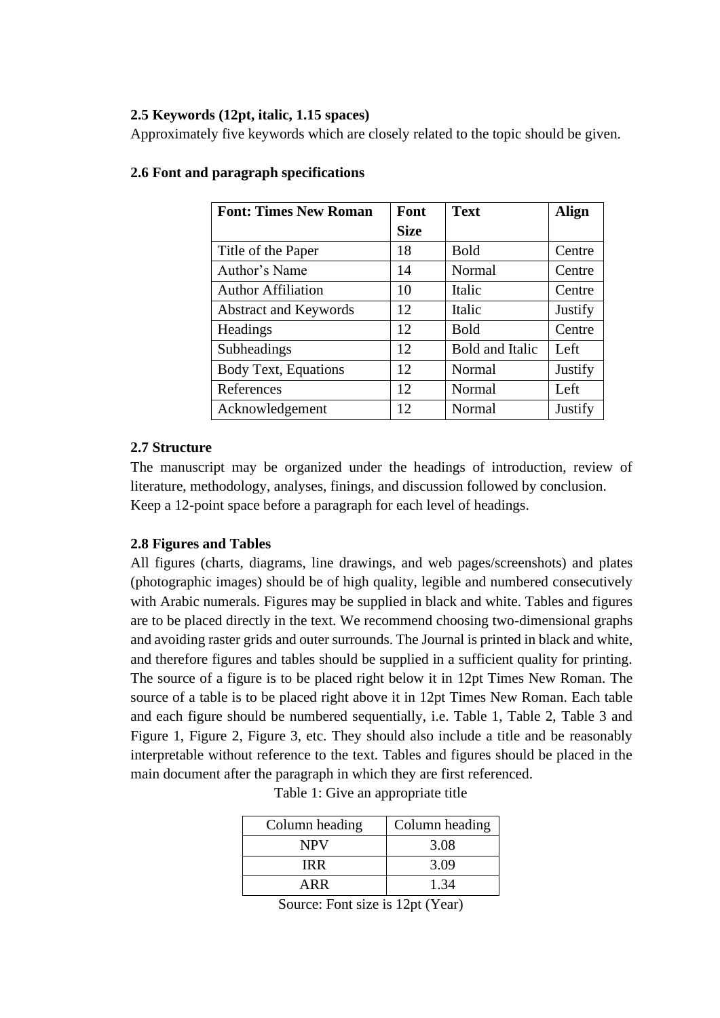#### **2.5 Keywords (12pt, italic, 1.15 spaces)**

Approximately five keywords which are closely related to the topic should be given.

| <b>Font: Times New Roman</b> | Font        | <b>Text</b>            | Align   |
|------------------------------|-------------|------------------------|---------|
|                              | <b>Size</b> |                        |         |
| Title of the Paper           | 18          | <b>Bold</b>            | Centre  |
| Author's Name                | 14          | Normal                 | Centre  |
| <b>Author Affiliation</b>    | 10          | Italic                 | Centre  |
| <b>Abstract and Keywords</b> | 12          | Italic                 | Justify |
| Headings                     | 12          | <b>Bold</b>            | Centre  |
| Subheadings                  | 12          | <b>Bold and Italic</b> | Left    |
| <b>Body Text, Equations</b>  | 12          | Normal                 | Justify |
| References                   | 12          | Normal                 | Left    |
| Acknowledgement              | 12          | Normal                 | Justify |

#### **2.6 Font and paragraph specifications**

## **2.7 Structure**

The manuscript may be organized under the headings of introduction, review of literature, methodology, analyses, finings, and discussion followed by conclusion. Keep a 12-point space before a paragraph for each level of headings.

## **2.8 Figures and Tables**

All figures (charts, diagrams, line drawings, and web pages/screenshots) and plates (photographic images) should be of high quality, legible and numbered consecutively with Arabic numerals. Figures may be supplied in black and white. Tables and figures are to be placed directly in the text. We recommend choosing two-dimensional graphs and avoiding raster grids and outer surrounds. The Journal is printed in black and white, and therefore figures and tables should be supplied in a sufficient quality for printing. The source of a figure is to be placed right below it in 12pt Times New Roman. The source of a table is to be placed right above it in 12pt Times New Roman. Each table and each figure should be numbered sequentially, i.e. Table 1, Table 2, Table 3 and Figure 1, Figure 2, Figure 3, etc. They should also include a title and be reasonably interpretable without reference to the text. Tables and figures should be placed in the main document after the paragraph in which they are first referenced.

| Column heading | Column heading |  |  |
|----------------|----------------|--|--|
| <b>NPV</b>     | 3.08           |  |  |
| IR R           | 3.09           |  |  |
| ARR            | 1.34           |  |  |

| Table 1: Give an appropriate title |  |  |  |
|------------------------------------|--|--|--|
|                                    |  |  |  |

Source: Font size is 12pt (Year)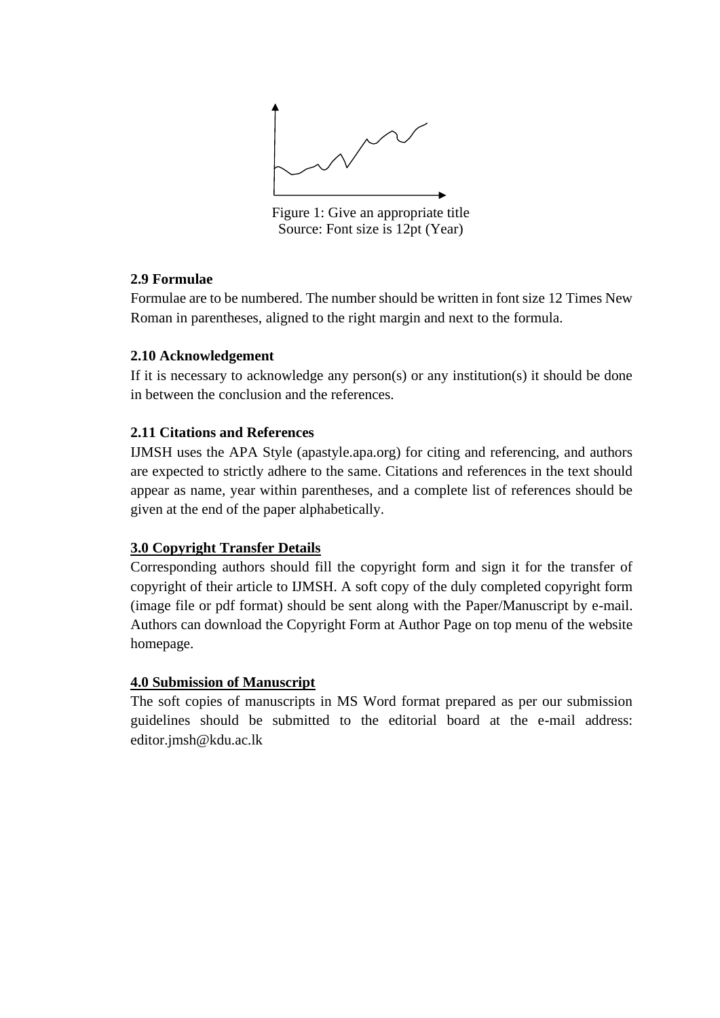

Figure 1: Give an appropriate title Source: Font size is 12pt (Year)

## **2.9 Formulae**

Formulae are to be numbered. The number should be written in font size 12 Times New Roman in parentheses, aligned to the right margin and next to the formula.

## **2.10 Acknowledgement**

If it is necessary to acknowledge any person(s) or any institution(s) it should be done in between the conclusion and the references.

## **2.11 Citations and References**

IJMSH uses the APA Style (apastyle.apa.org) for citing and referencing, and authors are expected to strictly adhere to the same. Citations and references in the text should appear as name, year within parentheses, and a complete list of references should be given at the end of the paper alphabetically.

# **3.0 Copyright Transfer Details**

Corresponding authors should fill the copyright form and sign it for the transfer of copyright of their article to IJMSH. A soft copy of the duly completed copyright form (image file or pdf format) should be sent along with the Paper/Manuscript by e-mail. Authors can download the Copyright Form at Author Page on top menu of the website homepage.

# **4.0 Submission of Manuscript**

The soft copies of manuscripts in MS Word format prepared as per our submission guidelines should be submitted to the editorial board at the e-mail address: editor.jmsh@kdu.ac.lk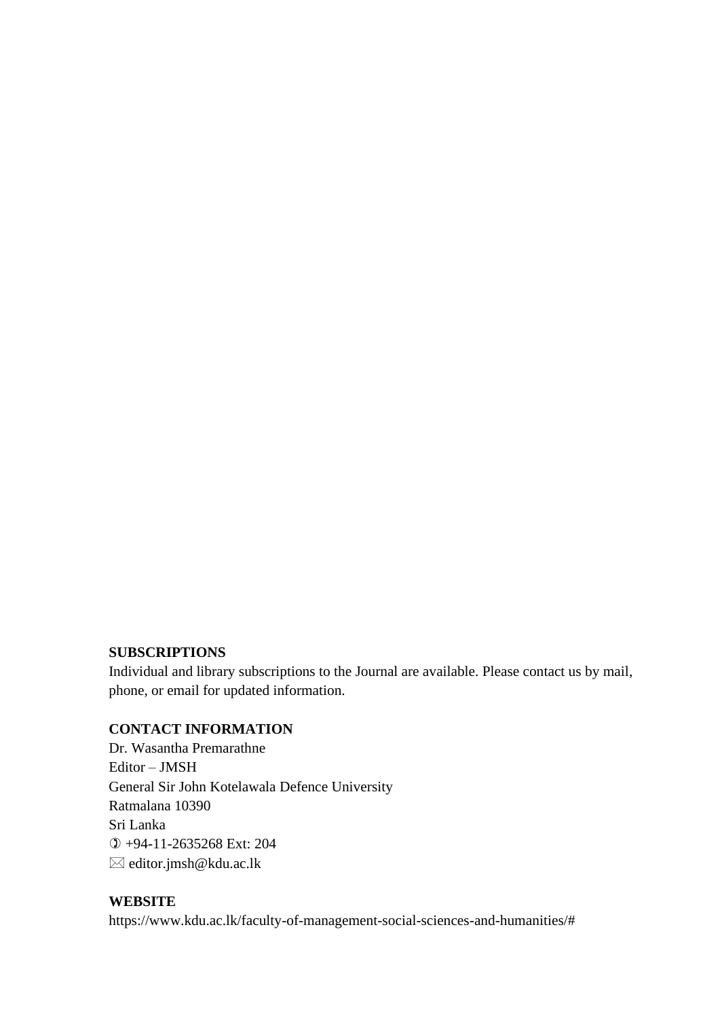#### **SUBSCRIPTIONS**

Individual and library subscriptions to the Journal are available. Please contact us by mail, phone, or email for updated information.

## **CONTACT INFORMATION**

Dr. Wasantha Premarathne Editor – JMSH General Sir John Kotelawala Defence University Ratmalana 10390 Sri Lanka +94-11-2635268 Ext: 204 editor.jmsh@kdu.ac.lk

## **WEBSITE**

https://www.kdu.ac.lk/faculty-of-management-social-sciences-and-humanities/#